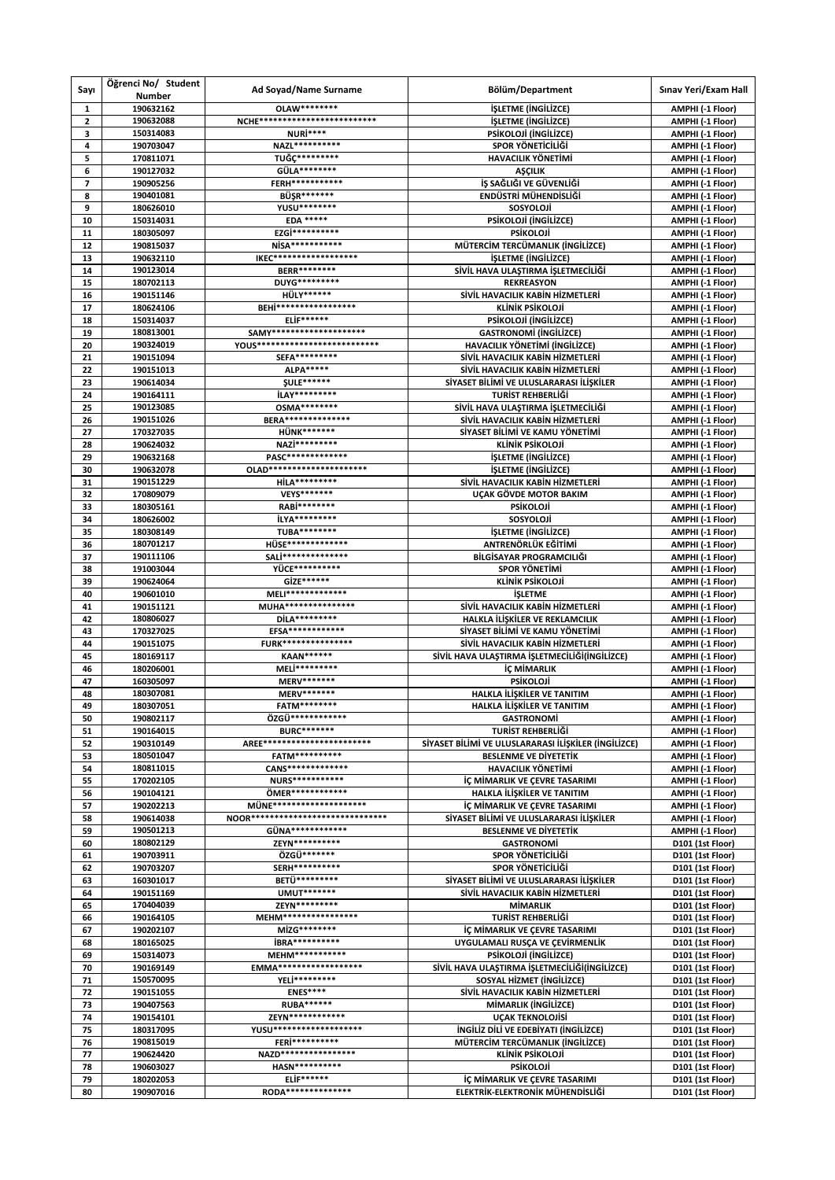| Sayı                    | Öğrenci No/ Student<br>Number | Ad Soyad/Name Surname                                        | Bölüm/Department                                                     | Sınav Yeri/Exam Hall                 |
|-------------------------|-------------------------------|--------------------------------------------------------------|----------------------------------------------------------------------|--------------------------------------|
| 1                       | 190632162                     | OLAW********                                                 | <b>İŞLETME (İNGİLİZCE)</b>                                           | AMPHI (-1 Floor)                     |
| $\overline{\mathbf{c}}$ | 190632088                     | NCHE**************************                               | <i><b>İŞLETME (İNGİLİZCE)</b></i>                                    | AMPHI (-1 Floor)                     |
| 3                       | 150314083                     | NURİ****                                                     | PSİKOLOJİ (İNGİLİZCE)                                                | AMPHI (-1 Floor)                     |
| 4                       | 190703047                     | NAZL**********                                               | SPOR YÖNETICILIĞI                                                    | AMPHI (-1 Floor)                     |
| 5                       | 170811071                     | TUĞÇ*********                                                | <b>HAVACILIK YÖNETİMİ</b>                                            | AMPHI (-1 Floor)                     |
| 6                       | 190127032                     | GÜLA********<br>FERH***********                              | <b>AŞÇILIK</b>                                                       | AMPHI (-1 Floor)                     |
| $\overline{7}$          | 190905256                     | <b>BÜŞR*******</b>                                           | İŞ SAĞLIĞI VE GÜVENLİĞİ                                              | AMPHI (-1 Floor)                     |
| 8<br>9                  | 190401081<br>180626010        | YUSU********                                                 | ENDÜSTRİ MÜHENDİSLİĞİ<br>SOSYOLOJİ                                   | AMPHI (-1 Floor)<br>AMPHI (-1 Floor) |
| 10                      | 150314031                     | <b>EDA *****</b>                                             | PSİKOLOJİ (İNGİLİZCE)                                                | AMPHI (-1 Floor)                     |
| 11                      | 180305097                     | EZGİ**********                                               | <b>PSİKOLOJİ</b>                                                     | AMPHI (-1 Floor)                     |
| 12                      | 190815037                     | NİSA***********                                              | MÜTERCİM TERCÜMANLIK (İNGİLİZCE)                                     | AMPHI (-1 Floor)                     |
| 13                      | 190632110                     | IKEC*******************                                      | <i><b>İŞLETME (İNGİLİZCE)</b></i>                                    | AMPHI (-1 Floor)                     |
| 14                      | 190123014                     | <b>BERR********</b>                                          | SİVİL HAVA ULAŞTIRMA İŞLETMECİLİĞİ                                   | AMPHI (-1 Floor)                     |
| 15                      | 180702113                     | DUYG*********                                                | <b>REKREASYON</b>                                                    | AMPHI (-1 Floor)                     |
| 16                      | 190151146                     | <b>HÜLY******</b>                                            | SİVİL HAVACILIK KABİN HİZMETLERİ                                     | AMPHI (-1 Floor)                     |
| 17                      | 180624106                     | <b>BEHİ******************</b>                                | KLİNİK PSİKOLOJİ                                                     | AMPHI (-1 Floor)                     |
| 18                      | 150314037                     | <b>ELİF******</b>                                            | PSİKOLOJİ (İNGİLİZCE)                                                | AMPHI (-1 Floor)                     |
| 19                      | 180813001                     | SAMY*********************<br>YOUS*************************** | <b>GASTRONOMI (INGILIZCE)</b>                                        | AMPHI (-1 Floor)                     |
| 20                      | 190324019                     | SEFA*********                                                | HAVACILIK YÖNETİMİ (İNGİLİZCE)                                       | AMPHI (-1 Floor)                     |
| 21<br>22                | 190151094<br>190151013        | <b>ALPA*****</b>                                             | SİVİL HAVACILIK KABİN HİZMETLERİ<br>SİVİL HAVACILIK KABİN HİZMETLERİ | AMPHI (-1 Floor)                     |
| 23                      | 190614034                     | <b>SULE******</b>                                            | SİYASET BİLİMİ VE ULUSLARARASI İLİSKİLER                             | AMPHI (-1 Floor)<br>AMPHI (-1 Floor) |
| 24                      | 190164111                     | <b>İLAY*********</b>                                         | TURİST REHBERLİĞİ                                                    | AMPHI (-1 Floor)                     |
| 25                      | 190123085                     | <b>OSMA********</b>                                          | SİVİL HAVA ULAŞTIRMA İŞLETMECİLİĞİ                                   | AMPHI (-1 Floor)                     |
| 26                      | 190151026                     | <b>BERA***************</b>                                   | SİVİL HAVACILIK KABİN HİZMETLERİ                                     | AMPHI (-1 Floor)                     |
| 27                      | 170327035                     | <b>HÜNK*******</b>                                           | SİYASET BİLİMİ VE KAMU YÖNETİMİ                                      | AMPHI (-1 Floor)                     |
| 28                      | 190624032                     | NAZİ*********                                                | KLİNİK PSİKOLOJİ                                                     | AMPHI (-1 Floor)                     |
| 29                      | 190632168                     | PASC**************                                           | <i><b>İŞLETME (İNGİLİZCE)</b></i>                                    | AMPHI (-1 Floor)                     |
| 30                      | 190632078                     | OLAD**********************                                   | <b>ISLETME (INGILIZCE)</b>                                           | AMPHI (-1 Floor)                     |
| 31                      | 190151229                     | <b>HİLA*********</b>                                         | SİVİL HAVACILIK KABİN HİZMETLERİ                                     | AMPHI (-1 Floor)                     |
| 32                      | 170809079                     | VEYS*******                                                  | UÇAK GÖVDE MOTOR BAKIM                                               | AMPHI (-1 Floor)                     |
| 33                      | 180305161                     | RABİ********                                                 | <b>PSIKOLOJI</b>                                                     | AMPHI (-1 Floor)                     |
| 34                      | 180626002                     | <b>İLYA*********</b>                                         | SOSYOLOJİ                                                            | AMPHI (-1 Floor)                     |
| 35<br>36                | 180308149<br>180701217        | TUBA********<br>HÜSE**************                           | <b>İŞLETME (İNGİLİZCE)</b><br>ANTRENÖRLÜK EĞİTİMİ                    | AMPHI (-1 Floor)                     |
| 37                      | 190111106                     | SALİ***************                                          | BİLGİSAYAR PROGRAMCILIĞI                                             | AMPHI (-1 Floor)<br>AMPHI (-1 Floor) |
| 38                      | 191003044                     | YÜCE**********                                               | SPOR YÖNETİMİ                                                        | AMPHI (-1 Floor)                     |
| 39                      | 190624064                     | GİZE******                                                   | KLİNİK PSİKOLOJİ                                                     | AMPHI (-1 Floor)                     |
| 40                      | 190601010                     | MELI**************                                           | <b>İŞLETME</b>                                                       | AMPHI (-1 Floor)                     |
| 41                      | 190151121                     | MUHA****************                                         | SİVİL HAVACILIK KABİN HİZMETLERİ                                     | AMPHI (-1 Floor)                     |
| 42                      | 180806027                     | DİLA*********                                                | HALKLA İLİŞKİLER VE REKLAMCILIK                                      | AMPHI (-1 Floor)                     |
| 43                      | 170327025                     | EFSA*************                                            | SİYASET BİLİMİ VE KAMU YÖNETİMİ                                      | AMPHI (-1 Floor)                     |
| 44                      | 190151075                     | <b>FURK****************</b>                                  | SİVİL HAVACILIK KABİN HİZMETLERİ                                     | AMPHI (-1 Floor)                     |
| 45                      | 180169117                     | <b>KAAN******</b>                                            | SİVİL HAVA ULAŞTIRMA İŞLETMECİLİĞİ(İNGİLİZCE)                        | AMPHI (-1 Floor)                     |
| 46                      | 180206001                     | MELİ*********                                                | İÇ MİMARLIK                                                          | AMPHI (-1 Floor)                     |
| 47                      | 160305097                     | MERV*******<br><b>MERV*******</b>                            | <b>PSİKOLOJİ</b><br>HALKLA İLİSKİLER VE TANITIM                      | AMPHI (-1 Floor)                     |
| 48<br>49                | 180307081<br>180307051        | FATM********                                                 | HALKLA İLİŞKİLER VE TANITIM                                          | AMPHI (-1 Floor)<br>AMPHI (-1 Floor) |
| 50                      | 190802117                     | ÖZGÜ*************                                            | <b>GASTRONOMI</b>                                                    | AMPHI (-1 Floor)                     |
| 51                      | 190164015                     | <b>BURC*******</b>                                           | TURİST REHBERLİĞİ                                                    | AMPHI (-1 Floor)                     |
| 52                      | 190310149                     | AREE************************                                 | SİYASET BİLİMİ VE ULUSLARARASI İLİŞKİLER (İNGİLİZCE)                 | AMPHI (-1 Floor)                     |
| 53                      | 180501047                     | FATM**********                                               | <b>BESLENME VE DİYETETİK</b>                                         | AMPHI (-1 Floor)                     |
| 54                      | 180811015                     | CANS*************                                            | <b>HAVACILIK YÖNETİMİ</b>                                            | AMPHI (-1 Floor)                     |
| 55                      | 170202105                     | <b>NURS***********</b>                                       | İÇ MİMARLIK VE ÇEVRE TASARIMI                                        | AMPHI (-1 Floor)                     |
| 56                      | 190104121                     | ÖMER************                                             | HALKLA İLİŞKİLER VE TANITIM                                          | AMPHI (-1 Floor)                     |
| 57                      | 190202213                     | MÜNE*********************                                    | İÇ MİMARLIK VE ÇEVRE TASARIMI                                        | AMPHI (-1 Floor)                     |
| 58                      | 190614038                     | NOOR******************************                           | SİYASET BİLİMİ VE ULUSLARARASI İLİŞKİLER                             | AMPHI (-1 Floor)                     |
| 59                      | 190501213                     | GÜNA*************<br>ZEYN**********                          | <b>BESLENME VE DİYETETİK</b>                                         | AMPHI (-1 Floor)                     |
| 60<br>61                | 180802129<br>190703911        | ÖZGÜ*******                                                  | <b>GASTRONOMI</b><br>SPOR YÖNETİCİLİĞİ                               | D101 (1st Floor)<br>D101 (1st Floor) |
| 62                      | 190703207                     | SERH**********                                               | SPOR YÖNETİCİLİĞİ                                                    | D101 (1st Floor)                     |
| 63                      | 160301017                     | BETÜ*********                                                | SİYASET BİLİMİ VE ULUSLARARASI İLİŞKİLER                             | D101 (1st Floor)                     |
| 64                      | 190151169                     | <b>UMUT*******</b>                                           | SİVİL HAVACILIK KABİN HİZMETLERİ                                     | D101 (1st Floor)                     |
| 65                      | 170404039                     | ZEYN*********                                                | MİMARLIK                                                             | D101 (1st Floor)                     |
| 66                      | 190164105                     | MEHM*****************                                        | TURİST REHBERLİĞİ                                                    | D101 (1st Floor)                     |
| 67                      | 190202107                     | MİZG********                                                 | İÇ MİMARLIK VE ÇEVRE TASARIMI                                        | D101 (1st Floor)                     |
| 68                      | 180165025                     | <b>İBRA**********</b>                                        | UYGULAMALI RUSÇA VE ÇEVİRMENLİK                                      | D101 (1st Floor)                     |
| 69                      | 150314073                     | MEHM***********                                              | PSİKOLOJİ (İNGİLİZCE)                                                | D101 (1st Floor)                     |
| 70                      | 190169149                     | EMMA*******************                                      | SİVİL HAVA ULAŞTIRMA İŞLETMECİLİĞİ(İNGİLİZCE)                        | D101 (1st Floor)                     |
| 71                      | 150570095                     | YELİ*********                                                | SOSYAL HİZMET (İNGİLİZCE)                                            | D101 (1st Floor)                     |
| 72                      | 190151055                     | <b>ENES****</b><br><b>RUBA******</b>                         | SİVİL HAVACILIK KABİN HİZMETLERİ                                     | D101 (1st Floor)                     |
| 73<br>74                | 190407563<br>190154101        | ZEYN*************                                            | MİMARLIK (İNGİLİZCE)<br><b>UCAK TEKNOLOJİSİ</b>                      | D101 (1st Floor)<br>D101 (1st Floor) |
| 75                      | 180317095                     | YUSU********************                                     | <b>INGILIZ DILI VE EDEBIYATI (INGILIZCE)</b>                         | D101 (1st Floor)                     |
| 76                      | 190815019                     | FERi**********                                               | MÜTERCİM TERCÜMANLIK (İNGİLİZCE)                                     | D101 (1st Floor)                     |
| 77                      | 190624420                     | NAZD*****************                                        | <b>KLİNİK PSİKOLOJİ</b>                                              | D101 (1st Floor)                     |
| 78                      | 190603027                     | <b>HASN**********</b>                                        | <b>PSİKOLOJİ</b>                                                     | D101 (1st Floor)                     |
| 79                      | 180202053                     | <b>ELİF******</b>                                            | İÇ MİMARLIK VE ÇEVRE TASARIMI                                        | D101 (1st Floor)                     |
| 80                      | 190907016                     | RODA***************                                          | ELEKTRİK-ELEKTRONİK MÜHENDİSLİĞİ                                     | D101 (1st Floor)                     |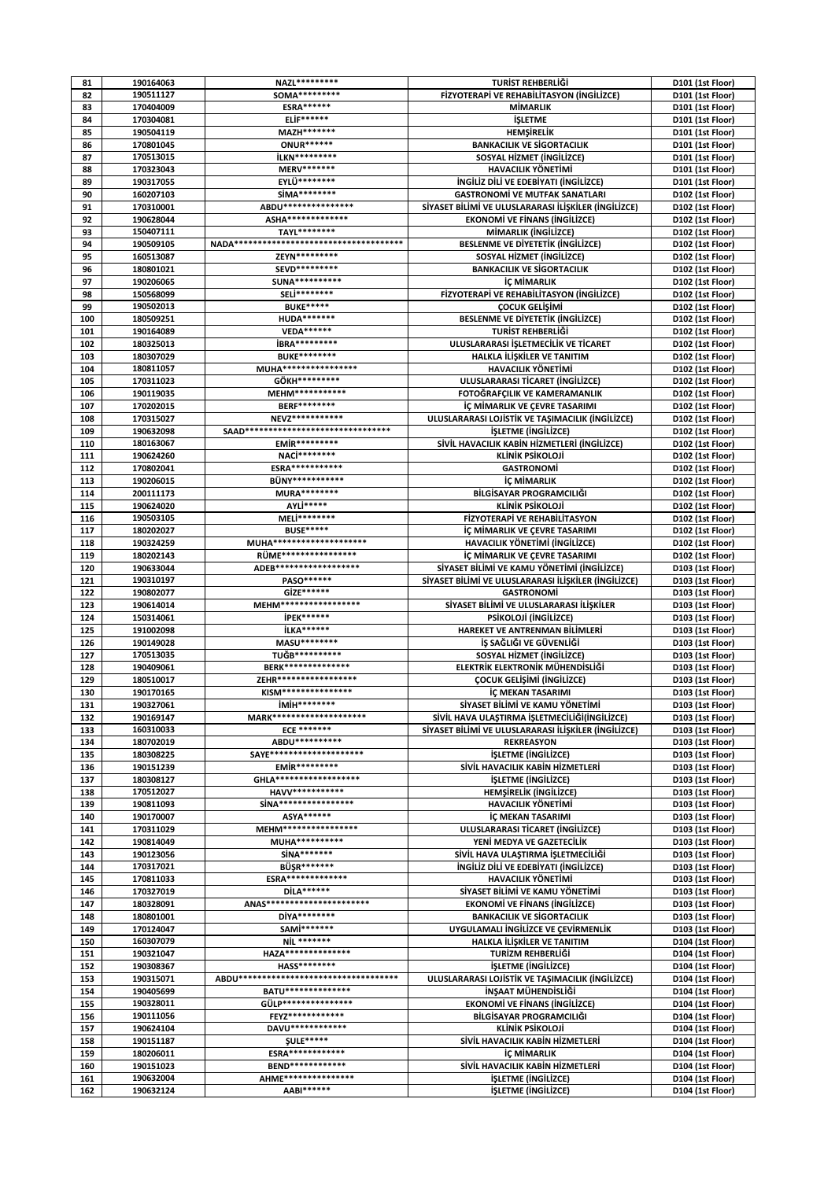| 81         | 190164063              | NAZL*********                           | TURİST REHBERLİĞİ                                        | D101 (1st Floor)                     |
|------------|------------------------|-----------------------------------------|----------------------------------------------------------|--------------------------------------|
| 82         | 190511127              | SOMA*********                           | FİZYOTERAPİ VE REHABİLİTASYON (İNGİLİZCE)                | D101 (1st Floor)                     |
| 83         | 170404009              | <b>ESRA******</b>                       | <b>MİMARLIK</b>                                          | D101 (1st Floor)                     |
|            | 170304081              | <b>ELİF******</b>                       |                                                          |                                      |
| 84         |                        |                                         | <b>İSLETME</b>                                           | D101 (1st Floor)                     |
| 85         | 190504119              | MAZH *******                            | HEMŞİRELİK                                               | D101 (1st Floor)                     |
| 86         | 170801045              | <b>ONUR******</b>                       | <b>BANKACILIK VE SİGORTACILIK</b>                        | D101 (1st Floor)                     |
| 87         | 170513015              | <b>İLKN*********</b>                    | SOSYAL HİZMET (İNGİLİZCE)                                | D101 (1st Floor)                     |
| 88         | 170323043              | <b>MERV*******</b>                      | <b>HAVACILIK YÖNETİMİ</b>                                | D101 (1st Floor)                     |
| 89         | 190317055              | EYLÜ********                            | <b>INGILIZ DILI VE EDEBIYATI (INGILIZCE)</b>             | D101 (1st Floor)                     |
| 90         | 160207103              | SÍMA********                            | <b>GASTRONOMI VE MUTFAK SANATLARI</b>                    | D102 (1st Floor)                     |
|            |                        |                                         |                                                          |                                      |
| 91         | 170310001              | ABDU****************                    | SİYASET BİLİMİ VE ULUSLARARASI İLİŞKİLER (İNGİLİZCE)     | D102 (1st Floor)                     |
| 92         | 190628044              | ASHA**************                      | <b>EKONOMİ VE FİNANS (İNGİLIZCE)</b>                     | D102 (1st Floor)                     |
| 93         | 150407111              | TAYL********                            | MİMARLIK (İNGİLİZCE)                                     | D102 (1st Floor)                     |
| 94         | 190509105              |                                         | <b>BESLENME VE DIYETETIK (INGILIZCE)</b>                 | D102 (1st Floor)                     |
| 95         | 160513087              | ZEYN*********                           | SOSYAL HİZMET (İNGİLİZCE)                                | D102 (1st Floor)                     |
| 96         |                        | SEVD*********                           |                                                          |                                      |
|            | 180801021              |                                         | <b>BANKACILIK VE SİGORTACILIK</b>                        | D102 (1st Floor)                     |
| 97         | 190206065              | <b>SUNA**********</b>                   | <b>İÇ MİMARLIK</b>                                       | D102 (1st Floor)                     |
| 98         | 150568099              | SELİ********                            | FİZYOTERAPİ VE REHABİLİTASYON (İNGİLİZCE)                | D102 (1st Floor)                     |
| 99         | 190502013              | <b>BUKE*****</b>                        | ÇOCUK GELİŞİMİ                                           | D102 (1st Floor)                     |
| 100        | 180509251              | <b>HUDA*******</b>                      | <b>BESLENME VE DIYETETIK (INGILIZCE)</b>                 | D102 (1st Floor)                     |
| 101        | 190164089              | <b>VEDA******</b>                       | TURİST REHBERLİĞİ                                        | D102 (1st Floor)                     |
| 102        | 180325013              | <b>İBRA*********</b>                    | ULUSLARARASI İŞLETMECİLİK VE TİCARET                     |                                      |
|            |                        |                                         |                                                          | D102 (1st Floor)                     |
| 103        | 180307029              | <b>BUKE********</b>                     | HALKLA İLİŞKİLER VE TANITIM                              | D102 (1st Floor)                     |
| 104        | 180811057              | MUHA******************                  | <b>HAVACILIK YÖNETİMİ</b>                                | D102 (1st Floor)                     |
| 105        | 170311023              | GÖKH*********                           | ULUSLARARASI TİCARET (İNGİLİZCE)                         | D102 (1st Floor)                     |
| 106        | 190119035              | MEHM************                        | FOTOĞRAFÇILIK VE KAMERAMANLIK                            | D102 (1st Floor)                     |
| 107        | 170202015              | <b>BERF********</b>                     | <b>IC MIMARLIK VE CEVRE TASARIMI</b>                     | D102 (1st Floor)                     |
|            |                        | NEVZ***********                         |                                                          |                                      |
| 108        | 170315027              |                                         | ULUSLARARASI LOJİSTİK VE TAŞIMACILIK (İNGİLİZCE)         | D102 (1st Floor)                     |
| 109        | 190632098              | SAAD********************************    | <b>İŞLETME (İNGİLİZCE)</b>                               | D102 (1st Floor)                     |
| 110        | 180163067              | EMİR*********                           | SİVİL HAVACILIK KABİN HİZMETLERİ (İNGİLİZCE)             | D102 (1st Floor)                     |
| 111        | 190624260              | NACi********                            | KLİNİK PSİKOLOJİ                                         | D102 (1st Floor)                     |
| 112        | 170802041              | <b>ESRA***********</b>                  | <b>GASTRONOMI</b>                                        | D102 (1st Floor)                     |
|            | 190206015              | <b>BÜNY***********</b>                  | <b>İC MİMARLIK</b>                                       |                                      |
| 113        |                        |                                         |                                                          | D102 (1st Floor)                     |
| 114        | 200111173              | <b>MURA********</b>                     | BİLGİSAYAR PROGRAMCILIĞI                                 | D102 (1st Floor)                     |
| 115        | 190624020              | AYLİ*****                               | KLİNİK PSİKOLOJİ                                         | D102 (1st Floor)                     |
| 116        | 190503105              | MELİ********                            | FİZYOTERAPİ VE REHABİLİTASYON                            | D102 (1st Floor)                     |
| 117        | 180202027              | <b>BUSE*****</b>                        | İÇ MİMARLIK VE ÇEVRE TASARIMI                            | D102 (1st Floor)                     |
| 118        | 190324259              | MUHA*********************               | HAVACILIK YÖNETİMİ (İNGİLİZCE)                           | D102 (1st Floor)                     |
|            |                        |                                         |                                                          |                                      |
| 119        | 180202143              | <b>RÜME*****************</b>            | İÇ MİMARLIK VE ÇEVRE TASARIMI                            | D102 (1st Floor)                     |
| 120        | 190633044              | ADEB*******************                 | SİYASET BİLİMİ VE KAMU YÖNETİMİ (İNGİLİZCE)              | D103 (1st Floor)                     |
| 121        | 190310197              | PASO******                              | SİYASET BİLİMİ VE ULUSLARARASI İLİŞKİLER (İNGİLİZCE)     | D103 (1st Floor)                     |
| 122        | 190802077              | GİZE******                              | <b>GASTRONOMI</b>                                        | D103 (1st Floor)                     |
| 123        | 190614014              | MEHM*******************                 | SİYASET BİLİMİ VE ULUSLARARASI İLİŞKİLER                 | D103 (1st Floor)                     |
| 124        | 150314061              | <b>İPEK******</b>                       |                                                          |                                      |
|            |                        |                                         | PSİKOLOJİ (İNGİLİZCE)                                    | D103 (1st Floor)                     |
| 125        | 191002098              | <b>İLKA******</b>                       | HAREKET VE ANTRENMAN BİLİMLERİ                           | D103 (1st Floor)                     |
| 126        | 190149028              | MASU ********                           | İŞ SAĞLIĞI VE GÜVENLİĞİ                                  | D103 (1st Floor)                     |
| 127        | 170513035              | TUĞB**********                          | SOSYAL HIZMET (INGILIZCE)                                | D103 (1st Floor)                     |
| 128        | 190409061              | <b>BERK***************</b>              | ELEKTRİK ELEKTRONİK MÜHENDİSLİĞİ                         | D103 (1st Floor)                     |
| 129        | 180510017              | ZEHR******************                  | ÇOCUK GELİŞİMİ (İNGİLİZCE)                               | D103 (1st Floor)                     |
|            |                        | KISM****************                    |                                                          |                                      |
| 130        | 190170165              |                                         | İÇ MEKAN TASARIMI                                        | D103 (1st Floor)                     |
| 131        | 190327061              | iMiH********                            | SİYASET BİLİMİ VE KAMU YÖNETİMİ                          | D103 (1st Floor)                     |
| 132        | 190169147              | MARK*********************               | SİVİL HAVA ULAŞTIRMA İŞLETMECİLİĞİ(İNGİLİZCE)            | D103 (1st Floor)                     |
| 133        | 160310033              | <b>ECE *******</b>                      | SİYASET BİLİMİ VE ULUSLARARASI İLİŞKİLER (İNGİLİZCE)     | D103 (1st Floor)                     |
| 134        | 180702019              | ABDU**********                          | <b>REKREASYON</b>                                        | D103 (1st Floor)                     |
| 135        | 180308225              | SAYE*********************               | <b>İSLETME</b> (İNGİLİZCE)                               | D103 (1st Floor)                     |
|            |                        | <b>EMİR*********</b>                    |                                                          |                                      |
| 136        | 190151239              |                                         | SİVİL HAVACILIK KABİN HİZMETLERİ                         | D103 (1st Floor)                     |
| 137        | 180308127              | GHLA*******************                 | <b>İŞLETME (İNGİLİZCE)</b>                               | D103 (1st Floor)                     |
| 138        | 170512027              | <b>HAVV***********</b>                  | <b>HEMSIRELIK (INGILIZCE)</b>                            | D103 (1st Floor)                     |
| 139        | 190811093              | SiNA *****************                  | <b>HAVACILIK YÖNETİMİ</b>                                | D103 (1st Floor)                     |
| 140        | 190170007              | ASYA******                              | İÇ MEKAN TASARIMI                                        | D103 (1st Floor)                     |
| 141        | 170311029              | MEHM*****************                   | ULUSLARARASI TİCARET (İNGİLİZCE)                         | D103 (1st Floor)                     |
| 142        | 190814049              | MUHA**********                          | YENİ MEDYA VE GAZETECİLİK                                | D103 (1st Floor)                     |
|            |                        | SİNA*******                             |                                                          | D103 (1st Floor)                     |
| 143        |                        |                                         |                                                          |                                      |
| 144        | 190123056              |                                         | SİVİL HAVA ULAŞTIRMA İŞLETMECİLİĞİ                       |                                      |
| 145        | 170317021              | BÜSR*******                             | <b>INGILIZ DILI VE EDEBIYATI (INGILIZCE)</b>             | D103 (1st Floor)                     |
|            | 170811033              | <b>ESRA**************</b>               | <b>HAVACILIK YÖNETİMİ</b>                                | D103 (1st Floor)                     |
| 146        | 170327019              | DİLA******                              | SİYASET BİLİMİ VE KAMU YÖNETİMİ                          | D103 (1st Floor)                     |
|            |                        |                                         |                                                          |                                      |
| 147        | 180328091              | ANAS***********************             | <b>EKONOMİ VE FİNANS (İNGİLİZCE)</b>                     | D103 (1st Floor)                     |
| 148        | 180801001              | DİYA********                            | <b>BANKACILIK VE SİGORTACILIK</b>                        | D103 (1st Floor)                     |
| 149        | 170124047              | SAMI*******                             | UYGULAMALI İNGİLİZCE VE ÇEVİRMENLİK                      | D103 (1st Floor)                     |
| 150        | 160307079              | <b>NiL *******</b>                      | HALKLA İLİŞKİLER VE TANITIM                              | D104 (1st Floor)                     |
| 151        | 190321047              | HAZA***************                     | TURİZM REHBERLİĞİ                                        | D104 (1st Floor)                     |
| 152        | 190308367              | <b>HASS********</b>                     | <b>İŞLETME (İNGİLİZCE)</b>                               | D104 (1st Floor)                     |
|            |                        |                                         |                                                          |                                      |
| 153        | 190315071              | ABDU*********************************** | ULUSLARARASI LOJİSTİK VE TAŞIMACILIK (İNGİLİZCE)         | D104 (1st Floor)                     |
| 154        | 190405699              | BATU***************                     | İNŞAAT MÜHENDİSLİĞİ                                      | D104 (1st Floor)                     |
| 155        | 190328011              | GÜLP****************                    | <b>EKONOMİ VE FİNANS (İNGİLİZCE)</b>                     | D104 (1st Floor)                     |
| 156        | 190111056              | FEYZ************                        | BİLGİSAYAR PROGRAMCILIĞI                                 | D104 (1st Floor)                     |
| 157        | 190624104              | DAVU*************                       | KLİNİK PSİKOLOJİ                                         | D104 (1st Floor)                     |
| 158        |                        | <b>SULE*****</b>                        |                                                          |                                      |
|            | 190151187              |                                         | SİVİL HAVACILIK KABİN HİZMETLERİ                         | D104 (1st Floor)                     |
| 159        | 180206011              | ESRA************                        | <b>İÇ MİMARLIK</b>                                       | D104 (1st Floor)                     |
| 160        | 190151023              | <b>BEND*************</b>                | SİVİL HAVACILIK KABİN HİZMETLERİ                         | D104 (1st Floor)                     |
| 161<br>162 | 190632004<br>190632124 | AHME****************<br>AABI******      | <b>İŞLETME (İNGİLİZCE)</b><br><b>İŞLETME (İNGİLİZCE)</b> | D104 (1st Floor)<br>D104 (1st Floor) |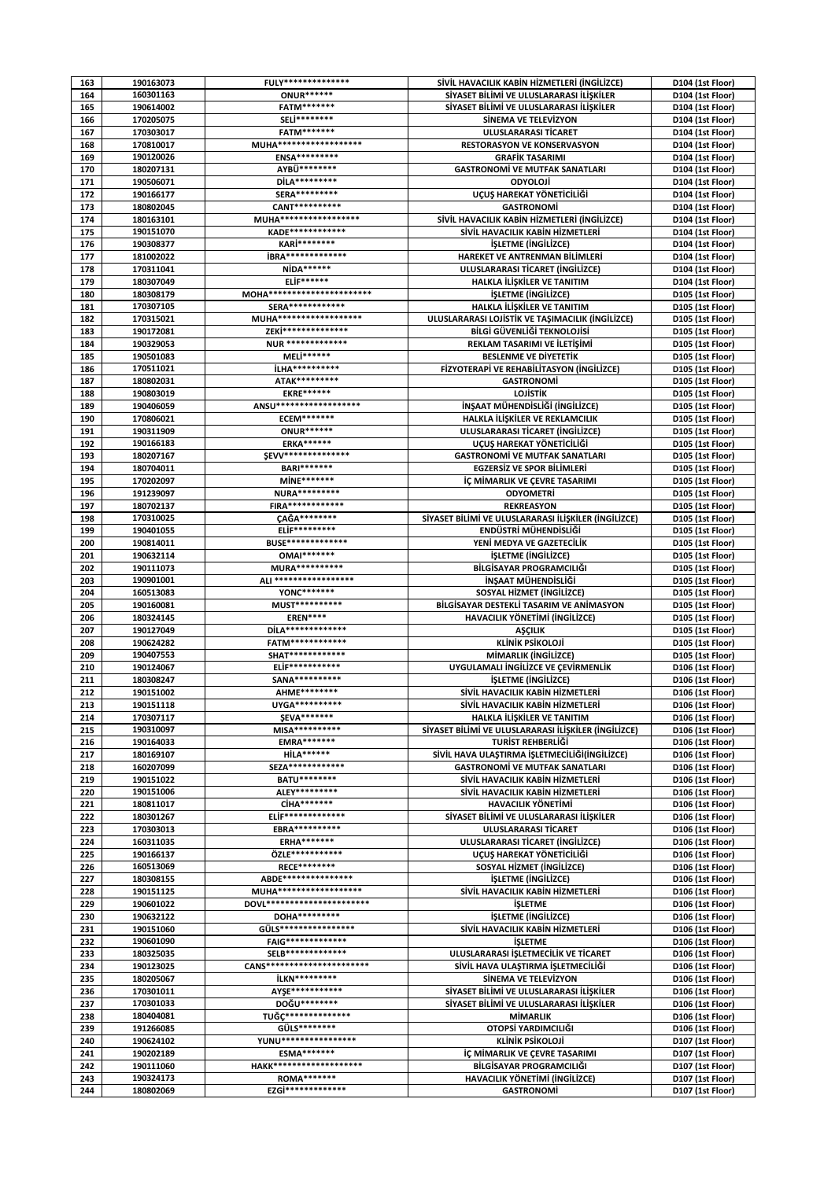| 163        | 190163073              | <b>FULY***************</b>                | SİVİL HAVACILIK KABİN HİZMETLERİ (İNGİLİZCE)                              | D104 (1st Floor)                     |
|------------|------------------------|-------------------------------------------|---------------------------------------------------------------------------|--------------------------------------|
| 164        | 160301163              | <b>ONUR******</b>                         | SİYASET BİLİMİ VE ULUSLARARASI İLİŞKİLER                                  | D104 (1st Floor)                     |
| 165        | 190614002              | FATM*******                               | SİYASET BİLİMİ VE ULUSLARARASI İLİŞKİLER                                  | D104 (1st Floor)                     |
| 166        | 170205075              | SELİ********                              | SİNEMA VE TELEVİZYON                                                      | D104 (1st Floor)                     |
| 167        | 170303017              | <b>FATM*******</b>                        | ULUSLARARASI TİCARET                                                      | D104 (1st Floor)                     |
| 168        | 170810017              | MUHA*******************                   | <b>RESTORASYON VE KONSERVASYON</b>                                        | D104 (1st Floor)                     |
| 169        | 190120026              | ENSA*********                             | <b>GRAFIK TASARIMI</b>                                                    | D104 (1st Floor)                     |
| 170        | 180207131              | AYBÜ*********                             | <b>GASTRONOMI VE MUTFAK SANATLARI</b>                                     | D104 (1st Floor)                     |
| 171        | 190506071              | DİLA*********                             | ODYOLOJİ                                                                  | D104 (1st Floor)                     |
| 172        | 190166177              | SERA **********                           | UÇUŞ HAREKAT YÖNETİCİLİĞİ                                                 | D104 (1st Floor)                     |
| 173        | 180802045              | CANT**********                            | <b>GASTRONOMI</b>                                                         | D104 (1st Floor)                     |
| 174        | 180163101              | MUHA******************                    | SİVİL HAVACILIK KABİN HİZMETLERİ (İNGİLİZCE)                              | D104 (1st Floor)                     |
| 175        | 190151070              | <b>KADE*************</b>                  | SİVİL HAVACILIK KABİN HİZMETLERİ                                          | D104 (1st Floor)                     |
| 176        | 190308377              | KARİ********<br><b>İBRA**************</b> | <i><b>İŞLETME (İNGİLİZCE)</b></i>                                         | D104 (1st Floor)                     |
| 177        | 181002022              |                                           | HAREKET VE ANTRENMAN BİLİMLERİ                                            | D104 (1st Floor)                     |
| 178        | 170311041<br>180307049 | <b>NİDA******</b><br><b>ELİF******</b>    | ULUSLARARASI TİCARET (İNGİLİZCE)                                          | D104 (1st Floor)                     |
| 179<br>180 | 180308179              | MOHA***********************               | HALKLA İLİŞKİLER VE TANITIM                                               | D104 (1st Floor)                     |
| 181        | 170307105              | SERA*************                         | <i><b>İŞLETME (İNGİLİZCE)</b></i><br>HALKLA İLİŞKİLER VE TANITIM          | D105 (1st Floor)<br>D105 (1st Floor) |
| 182        | 170315021              | MUHA*******************                   | ULUSLARARASI LOJİSTİK VE TAŞIMACILIK (İNGİLİZCE)                          | D105 (1st Floor)                     |
| 183        | 190172081              | ZEKİ***************                       | BİLGİ GÜVENLİĞİ TEKNOLOJİSİ                                               | D105 (1st Floor)                     |
| 184        | 190329053              | <b>NUR **************</b>                 | REKLAM TASARIMI VE İLETİŞİMİ                                              | D105 (1st Floor)                     |
| 185        | 190501083              | <b>MELİ******</b>                         | <b>BESLENME VE DIYETETIK</b>                                              | D105 (1st Floor)                     |
| 186        | 170511021              | <b>İLHA**********</b>                     | FİZYOTERAPİ VE REHABİLİTASYON (İNGİLİZCE)                                 | D105 (1st Floor)                     |
| 187        | 180802031              | ATAK*********                             | <b>GASTRONOMI</b>                                                         | D105 (1st Floor)                     |
| 188        | 190803019              | <b>EKRE******</b>                         | LOJİSTİK                                                                  | D105 (1st Floor)                     |
| 189        | 190406059              | ANSU********************                  | İNŞAAT MÜHENDİSLİĞİ (İNGİLİZCE)                                           | D105 (1st Floor)                     |
| 190        | 170806021              | <b>ECEM*******</b>                        | HALKLA İLİŞKİLER VE REKLAMCILIK                                           | D105 (1st Floor)                     |
| 191        | 190311909              | <b>ONUR******</b>                         | ULUSLARARASI TİCARET (İNGİLİZCE)                                          | D105 (1st Floor)                     |
| 192        | 190166183              | <b>ERKA******</b>                         | UÇUŞ HAREKAT YÖNETİCİLİĞİ                                                 | D105 (1st Floor)                     |
| 193        | 180207167              | <b>SEVV***************</b>                | <b>GASTRONOMI VE MUTFAK SANATLARI</b>                                     | D105 (1st Floor)                     |
| 194        | 180704011              | BARI*******                               | <b>EGZERSIZ VE SPOR BILIMLERI</b>                                         | D105 (1st Floor)                     |
| 195        | 170202097              | MİNE*******                               | İÇ MİMARLIK VE ÇEVRE TASARIMI                                             | D105 (1st Floor)                     |
| 196        | 191239097              | <b>NURA*********</b>                      | <b>ODYOMETRI</b>                                                          | D105 (1st Floor)                     |
| 197        | 180702137              | <b>FIRA************</b>                   | <b>REKREASYON</b>                                                         | D105 (1st Floor)                     |
| 198        | 170310025              | <b>ÇAĞA********</b>                       | SİYASET BİLİMİ VE ULUSLARARASI İLİŞKİLER (İNGİLİZCE)                      | D105 (1st Floor)                     |
| 199        | 190401055              | ELİF*********                             | ENDÜSTRİ MÜHENDİSLİĞİ                                                     | D105 (1st Floor)                     |
| 200        | 190814011              | <b>BUSE**************</b>                 | YENİ MEDYA VE GAZETECİLİK                                                 | D105 (1st Floor)                     |
| 201        | 190632114              | <b>OMAI*******</b>                        | <i><b>İŞLETME (İNGİLİZCE)</b></i>                                         | D105 (1st Floor)                     |
| 202        | 190111073              | MURA**********                            | BİLGİSAYAR PROGRAMCILIĞI                                                  | D105 (1st Floor)                     |
| 203        | 190901001              | ALI ******************                    | İNŞAAT MÜHENDİSLİĞİ                                                       | D105 (1st Floor)                     |
| 204        | 160513083              | YONC*******                               | SOSYAL HIZMET (INGILIZCE)                                                 | D105 (1st Floor)                     |
| 205        | 190160081              | MUST***********                           | BİLGİSAYAR DESTEKLİ TASARIM VE ANİMASYON                                  | D105 (1st Floor)                     |
| 206        | 180324145              | EREN****                                  | HAVACILIK YÖNETİMİ (İNGİLİZCE)                                            | D105 (1st Floor)                     |
| 207        | 190127049              | DİLA**************                        | AŞÇILIK                                                                   | D105 (1st Floor)                     |
| 208        | 190624282              | FATM************                          | KLİNİK PSİKOLOJİ                                                          | D105 (1st Floor)                     |
| 209        | 190407553              | <b>SHAT*************</b>                  | MİMARLIK (İNGİLİZCE)                                                      | D105 (1st Floor)                     |
| 210        | 190124067              | <b>ELİF***********</b>                    | UYGULAMALI İNGİLİZCE VE CEVİRMENLİK                                       | D106 (1st Floor)                     |
| 211        | 180308247              | SANA***********                           | <b>İŞLETME (İNGİLİZCE)</b>                                                | D106 (1st Floor)                     |
| 212        | 190151002              | AHME********                              | SİVİL HAVACILIK KABİN HİZMETLERİ                                          | D106 (1st Floor)                     |
| 213        | 190151118              | UYGA**********                            | SİVİL HAVACILIK KABİN HİZMETLERİ                                          | D106 (1st Floor)                     |
| 214        | 170307117              | <b>ŞEVA*******</b>                        | HALKLA İLİŞKİLER VE TANITIM                                               | D106 (1st Floor)                     |
| 215        | 190310097              | MISA**********                            | SİYASET BİLİMİ VE ULUSLARARASI İLİŞKİLER (İNGİLİZCE)                      | D106 (1st Floor)                     |
| 216<br>217 | 190164033              | <b>EMRA*******</b><br><b>HİLA******</b>   | TURIST REHBERLIĞI<br>SİVİL HAVA ULAŞTIRMA İŞLETMECİLİĞİ(İNGİLİZCE)        | D106 (1st Floor)                     |
|            | 180169107              | SEZA*************                         |                                                                           | D106 (1st Floor)                     |
| 218<br>219 | 160207099<br>190151022 | <b>BATU********</b>                       | <b>GASTRONOMİ VE MUTFAK SANATLARI</b><br>SİVİL HAVACILIK KABİN HİZMETLERİ | D106 (1st Floor)<br>D106 (1st Floor) |
| 220        | 190151006              | ALEY*********                             | SİVİL HAVACILIK KABİN HİZMETLERİ                                          | D106 (1st Floor)                     |
| 221        | 180811017              | CİHA*******                               | <b>HAVACILIK YÖNETİMİ</b>                                                 | D106 (1st Floor)                     |
| 222        | 180301267              | <b>ELİF*************</b>                  | SİYASET BİLİMİ VE ULUSLARARASI İLİŞKİLER                                  | D106 (1st Floor)                     |
| 223        | 170303013              | <b>EBRA**********</b>                     | ULUSLARARASI TİCARET                                                      | D106 (1st Floor)                     |
| 224        | 160311035              | <b>ERHA*******</b>                        | ULUSLARARASI TİCARET (İNGİLİZCE)                                          | D106 (1st Floor)                     |
| 225        | 190166137              | ÖZLE***********                           | UCUS HAREKAT YÖNETİCİLİĞİ                                                 | D106 (1st Floor)                     |
| 226        | 160513069              | <b>RECE********</b>                       | SOSYAL HİZMET (İNGİLİZCE)                                                 | D106 (1st Floor)                     |
| 227        | 180308155              | ABDE****************                      | <b>İSLETME (İNGİLİZCE)</b>                                                | D106 (1st Floor)                     |
| 228        | 190151125              | MUHA*******************                   | SİVİL HAVACILIK KABİN HİZMETLERİ                                          | D106 (1st Floor)                     |
| 229        | 190601022              | DOVL***********************               | <b>İŞLETME</b>                                                            | D106 (1st Floor)                     |
| 230        | 190632122              | DOHA*********                             | <b>İŞLETME (İNGİLİZCE)</b>                                                | D106 (1st Floor)                     |
| 231        | 190151060              | GÜLS*****************                     | SİVİL HAVACILIK KABİN HİZMETLERİ                                          | D106 (1st Floor)                     |
| 232        | 190601090              | <b>FAIG**************</b>                 | <b>İŞLETME</b>                                                            | D106 (1st Floor)                     |
| 233        | 180325035              | SELB**************                        | ULUSLARARASI İŞLETMECİLİK VE TİCARET                                      | D106 (1st Floor)                     |
| 234        | 190123025              | <b>CANS***********************</b>        | SİVİL HAVA ULAŞTIRMA İŞLETMECİLİĞİ                                        | D106 (1st Floor)                     |
| 235        | 180205067              | <b>İLKN*********</b>                      | SİNEMA VE TELEVİZYON                                                      | D106 (1st Floor)                     |
| 236        | 170301011              | AYSE************                          | SİYASET BİLİMİ VE ULUSLARARASI İLİŞKİLER                                  | D106 (1st Floor)                     |
| 237        | 170301033              | DOĞU********                              | SİYASET BİLİMİ VE ULUSLARARASI İLİŞKİLER                                  | D106 (1st Floor)                     |
| 238        | 180404081              | TUĞC***************                       | <b>MİMARLIK</b>                                                           | D106 (1st Floor)                     |
| 239        | 191266085              | GÜLS********                              | OTOPSİ YARDIMCILIĞI                                                       | D106 (1st Floor)                     |
| 240        | 190624102              | YUNU******************                    | <b>KLİNİK PSİKOLOJİ</b>                                                   | D107 (1st Floor)                     |
| 241        | 190202189              | ESMA*******                               | İÇ MİMARLIK VE ÇEVRE TASARIMI                                             | D107 (1st Floor)                     |
| 242        | 190111060              | <b>HAKK********************</b>           | BİLGİSAYAR PROGRAMCILIĞI                                                  | D107 (1st Floor)                     |
| 243        | 190324173              | <b>ROMA*******</b>                        | HAVACILIK YÖNETİMİ (İNGİLİZCE)                                            | D107 (1st Floor)                     |
| 244        | 180802069              | EZGİ**************                        | <b>GASTRONOMI</b>                                                         | D107 (1st Floor)                     |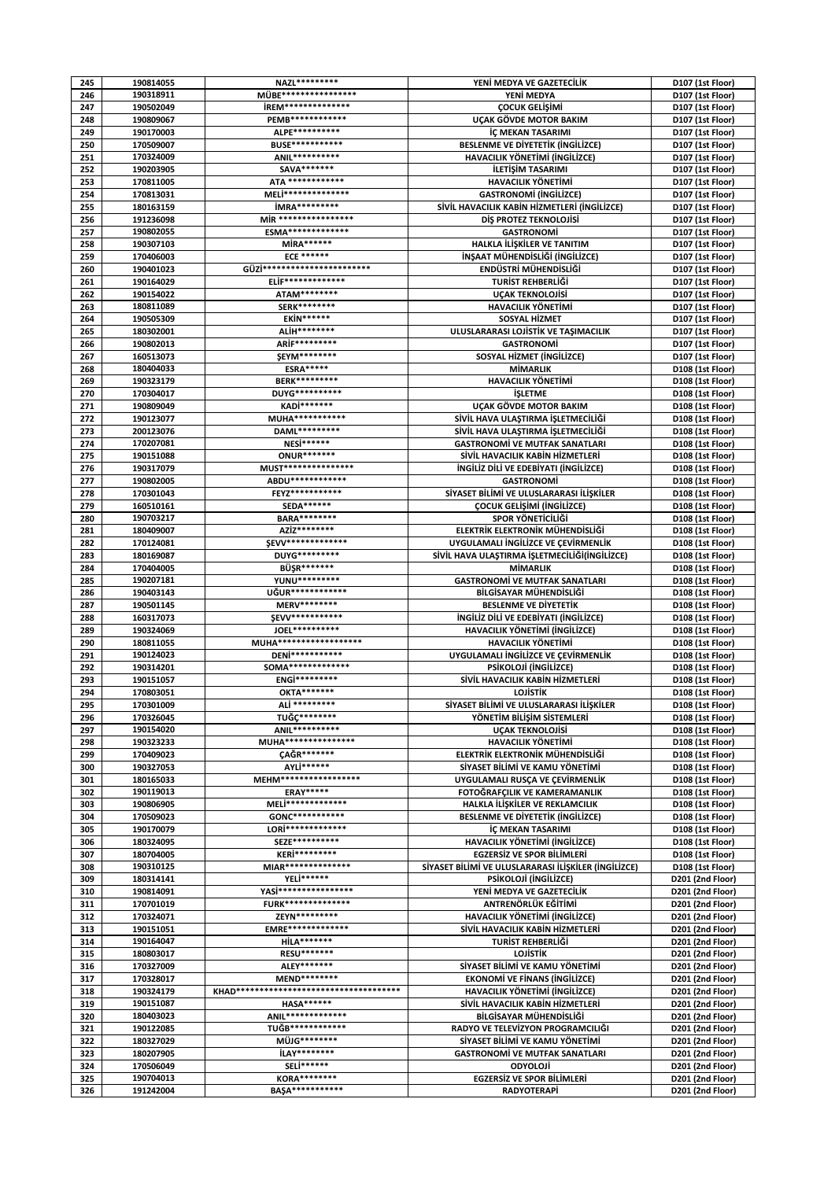| 245        | 190814055              | NAZL*********                                  | YENİ MEDYA VE GAZETECİLİK                                                     | D107 (1st Floor)                     |
|------------|------------------------|------------------------------------------------|-------------------------------------------------------------------------------|--------------------------------------|
| 246        | 190318911              | MÜBE*****************                          | YENİ MEDYA                                                                    | D107 (1st Floor)                     |
| 247        | 190502049              | <b>İREM***************</b><br>PEMB************ | <b>COCUK GELISIMI</b>                                                         | D107 (1st Floor)                     |
| 248<br>249 | 190809067<br>190170003 | ALPE**********                                 | UCAK GÖVDE MOTOR BAKIM<br>İÇ MEKAN TASARIMI                                   | D107 (1st Floor)<br>D107 (1st Floor) |
| 250        | 170509007              | <b>BUSE************</b>                        | <b>BESLENME VE DIYETETIK (INGILIZCE)</b>                                      | D107 (1st Floor)                     |
| 251        | 170324009              | ANIL**********                                 | HAVACILIK YÖNETİMİ (İNGİLİZCE)                                                | D107 (1st Floor)                     |
| 252        | 190203905              | SAVA*******                                    | İLETİŞİM TASARIMI                                                             | D107 (1st Floor)                     |
| 253        | 170811005              | ATA *************                              | <b>HAVACILIK YÖNETİMİ</b>                                                     | D107 (1st Floor)                     |
| 254        | 170813031              | MELİ***************                            | <b>GASTRONOMI (INGILIZCE)</b>                                                 | D107 (1st Floor)                     |
| 255        | 180163159              | <b>İMRA*********</b>                           | SİVİL HAVACILIK KABİN HİZMETLERİ (İNGİLİZCE)                                  | D107 (1st Floor)                     |
| 256        | 191236098              | MIR ******************                         | DIS PROTEZ TEKNOLOJISI                                                        | D107 (1st Floor)                     |
| 257        | 190802055              | <b>ESMA**************</b>                      | <b>GASTRONOMI</b>                                                             | D107 (1st Floor)                     |
| 258        | 190307103              | <b>MİRA******</b>                              | HALKLA İLİSKİLER VE TANITIM                                                   | D107 (1st Floor)                     |
| 259        | 170406003              | <b>ECE ******</b>                              | İNŞAAT MÜHENDİSLİĞİ (İNGİLİZCE)                                               | D107 (1st Floor)                     |
| 260        | 190401023              | GÜZİ************************                   | ENDÜSTRİ MÜHENDİSLİĞİ                                                         | D107 (1st Floor)                     |
| 261<br>262 | 190164029              | <b>ELİF*************</b><br>ATAM********       | TURİST REHBERLİĞİ                                                             | D107 (1st Floor)                     |
| 263        | 190154022<br>180811089 | <b>SERK********</b>                            | <b>UÇAK TEKNOLOJİSİ</b><br><b>HAVACILIK YÖNETİMİ</b>                          | D107 (1st Floor)<br>D107 (1st Floor) |
| 264        | 190505309              | <b>EKİN******</b>                              | SOSYAL HİZMET                                                                 | D107 (1st Floor)                     |
| 265        | 180302001              | ALİH********                                   | ULUSLARARASI LOJİSTİK VE TAŞIMACILIK                                          | D107 (1st Floor)                     |
| 266        | 190802013              | ARİF*********                                  | <b>GASTRONOMI</b>                                                             | D107 (1st Floor)                     |
| 267        | 160513073              | <b>ŞEYM********</b>                            | SOSYAL HİZMET (İNGİLİZCE)                                                     | D107 (1st Floor)                     |
| 268        | 180404033              | <b>ESRA*****</b>                               | <b>MİMARLIK</b>                                                               | D108 (1st Floor)                     |
| 269        | 190323179              | <b>BERK*********</b>                           | <b>HAVACILIK YÖNETİMİ</b>                                                     | D108 (1st Floor)                     |
| 270        | 170304017              | DUYG**********                                 | <b>İSLETME</b>                                                                | D108 (1st Floor)                     |
| 271        | 190809049              | KADİ*******                                    | UÇAK GÖVDE MOTOR BAKIM                                                        | D108 (1st Floor)                     |
| 272        | 190123077              | MUHA***********                                | SİVİL HAVA ULAŞTIRMA İŞLETMECİLİĞİ                                            | D108 (1st Floor)                     |
| 273        | 200123076              | DAML*********<br><b>NESi******</b>             | SİVİL HAVA ULAŞTIRMA İŞLETMECİLİĞİ                                            | D108 (1st Floor)                     |
| 274<br>275 | 170207081<br>190151088 | <b>ONUR*******</b>                             | <b>GASTRONOMI VE MUTFAK SANATLARI</b><br>SİVİL HAVACILIK KABİN HİZMETLERİ     | D108 (1st Floor)<br>D108 (1st Floor) |
| 276        | 190317079              | MUST****************                           | <b>INGILIZ DILI VE EDEBIYATI (INGILIZCE)</b>                                  | D108 (1st Floor)                     |
| 277        | 190802005              | ABDU*************                              | <b>GASTRONOMI</b>                                                             | D108 (1st Floor)                     |
| 278        | 170301043              | FEYZ***********                                | SİYASET BİLİMİ VE ULUSLARARASI İLİŞKİLER                                      | D108 (1st Floor)                     |
| 279        | 160510161              | <b>SEDA******</b>                              | <b>COCUK GELISIMI (INGILIZCE)</b>                                             | D108 (1st Floor)                     |
| 280        | 190703217              | <b>BARA********</b>                            | SPOR YÖNETİCİLİĞİ                                                             | D108 (1st Floor)                     |
| 281        | 180409007              | AZİZ********                                   | ELEKTRİK ELEKTRONİK MÜHENDİSLİĞİ                                              | D108 (1st Floor)                     |
| 282        | 170124081              | <b>SEVV**************</b>                      | UYGULAMALI İNGİLİZCE VE ÇEVİRMENLİK                                           | D108 (1st Floor)                     |
| 283        | 180169087              | DUYG*********                                  | SİVİL HAVA ULAŞTIRMA İŞLETMECİLİĞİ(İNGİLİZCE)                                 | D108 (1st Floor)                     |
| 284        | 170404005              | <b>BÜŞR*******</b>                             | <b>MİMARLIK</b>                                                               | D108 (1st Floor)                     |
| 285        | 190207181              | YUNU*********                                  | <b>GASTRONOMI VE MUTFAK SANATLARI</b>                                         | D108 (1st Floor)                     |
| 286<br>287 | 190403143<br>190501145 | UĞUR*************<br>MERV********              | BİLGİSAYAR MÜHENDİSLİĞİ<br><b>BESLENME VE DIYETETIK</b>                       | D108 (1st Floor)<br>D108 (1st Floor) |
| 288        | 160317073              | <b>SEVV***********</b>                         | <b>INGILIZ DILI VE EDEBIYATI (INGILIZCE)</b>                                  | D108 (1st Floor)                     |
| 289        | 190324069              | JOEL***********                                | HAVACILIK YÖNETİMİ (İNGİLİZCE)                                                | D108 (1st Floor)                     |
| 290        | 180811055              | MUHA********************                       | HAVACILIK YÖNETİMİ                                                            | D108 (1st Floor)                     |
| 291        | 190124023              | DENi***********                                | UYGULAMALI İNGİLİZCE VE ÇEVİRMENLİK                                           | D108 (1st Floor)                     |
| 292        | 190314201              | SOMA**************                             | PSİKOLOJİ (İNGİLİZCE)                                                         | D108 (1st Floor)                     |
| 293        | 190151057              | ENGI*********                                  | SİVİL HAVACILIK KABİN HİZMETLERİ                                              | D108 (1st Floor)                     |
| 294        | 170803051              | <b>OKTA*******</b>                             | <b>LOJISTIK</b>                                                               | D108 (1st Floor)                     |
| 295        | 170301009              | ALİ *********                                  | SİYASET BİLİMİ VE ULUSLARARASI İLİŞKİLER                                      | D108 (1st Floor)                     |
| 296        | 170326045              | TUĞC********<br>ANIL***********                | YÖNETİM BİLİSİM SİSTEMLERİ                                                    | D108 (1st Floor)                     |
| 297<br>298 | 190154020<br>190323233 | MUHA****************                           | <b>UCAK TEKNOLOJISİ</b><br><b>HAVACILIK YÖNETİMİ</b>                          | D108 (1st Floor)<br>D108 (1st Floor) |
| 299        | 170409023              | CAĞR*******                                    | ELEKTRİK ELEKTRONİK MÜHENDİSLİĞİ                                              | D108 (1st Floor)                     |
| 300        | 190327053              | AYLİ******                                     | SİYASET BİLİMİ VE KAMU YÖNETİMİ                                               | D108 (1st Floor)                     |
| 301        | 180165033              | MEHM******************                         | UYGULAMALI RUSÇA VE ÇEVİRMENLİK                                               | D108 (1st Floor)                     |
| 302        | 190119013              | <b>ERAY*****</b>                               | FOTOĞRAFÇILIK VE KAMERAMANLIK                                                 | D108 (1st Floor)                     |
| 303        | 190806905              | MELİ*************                              | HALKLA İLİŞKİLER VE REKLAMCILIK                                               | D108 (1st Floor)                     |
| 304        | 170509023              | GONC***********                                | <b>BESLENME VE DIYETETIK (INGILIZCE)</b>                                      | D108 (1st Floor)                     |
| 305        | 190170079              | LOR <sup>1*************</sup>                  | İÇ MEKAN TASARIMI                                                             | D108 (1st Floor)                     |
| 306        | 180324095              | SEZE**********                                 | HAVACILIK YÖNETİMİ (İNGİLİZCE)                                                | D108 (1st Floor)                     |
| 307        | 180704005              | <b>KERİ*********</b><br>MIAR***************    | <b>EGZERSİZ VE SPOR BİLİMLERİ</b>                                             | D108 (1st Floor)                     |
| 308<br>309 | 190310125<br>180314141 | YELİ******                                     | SİYASET BİLİMİ VE ULUSLARARASI İLİŞKİLER (İNGİLİZCE)<br>PSİKOLOJİ (İNGİLİZCE) | D108 (1st Floor)                     |
| 310        | 190814091              | YASi*****************                          | YENİ MEDYA VE GAZETECİLİK                                                     | D201 (2nd Floor)<br>D201 (2nd Floor) |
| 311        | 170701019              | <b>FURK***************</b>                     | ANTRENÖRLÜK EĞİTİMİ                                                           | D201 (2nd Floor)                     |
| 312        | 170324071              | ZEYN*********                                  | HAVACILIK YÖNETİMİ (İNGİLİZCE)                                                | D201 (2nd Floor)                     |
| 313        | 190151051              | <b>EMRE**************</b>                      | SİVİL HAVACILIK KABİN HİZMETLERİ                                              | D201 (2nd Floor)                     |
| 314        | 190164047              | <b>HİLA*******</b>                             | TURIST REHBERLIĞI                                                             | D201 (2nd Floor)                     |
| 315        | 180803017              | <b>RESU*******</b>                             | LOJİSTİK                                                                      | D201 (2nd Floor)                     |
| 316        | 170327009              | ALEY*******                                    | SİYASET BİLİMİ VE KAMU YÖNETİMİ                                               | D201 (2nd Floor)                     |
| 317        | 170328017              | MEND********                                   | <b>EKONOMI VE FINANS (INGILIZCE)</b>                                          | D201 (2nd Floor)                     |
| 318        | 190324179              |                                                | HAVACILIK YÖNETİMİ (İNGİLİZCE)                                                | D201 (2nd Floor)                     |
| 319        | 190151087              | HASA******<br>ANIL**************               | SİVİL HAVACILIK KABİN HİZMETLERİ<br>BİLGİSAYAR MÜHENDİSLİĞİ                   | D201 (2nd Floor)                     |
| 320<br>321 | 180403023<br>190122085 | TUĞB************                               | RADYO VE TELEVİZYON PROGRAMCILIĞI                                             | D201 (2nd Floor)<br>D201 (2nd Floor) |
| 322        | 180327029              | MÜJG********                                   | SİYASET BİLİMİ VE KAMU YÖNETİMİ                                               | D201 (2nd Floor)                     |
| 323        | 180207905              | <b>İLAY********</b>                            | <b>GASTRONOMİ VE MUTFAK SANATLARI</b>                                         | D201 (2nd Floor)                     |
| 324        | 170506049              | SELİ******                                     | <b>ODYOLOJI</b>                                                               | D201 (2nd Floor)                     |
| 325        | 190704013              | <b>KORA********</b>                            | <b>EGZERSIZ VE SPOR BILIMLERI</b>                                             | D201 (2nd Floor)                     |
| 326        | 191242004              | <b>BASA***********</b>                         | <b>RADYOTERAPİ</b>                                                            | D201 (2nd Floor)                     |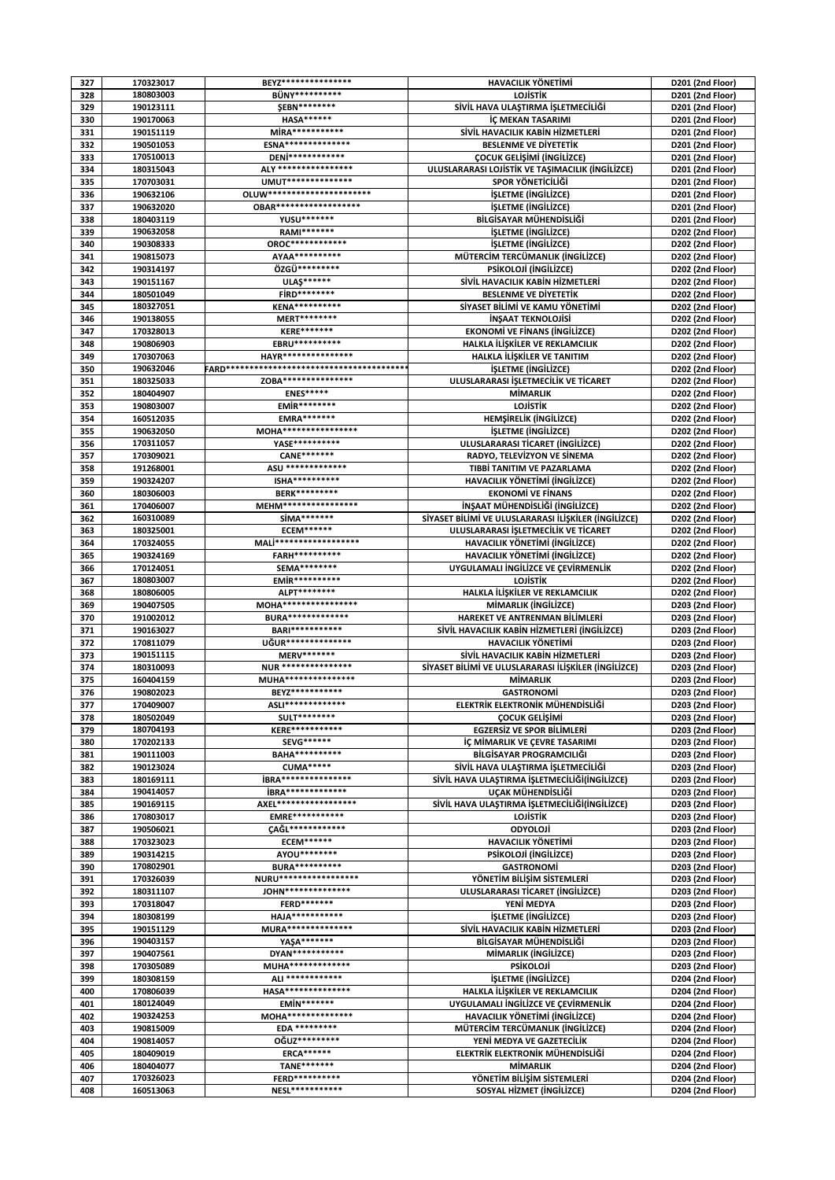| 327        | 170323017              | BEYZ****************                    | <b>HAVACILIK YÖNETİMİ</b>                                   | D201 (2nd Floor) |
|------------|------------------------|-----------------------------------------|-------------------------------------------------------------|------------------|
| 328        | 180803003              | BÜNY**********                          | LOJİSTİK                                                    | D201 (2nd Floor) |
| 329        | 190123111              | <b>ŞEBN********</b>                     | SİVİL HAVA ULAŞTIRMA İŞLETMECİLİĞİ                          | D201 (2nd Floor) |
| 330        | 190170063              | <b>HASA******</b>                       | İC MEKAN TASARIMI                                           | D201 (2nd Floor) |
| 331        | 190151119              | MİRA***********                         | SİVİL HAVACILIK KABİN HİZMETLERİ                            | D201 (2nd Floor) |
| 332        | 190501053              | <b>ESNA***************</b>              | <b>BESLENME VE DIYETETIK</b>                                |                  |
|            | 170510013              | DENi************                        |                                                             | D201 (2nd Floor) |
| 333        | 180315043              | ALY *****************                   | <b>COCUK GELISIMI (INGILIZCE)</b>                           | D201 (2nd Floor) |
| 334        |                        |                                         | ULUSLARARASI LOJİSTİK VE TAŞIMACILIK (İNGİLİZCE)            | D201 (2nd Floor) |
| 335        | 170703031              | UMUT***************                     | SPOR YÖNETİCİLİĞİ                                           | D201 (2nd Floor) |
| 336        | 190632106              | OLUW***********************             | <b>İSLETME (İNGİLİZCE)</b>                                  | D201 (2nd Floor) |
| 337        | 190632020              | <b>OBAR******************</b>           | <b>İSLETME (İNGİLİZCE)</b>                                  | D201 (2nd Floor) |
| 338        | 180403119              | YUSU*******                             | BİLGİSAYAR MÜHENDİSLİĞİ                                     | D201 (2nd Floor) |
| 339        | 190632058              | <b>RAMI*******</b>                      | <b>İSLETME (İNGİLİZCE)</b>                                  | D202 (2nd Floor) |
| 340        | 190308333              | OROC*************                       | <b>İSLETME (İNGİLİZCE)</b>                                  | D202 (2nd Floor) |
| 341        | 190815073              | AYAA**********                          | MÜTERCİM TERCÜMANLIK (İNGİLİZCE)                            | D202 (2nd Floor) |
| 342        | 190314197              | ÖZGÜ*********                           | PSİKOLOJİ (İNGİLİZCE)                                       | D202 (2nd Floor) |
| 343        | 190151167              | ULAS******                              | SİVİL HAVACILIK KABİN HİZMETLERİ                            | D202 (2nd Floor) |
| 344        | 180501049              | <b>FİRD********</b>                     | <b>BESLENME VE DIYETETIK</b>                                | D202 (2nd Floor) |
| 345        | 180327051              | <b>KENA**********</b>                   | SİYASET BİLİMİ VE KAMU YÖNETİMİ                             | D202 (2nd Floor) |
| 346        | 190138055              | MERT********                            | <b>INSAAT TEKNOLOJISI</b>                                   | D202 (2nd Floor) |
| 347        | 170328013              | <b>KERE*******</b>                      | <b>EKONOMI VE FINANS (INGILIZCE)</b>                        | D202 (2nd Floor) |
| 348        | 190806903              | EBRU**********                          | HALKLA İLİŞKİLER VE REKLAMCILIK                             | D202 (2nd Floor) |
| 349        | 170307063              | HAYR****************                    | HALKLA İLİŞKİLER VE TANITIM                                 | D202 (2nd Floor) |
| 350        | 190632046              |                                         | <i><b>İŞLETME (İNGİLİZCE)</b></i>                           | D202 (2nd Floor) |
| 351        | 180325033              | ZOBA****************                    | ULUSLARARASI İŞLETMECİLİK VE TİCARET                        | D202 (2nd Floor) |
| 352        | 180404907              | <b>ENES*****</b>                        | <b>MİMARLIK</b>                                             | D202 (2nd Floor) |
| 353        | 190803007              | EMİR********                            | LOJİSTİK                                                    | D202 (2nd Floor) |
| 354        | 160512035              | <b>EMRA*******</b>                      | <b>HEMSIRELIK (INGILIZCE)</b>                               | D202 (2nd Floor) |
| 355        | 190632050              | MOHA*****************                   | <b>İSLETME (İNGİLİZCE)</b>                                  | D202 (2nd Floor) |
| 356        | 170311057              | YASE***********                         | ULUSLARARASI TİCARET (İNGİLİZCE)                            | D202 (2nd Floor) |
| 357        | 170309021              | CANE*******                             | RADYO, TELEVIZYON VE SINEMA                                 | D202 (2nd Floor) |
| 358        | 191268001              | <b>ASU **************</b>               | TIBBİ TANITIM VE PAZARLAMA                                  | D202 (2nd Floor) |
| 359        | 190324207              | ISHA**********                          | HAVACILIK YÖNETİMİ (İNGİLİZCE)                              | D202 (2nd Floor) |
| 360        | 180306003              | <b>BERK*********</b>                    | <b>EKONOMİ VE FİNANS</b>                                    | D202 (2nd Floor) |
| 361        | 170406007              | MEHM*****************                   | İNŞAAT MÜHENDİSLİĞİ (İNGİLİZCE)                             | D202 (2nd Floor) |
| 362        | 160310089              | SİMA*******                             | SİYASET BİLİMİ VE ULUSLARARASI İLİŞKİLER (İNGİLİZCE)        | D202 (2nd Floor) |
| 363        | 180325001              | <b>ECEM******</b>                       | ULUSLARARASI İŞLETMECİLİK VE TİCARET                        | D202 (2nd Floor) |
| 364        | 170324055              | MALI*******************                 | HAVACILIK YÖNETİMİ (İNGİLİZCE)                              | D202 (2nd Floor) |
| 365        | 190324169              | FARH**********                          | HAVACILIK YÖNETİMİ (İNGİLİZCE)                              | D202 (2nd Floor) |
| 366        | 170124051              | SEMA********                            | UYGULAMALI İNGİLİZCE VE ÇEVİRMENLİK                         | D202 (2nd Floor) |
| 367        | 180803007              | EMİR**********                          | LOJİSTİK                                                    | D202 (2nd Floor) |
| 368        | 180806005              | ALPT********                            | HALKLA İLİŞKİLER VE REKLAMCILIK                             | D202 (2nd Floor) |
| 369        | 190407505              | MOHA*****************                   | MİMARLIK (İNGİLİZCE)                                        | D203 (2nd Floor) |
| 370        | 191002012              | <b>BURA**************</b>               | HAREKET VE ANTRENMAN BİLİMLERİ                              | D203 (2nd Floor) |
| 371        | 190163027              | <b>BARI***********</b>                  | SİVİL HAVACILIK KABİN HİZMETLERİ (İNGİLİZCE)                | D203 (2nd Floor) |
| 372        | 170811079              | UĞUR***************                     | <b>HAVACILIK YÖNETİMİ</b>                                   | D203 (2nd Floor) |
| 373        | 190151115              | <b>MERV*******</b>                      | SİVİL HAVACILIK KABİN HİZMETLERİ                            | D203 (2nd Floor) |
| 374        | 180310093              | <b>NUR ****************</b>             | SİYASET BİLİMİ VE ULUSLARARASI İLİŞKİLER (İNGİLİZCE)        | D203 (2nd Floor) |
| 375        | 160404159              | MUHA****************                    | <b>MİMARLIK</b>                                             | D203 (2nd Floor) |
| 376        | 190802023              | BEYZ***********                         | <b>GASTRONOMI</b>                                           | D203 (2nd Floor) |
| 377        | 170409007              | ASLI**************                      | ELEKTRİK ELEKTRONİK MÜHENDİSLİĞİ                            | D203 (2nd Floor) |
| 378        | 180502049              | <b>SULT********</b>                     | ÇOCUK GELİŞİMİ                                              | D203 (2nd Floor) |
| 379        | 180704193              | KERE************                        | <b>EGZERSIZ VE SPOR BILIMLERI</b>                           | D203 (2nd Floor) |
| 380        | 170202133              | <b>SEVG******</b>                       | İÇ MİMARLIK VE ÇEVRE TASARIMI                               | D203 (2nd Floor) |
| 381        | 190111003              | <b>BAHA**********</b>                   | BİLGİSAYAR PROGRAMCILIĞI                                    | D203 (2nd Floor) |
| 382        | 190123024              | <b>CUMA*****</b>                        | SİVİL HAVA ULAŞTIRMA İŞLETMECİLİĞİ                          | D203 (2nd Floor) |
| 383        | 180169111              | <b>İBRA****************</b>             | SİVİL HAVA ULAŞTIRMA İŞLETMECİLİĞİ(İNGİLİZCE)               | D203 (2nd Floor) |
| 384        | 190414057              | <b>İBRA*************</b>                | UÇAK MÜHENDİSLİĞİ                                           | D203 (2nd Floor) |
| 385        | 190169115              | AXEL******************                  | SİVİL HAVA ULAŞTIRMA İŞLETMECİLİĞİ(İNGİLİZCE)               | D203 (2nd Floor) |
| 386        | 170803017              | <b>EMRE************</b>                 | <b>LOJISTIK</b>                                             | D203 (2nd Floor) |
| 387        | 190506021              | CAĞL*************                       | ODYOLOJİ                                                    | D203 (2nd Floor) |
| 388        | 170323023              | <b>ECEM******</b>                       | <b>HAVACILIK YÖNETİMİ</b>                                   | D203 (2nd Floor) |
| 389        | 190314215              | AYOU********                            | PSİKOLOJİ (İNGİLİZCE)                                       | D203 (2nd Floor) |
| 390        | 170802901              | <b>BURA***********</b>                  | <b>GASTRONOMI</b>                                           | D203 (2nd Floor) |
| 391        | 170326039              | <b>NURU******************</b>           | YÖNETİM BİLİŞİM SİSTEMLERİ                                  | D203 (2nd Floor) |
| 392        | 180311107              | JOHN***************                     | ULUSLARARASI TİCARET (İNGİLİZCE)                            | D203 (2nd Floor) |
| 393        | 170318047              | FERD*******                             | YENİ MEDYA                                                  | D203 (2nd Floor) |
|            |                        | HAJA***********                         | <b>İŞLETME (İNGİLİZCE)</b>                                  |                  |
| 394<br>395 | 180308199<br>190151129 | MURA***************                     |                                                             | D203 (2nd Floor) |
| 396        |                        | YA\$A*******                            | SİVİL HAVACILIK KABİN HİZMETLERİ<br>BİLGİSAYAR MÜHENDİSLİĞİ | D203 (2nd Floor) |
|            | 190403157              | DYAN***********                         |                                                             | D203 (2nd Floor) |
| 397        | 190407561              |                                         | MİMARLIK (İNGİLİZCE)                                        | D203 (2nd Floor) |
| 398        | 170305089              | MUHA**************<br>ALI ************* | <b>PSİKOLOJİ</b>                                            | D203 (2nd Floor) |
| 399        | 180308159              |                                         | <b>İŞLETME (İNGİLİZCE)</b>                                  | D204 (2nd Floor) |
| 400        | 170806039              | HASA***************                     | HALKLA İLİŞKİLER VE REKLAMCILIK                             | D204 (2nd Floor) |
| 401        | 180124049              | <b>EMİN*******</b>                      | UYGULAMALI İNGİLİZCE VE ÇEVİRMENLİK                         | D204 (2nd Floor) |
| 402        | 190324253              | MOHA***************                     | HAVACILIK YÖNETİMİ (İNGİLİZCE)                              | D204 (2nd Floor) |
| 403        | 190815009              | EDA **********                          | MÜTERCİM TERCÜMANLIK (İNGİLİZCE)                            | D204 (2nd Floor) |
| 404        | 190814057              | OĞUZ*********                           | YENİ MEDYA VE GAZETECİLİK                                   | D204 (2nd Floor) |
| 405        | 180409019              | <b>ERCA******</b>                       | ELEKTRİK ELEKTRONİK MÜHENDİSLİĞİ                            | D204 (2nd Floor) |
| 406        | 180404077              | TANE*******                             | <b>MİMARLIK</b>                                             | D204 (2nd Floor) |
| 407        | 170326023              | FERD**********                          | YÖNETİM BİLİŞİM SİSTEMLERİ                                  | D204 (2nd Floor) |
| 408        | 160513063              | NESL************                        | SOSYAL HİZMET (İNGİLİZCE)                                   | D204 (2nd Floor) |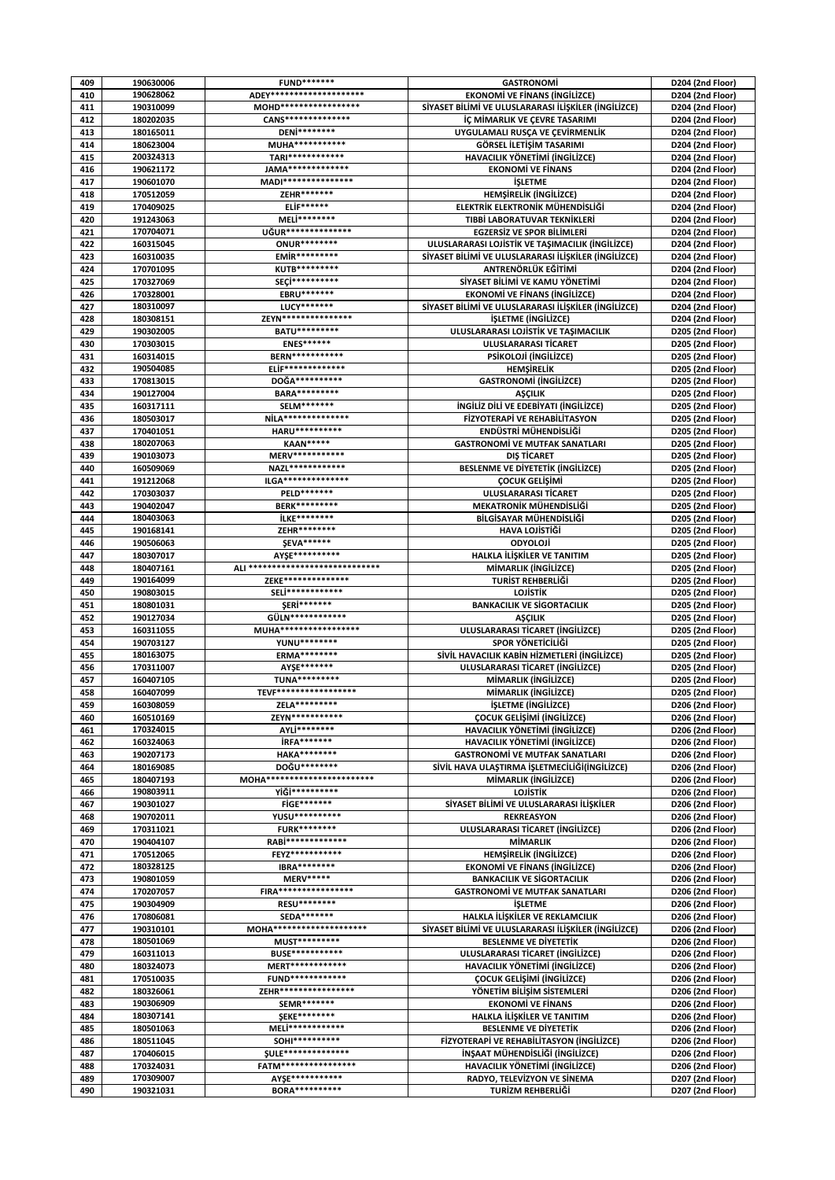| 409        | 190630006              | <b>FUND*******</b>                         | <b>GASTRONOMI</b>                                    | D204 (2nd Floor)                     |
|------------|------------------------|--------------------------------------------|------------------------------------------------------|--------------------------------------|
| 410        | 190628062              | ADEY*********************                  | <b>EKONOMI VE FINANS (INGILIZCE)</b>                 | D204 (2nd Floor)                     |
| 411        | 190310099              | MOHD******************                     | SİYASET BİLİMİ VE ULUSLARARASI İLİŞKİLER (İNGİLİZCE) | D204 (2nd Floor)                     |
| 412        | 180202035              | <b>CANS**************</b>                  | İÇ MİMARLIK VE ÇEVRE TASARIMI                        | D204 (2nd Floor)                     |
| 413        | 180165011              | DENi********                               | UYGULAMALI RUSÇA VE ÇEVİRMENLİK                      | D204 (2nd Floor)                     |
| 414        | 180623004              | MUHA************                           | GÖRSEL İLETİŞİM TASARIMI                             | D204 (2nd Floor)                     |
| 415        | 200324313              | TARI************                           | HAVACILIK YÖNETİMİ (İNGİLİZCE)                       | D204 (2nd Floor)                     |
|            |                        | JAMA**************                         |                                                      |                                      |
| 416        | 190621172              |                                            | <b>EKONOMİ VE FİNANS</b>                             | D204 (2nd Floor)                     |
| 417        | 190601070              | MADI****************                       | <b>İŞLETME</b>                                       | D204 (2nd Floor)                     |
| 418        | 170512059              | ZEHR*******                                | <b>HEMSIRELIK (INGILIZCE)</b>                        | D204 (2nd Floor)                     |
| 419        | 170409025              | <b>ELİF******</b>                          | ELEKTRİK ELEKTRONİK MÜHENDİSLİĞİ                     | D204 (2nd Floor)                     |
| 420        | 191243063              | MELİ********                               | TIBBİ LABORATUVAR TEKNİKLERİ                         | D204 (2nd Floor)                     |
| 421        | 170704071              | UĞUR***************                        | <b>EGZERSIZ VE SPOR BILIMLERI</b>                    | D204 (2nd Floor)                     |
| 422        | 160315045              | <b>ONUR********</b>                        | ULUSLARARASI LOJİSTİK VE TAŞIMACILIK (İNGİLİZCE)     | D204 (2nd Floor)                     |
| 423        | 160310035              | EMİR*********                              | SİYASET BİLİMİ VE ULUSLARARASI İLİŞKİLER (İNGİLİZCE) | D204 (2nd Floor)                     |
| 424        | 170701095              | <b>KUTB*********</b>                       | ANTRENÖRLÜK EĞİTİMİ                                  | D204 (2nd Floor)                     |
| 425        | 170327069              | SECİ**********                             | SİYASET BİLİMİ VE KAMU YÖNETİMİ                      | D204 (2nd Floor)                     |
| 426        | 170328001              | EBRU*******                                | <b>EKONOMI VE FINANS (INGILIZCE)</b>                 | D204 (2nd Floor)                     |
| 427        | 180310097              | <b>LUCY*******</b>                         | SİYASET BİLİMİ VE ULUSLARARASI İLİŞKİLER (İNGİLİZCE) | D204 (2nd Floor)                     |
| 428        | 180308151              | ZEYN****************                       | <b>ISLETME (INGILIZCE)</b>                           | D204 (2nd Floor)                     |
| 429        | 190302005              | BATU *********                             | ULUSLARARASI LOJİSTİK VE TAŞIMACILIK                 | D205 (2nd Floor)                     |
| 430        | 170303015              | <b>ENES******</b>                          | ULUSLARARASI TİCARET                                 | D205 (2nd Floor)                     |
| 431        | 160314015              | <b>BERN***********</b>                     | PSİKOLOJİ (İNGİLİZCE)                                | D205 (2nd Floor)                     |
| 432        | 190504085              | <b>ELİF*************</b>                   | HEMŞİRELİK                                           | D205 (2nd Floor)                     |
| 433        | 170813015              | DOĞA***********                            | <b>GASTRONOMI (INGILIZCE)</b>                        | D205 (2nd Floor)                     |
| 434        | 190127004              | <b>BARA**********</b>                      | <b>ASCILIK</b>                                       | D205 (2nd Floor)                     |
| 435        | 160317111              | SELM*******                                | <b>INGILIZ DILI VE EDEBIYATI (INGILIZCE)</b>         | D205 (2nd Floor)                     |
| 436        | 180503017              | NİLA***************                        | FİZYOTERAPİ VE REHABİLİTASYON                        | D205 (2nd Floor)                     |
| 437        | 170401051              | HARU**********                             | ENDÜSTRİ MÜHENDİSLİĞİ                                | D205 (2nd Floor)                     |
| 438        | 180207063              | <b>KAAN*****</b>                           | <b>GASTRONOMI VE MUTFAK SANATLARI</b>                | D205 (2nd Floor)                     |
| 439        | 190103073              | MERV***********                            | DIŞ TİCARET                                          | D205 (2nd Floor)                     |
| 440        | 160509069              | NAZL*************                          | <b>BESLENME VE DIYETETIK (INGILIZCE)</b>             | D205 (2nd Floor)                     |
| 441        | 191212068              | $ILGA*********************$                | <b>COCUK GELISIMI</b>                                | D205 (2nd Floor)                     |
| 442        | 170303037              | <b>PELD*******</b>                         | ULUSLARARASI TİCARET                                 | D205 (2nd Floor)                     |
| 443        | 190402047              | <b>BERK*********</b>                       | <b>MEKATRONİK MÜHENDİSLİĞİ</b>                       |                                      |
|            |                        | <b>İLKE********</b>                        |                                                      | D205 (2nd Floor)                     |
| 444        | 180403063              |                                            | BİLGİSAYAR MÜHENDİSLİĞİ                              | D205 (2nd Floor)                     |
| 445        | 190168141              | ZEHR********                               | <b>HAVA LOJİSTİĞİ</b>                                | D205 (2nd Floor)                     |
| 446        | 190506063              | <b>ŞEVA******</b>                          | ODYOLOJİ                                             | D205 (2nd Floor)                     |
| 447        | 180307017              | AYŞE***********                            | HALKLA İLİŞKİLER VE TANITIM                          | D205 (2nd Floor)                     |
| 448        | 180407161              | ALI *****************************          | MİMARLIK (İNGİLİZCE)                                 | D205 (2nd Floor)                     |
| 449        | 190164099              | ZEKE***************                        | TURİST REHBERLİĞİ                                    | D205 (2nd Floor)                     |
| 450        | 190803015              | SELİ************                           | <b>LOJISTIK</b>                                      | D205 (2nd Floor)                     |
| 451        | 180801031              | <b>ŞERİ*******</b>                         | <b>BANKACILIK VE SİGORTACILIK</b>                    | D205 (2nd Floor)                     |
| 452        | 190127034              | GÜLN************                           | <b>AŞÇILIK</b>                                       | D205 (2nd Floor)                     |
| 453        | 160311055              | MUHA******************                     | ULUSLARARASI TİCARET (İNGİLİZCE)                     | D205 (2nd Floor)                     |
| 454        | 190703127              | YUNU********                               | SPOR YÖNETİCİLİĞİ                                    | D205 (2nd Floor)                     |
| 455        | 180163075              | ERMA********                               | SİVİL HAVACILIK KABİN HİZMETLERİ (İNGİLİZCE)         | D205 (2nd Floor)                     |
| 456        |                        |                                            | ULUSLARARASI TİCARET (İNGİLİZCE)                     |                                      |
|            | 170311007              | AYŞE*******                                |                                                      | D205 (2nd Floor)                     |
| 457        | 160407105              | <b>TUNA*********</b>                       | MİMARLIK (İNGİLİZCE)                                 | D205 (2nd Floor)                     |
| 458        | 160407099              | TEVF******************                     | MİMARLIK (İNGİLİZCE)                                 | D205 (2nd Floor)                     |
| 459        | 160308059              | ZELA*********                              | <b>İŞLETME</b> (İNGİLİZCE)                           | D206 (2nd Floor)                     |
| 460        | 160510169              | ZEYN***********                            | <b>COCUK GELISIMI (INGILIZCE)</b>                    | D206 (2nd Floor)                     |
| 461        | 170324015              | AYLİ********                               | HAVACILIK YÖNETİMİ (İNGİLİZCE)                       | D206 (2nd Floor)                     |
| 462        | 160324063              | <b>İRFA*******</b>                         | HAVACILIK YÖNETİMİ (İNGİLİZCE)                       | D206 (2nd Floor)                     |
| 463        | 190207173              | <b>HAKA********</b>                        | <b>GASTRONOMİ VE MUTFAK SANATLARI</b>                | D206 (2nd Floor)                     |
| 464        | 180169085              | DOĞU********                               | SİVİL HAVA ULAŞTIRMA İŞLETMECİLİĞİ(İNGİLİZCE)        | D206 (2nd Floor)                     |
| 465        | 180407193              | MOHA************************               | MİMARLIK (İNGİLİZCE)                                 | D206 (2nd Floor)                     |
| 466        | 190803911              | YİĞİ**********                             | <b>LOJİSTİK</b>                                      | D206 (2nd Floor)                     |
| 467        | 190301027              | <b>FİGE*******</b>                         | SİYASET BİLİMİ VE ULUSLARARASI İLİŞKİLER             | D206 (2nd Floor)                     |
| 468        | 190702011              | YUSU**********                             | <b>REKREASYON</b>                                    | D206 (2nd Floor)                     |
| 469        | 170311021              | <b>FURK********</b>                        | ULUSLARARASI TİCARET (İNGİLİZCE)                     | D206 (2nd Floor)                     |
| 470        | 190404107              | RABİ**************                         | MİMARLIK                                             | D206 (2nd Floor)                     |
| 471        | 170512065              | FEYZ***********                            | <b>HEMSIRELIK (INGILIZCE)</b>                        | D206 (2nd Floor)                     |
| 472        | 180328125              | <b>IBRA********</b>                        | <b>EKONOMİ VE FİNANS (İNGİLİZCE)</b>                 | D206 (2nd Floor)                     |
| 473        | 190801059              | <b>MERV*****</b>                           | <b>BANKACILIK VE SİGORTACILIK</b>                    | D206 (2nd Floor)                     |
| 474        | 170207057              | <b>FIRA*****************</b>               | <b>GASTRONOMİ VE MUTFAK SANATLARI</b>                | D206 (2nd Floor)                     |
| 475        | 190304909              | RESU********                               | <b>İŞLETME</b>                                       |                                      |
|            |                        | <b>SEDA*******</b>                         |                                                      | D206 (2nd Floor)                     |
| 476        | 170806081              |                                            | HALKLA İLİŞKİLER VE REKLAMCILIK                      | D206 (2nd Floor)                     |
| 477        | 190310101              | MOHA*********************<br>MUST********* | SİYASET BİLİMİ VE ULUSLARARASI İLİŞKİLER (İNGİLİZCE) | D206 (2nd Floor)                     |
| 478        | 180501069              |                                            | <b>BESLENME VE DIYETETIK</b>                         | D206 (2nd Floor)                     |
| 479        | 160311013              | <b>BUSE***********</b>                     | ULUSLARARASI TİCARET (İNGİLİZCE)                     | D206 (2nd Floor)                     |
| 480        | 180324073              | MERT************                           | HAVACILIK YÖNETİMİ (İNGİLİZCE)                       | D206 (2nd Floor)                     |
| 481        | 170510035              | <b>FUND*************</b>                   | <b>ÇOCUK GELİŞİMİ (İNGİLİZCE)</b>                    | D206 (2nd Floor)                     |
| 482        | 180326061              | ZEHR*****************                      | YÖNETİM BİLİŞİM SİSTEMLERİ                           | D206 (2nd Floor)                     |
| 483        | 190306909              | <b>SEMR*******</b>                         | <b>EKONOMİ VE FİNANS</b>                             | D206 (2nd Floor)                     |
| 484        | 180307141              | <b>SEKE********</b>                        | HALKLA İLİŞKİLER VE TANITIM                          | D206 (2nd Floor)                     |
| 485        | 180501063              | MELİ*************                          | <b>BESLENME VE DIYETETIK</b>                         | D206 (2nd Floor)                     |
| 486        | 180511045              | SOHI**********                             | FİZYOTERAPİ VE REHABİLİTASYON (İNGİLİZCE)            | D206 (2nd Floor)                     |
| 487        | 170406015              | <b>SULE***************</b>                 | İNŞAAT MÜHENDİSLİĞİ (İNGİLİZCE)                      | D206 (2nd Floor)                     |
| 488        | 170324031              | FATM*****************                      | HAVACILIK YÖNETİMİ (İNGİLİZCE)                       | D206 (2nd Floor)                     |
| 489<br>490 | 170309007<br>190321031 | AYSE************<br><b>BORA**********</b>  | RADYO, TELEVİZYON VE SİNEMA<br>TURİZM REHBERLİĞİ     | D207 (2nd Floor)<br>D207 (2nd Floor) |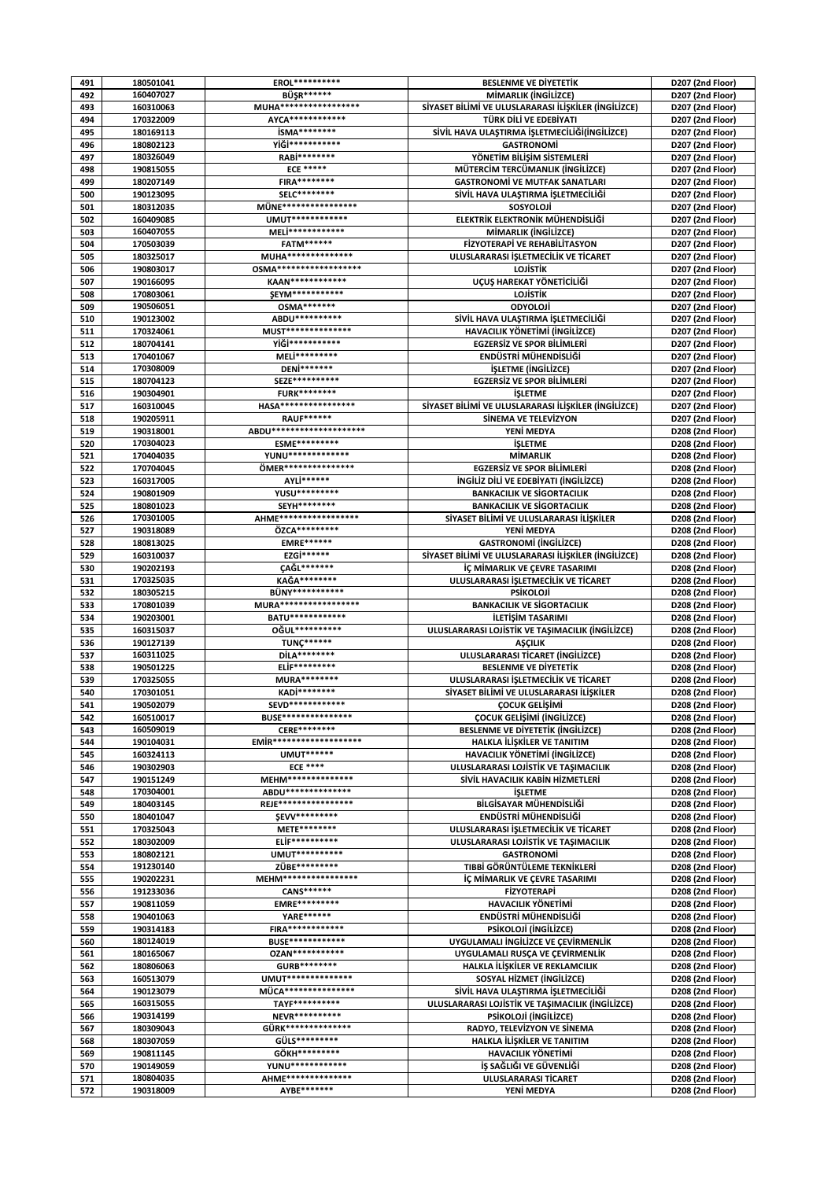| BÜŞR******<br>492<br>MİMARLIK (İNGİLİZCE)<br>160407027<br>D207 (2nd Floor)<br>MUHA*******************<br>SİYASET BİLİMİ VE ULUSLARARASI İLİŞKİLER (İNGİLİZCE)<br>493<br>160310063<br>D207 (2nd Floor)<br>170322009<br>AYCA*************<br>TÜRK DİLİ VE EDEBİYATI<br>494<br>D207 (2nd Floor)<br><b>İSMA********</b><br>495<br>180169113<br>SİVİL HAVA ULAŞTIRMA İŞLETMECİLİĞİ(İNGİLİZCE)<br>D207 (2nd Floor)<br>YİĞİ***********<br>496<br>180802123<br><b>GASTRONOMI</b><br>D207 (2nd Floor)<br>180326049<br>RABİ********<br>497<br>YÖNETIM BİLİSİM SİSTEMLERİ<br>D207 (2nd Floor)<br><b>ECE *****</b><br>MÜTERCİM TERCÜMANLIK (İNGİLİZCE)<br>498<br>190815055<br>D207 (2nd Floor)<br>499<br>180207149<br><b>FIRA********</b><br><b>GASTRONOMİ VE MUTFAK SANATLARI</b><br>D207 (2nd Floor)<br>190123095<br>SELC********<br>SİVİL HAVA ULAŞTIRMA İŞLETMECİLİĞİ<br>500<br>D207 (2nd Floor)<br>MÜNE*****************<br>180312035<br>SOSYOLOJİ<br>501<br>D207 (2nd Floor)<br>UMUT*************<br>ELEKTRİK ELEKTRONİK MÜHENDİSLİĞİ<br>502<br>160409085<br>D207 (2nd Floor)<br>MELİ************<br>503<br>160407055<br>MİMARLIK (İNGİLİZCE)<br>D207 (2nd Floor)<br><b>FATM******</b><br>504<br>170503039<br>FİZYOTERAPİ VE REHABİLİTASYON<br>D207 (2nd Floor)<br>MUHA***************<br>505<br>ULUSLARARASI İŞLETMECİLİK VE TİCARET<br>D207 (2nd Floor)<br>180325017<br>OSMA*******************<br>506<br>LOJİSTİK<br>D207 (2nd Floor)<br>190803017<br>KAAN*************<br>UÇUŞ HAREKAT YÖNETİCİLİĞİ<br>507<br>190166095<br>D207 (2nd Floor)<br><b>ŞEYM***********</b><br>508<br>170803061<br><b>LOJISTIK</b><br>D207 (2nd Floor)<br><b>OSMA*******</b><br>ODYOLOJİ<br>509<br>190506051<br>D207 (2nd Floor)<br>ABDU**********<br>190123002<br>SİVİL HAVA ULAŞTIRMA İŞLETMECİLİĞİ<br>510<br>D207 (2nd Floor)<br>MUST***************<br>511<br>170324061<br>HAVACILIK YÖNETİMİ (İNGİLİZCE)<br>D207 (2nd Floor)<br>YİĞİ***********<br>512<br>180704141<br><b>EGZERSIZ VE SPOR BILIMLERI</b><br>D207 (2nd Floor)<br>170401067<br>MELİ*********<br>ENDÜSTRİ MÜHENDİSLİĞİ<br>513<br>D207 (2nd Floor)<br>DENi*******<br>514<br>170308009<br><i><b>İŞLETME (İNGİLİZCE)</b></i><br>D207 (2nd Floor)<br>SEZE***********<br><b>EGZERSİZ VE SPOR BİLİMLERİ</b><br>515<br>180704123<br>D207 (2nd Floor)<br><b>FURK********</b><br>516<br>190304901<br><b>İŞLETME</b><br>D207 (2nd Floor)<br>HASA*****************<br>SİYASET BİLİMİ VE ULUSLARARASI İLİŞKİLER (İNGİLİZCE)<br>517<br>160310045<br>D207 (2nd Floor)<br>518<br><b>RAUF******</b><br>190205911<br>SİNEMA VE TELEVİZYON<br>D207 (2nd Floor)<br>ABDU*********************<br>519<br>190318001<br>YENİ MEDYA<br>D208 (2nd Floor)<br>170304023<br>520<br>ESME*********<br><b>İSLETME</b><br>D208 (2nd Floor)<br>YUNU**************<br>521<br>170404035<br><b>MİMARLIK</b><br>D208 (2nd Floor)<br>ÖMER***************<br>522<br>170704045<br><b>EGZERSIZ VE SPOR BILIMLERI</b><br>D208 (2nd Floor)<br>AYLİ******<br>523<br>160317005<br><b>INGILIZ DILI VE EDEBIYATI (INGILIZCE)</b><br>D208 (2nd Floor)<br>YUSU*********<br>524<br>190801909<br><b>BANKACILIK VE SIGORTACILIK</b><br>D208 (2nd Floor)<br>SEYH********<br>525<br>180801023<br><b>BANKACILIK VE SİGORTACILIK</b><br>D208 (2nd Floor)<br>AHME*******************<br>SİYASET BİLİMİ VE ULUSLARARASI İLİŞKİLER<br>526<br>170301005<br>D208 (2nd Floor)<br>190318089<br>ÖZCA*********<br>527<br>YENİ MEDYA<br>D208 (2nd Floor)<br><b>EMRE******</b><br>528<br>180813025<br><b>GASTRONOMI (INGILIZCE)</b><br>D208 (2nd Floor)<br>EZGİ******<br>SİYASET BİLİMİ VE ULUSLARARASI İLİŞKİLER (İNGİLİZCE)<br>529<br>160310037<br>D208 (2nd Floor)<br>190202193<br><b>ÇAĞL*******</b><br>530<br>İÇ MİMARLIK VE ÇEVRE TASARIMI<br>D208 (2nd Floor)<br>531<br><b>KAGA********</b><br>ULUSLARARASI İŞLETMECİLİK VE TİCARET<br>170325035<br>D208 (2nd Floor)<br><b>BÜNY***********</b><br>532<br>180305215<br><b>PSİKOLOJİ</b><br>D208 (2nd Floor)<br>MURA******************<br>170801039<br>533<br><b>BANKACILIK VE SİGORTACILIK</b><br>D208 (2nd Floor)<br>BATU************<br>534<br>190203001<br>İLETİŞİM TASARIMI<br>D208 (2nd Floor)<br>0ĞUL**********<br>535<br>ULUSLARARASI LOJİSTİK VE TAŞIMACILIK (İNGİLİZCE)<br>160315037<br>D208 (2nd Floor)<br><b>TUNÇ******</b><br>190127139<br>536<br><b>ASCILIK</b><br>D208 (2nd Floor)<br>DİLA********<br>537<br>160311025<br>ULUSLARARASI TİCARET (İNGİLİZCE)<br>D208 (2nd Floor)<br><b>ELİF*********</b><br>538<br>190501225<br><b>BESLENME VE DIYETETIK</b><br>D208 (2nd Floor)<br><b>MURA********</b><br>539<br>170325055<br>ULUSLARARASI İŞLETMECİLİK VE TİCARET<br>D208 (2nd Floor)<br>KADİ********<br>170301051<br>SİYASET BİLİMİ VE ULUSLARARASI İLİŞKİLER<br>540<br>D208 (2nd Floor)<br>190502079<br>SEVD************<br>ÇOCUK GELİŞİMİ<br>D208 (2nd Floor)<br>541<br><b>BUSE****************</b><br>ÇOCUK GELİŞİMİ (İNGİLİZCE)<br>542<br>160510017<br>D208 (2nd Floor)<br>160509019<br><b>CERE********</b><br><b>BESLENME VE DIYETETIK (INGILIZCE)</b><br>D208 (2nd Floor)<br>543<br>EMIR********************<br>HALKLA İLİŞKİLER VE TANITIM<br>544<br>190104031<br>D208 (2nd Floor)<br><b>UMUT******</b><br>HAVACILIK YÖNETİMİ (İNGİLİZCE)<br>545<br>160324113<br>D208 (2nd Floor)<br><b>ECE ****</b><br>190302903<br>ULUSLARARASI LOJİSTİK VE TAŞIMACILIK<br>D208 (2nd Floor)<br>546<br>MEHM***************<br>190151249<br>SİVİL HAVACILIK KABİN HİZMETLERİ<br>547<br>D208 (2nd Floor)<br>ABDU***************<br>170304001<br>D208 (2nd Floor)<br>548<br><b>İSLETME</b><br>REJE*****************<br>180403145<br>549<br>BİLGİSAYAR MÜHENDİSLİĞİ<br>D208 (2nd Floor)<br><b>SEVV*********</b><br>ENDÜSTRİ MÜHENDİSLİĞİ<br>D208 (2nd Floor)<br>550<br>180401047<br>METE********<br>ULUSLARARASI İŞLETMECİLİK VE TİCARET<br>551<br>170325043<br>D208 (2nd Floor)<br><b>ELİF**********</b><br>ULUSLARARASI LOJİSTİK VE TASIMACILIK<br>D208 (2nd Floor)<br>552<br>180302009<br>UMUT**********<br>180802121<br><b>GASTRONOMI</b><br>D208 (2nd Floor)<br>553<br>ZÜBE*********<br>TIBBİ GÖRÜNTÜLEME TEKNİKLERİ<br>554<br>191230140<br>D208 (2nd Floor)<br>MEHM*****************<br>555<br>190202231<br>İÇ MİMARLIK VE ÇEVRE TASARIMI<br>D208 (2nd Floor)<br>CANS******<br>191233036<br><b>FİZYOTERAPİ</b><br>556<br>D208 (2nd Floor)<br><b>EMRE*********</b><br>557<br>190811059<br><b>HAVACILIK YÖNETİMİ</b><br>D208 (2nd Floor)<br>YARE******<br>ENDÜSTRİ MÜHENDİSLİĞİ<br>558<br>190401063<br>D208 (2nd Floor)<br><b>FIRA************</b><br>190314183<br>PSİKOLOJİ (İNGİLİZCE)<br>559<br>D208 (2nd Floor)<br><b>BUSE*************</b><br>UYGULAMALI İNGİLİZCE VE ÇEVİRMENLİK<br>560<br>180124019<br>D208 (2nd Floor)<br><b>OZAN***********</b><br>UYGULAMALI RUSÇA VE ÇEVİRMENLİK<br>561<br>180165067<br>D208 (2nd Floor)<br>GURB********<br>180806063<br>HALKLA İLİŞKİLER VE REKLAMCILIK<br>562<br>D208 (2nd Floor)<br>UMUT***************<br>SOSYAL HİZMET (İNGİLİZCE)<br>160513079<br>D208 (2nd Floor)<br>563<br>MÜCA****************<br>SİVİL HAVA ULAŞTIRMA İŞLETMECİLİĞİ<br>564<br>190123079<br>D208 (2nd Floor)<br><b>TAYF**********</b><br>ULUSLARARASI LOJİSTİK VE TAŞIMACILIK (İNGİLİZCE)<br>D208 (2nd Floor)<br>565<br>160315055<br>190314199<br><b>NEVR**********</b><br>PSİKOLOJİ (İNGİLİZCE)<br>566<br>D208 (2nd Floor)<br>GÜRK***************<br>567<br>180309043<br>RADYO, TELEVIZYON VE SİNEMA<br>D208 (2nd Floor)<br>GÜLS*********<br>HALKLA İLİŞKİLER VE TANITIM<br>568<br>180307059<br>D208 (2nd Floor)<br>GÖKH*********<br>190811145<br><b>HAVACILIK YÖNETİMİ</b><br>D208 (2nd Floor)<br>569<br>YUNU*************<br>İŞ SAĞLIĞI VE GÜVENLİĞİ<br>190149059<br>D208 (2nd Floor)<br>570<br>AHME***************<br>571<br>180804035<br>ULUSLARARASI TİCARET<br>D208 (2nd Floor) | 491 | 180501041 | EROL********** | <b>BESLENME VE DIYETETIK</b> | D207 (2nd Floor) |
|------------------------------------------------------------------------------------------------------------------------------------------------------------------------------------------------------------------------------------------------------------------------------------------------------------------------------------------------------------------------------------------------------------------------------------------------------------------------------------------------------------------------------------------------------------------------------------------------------------------------------------------------------------------------------------------------------------------------------------------------------------------------------------------------------------------------------------------------------------------------------------------------------------------------------------------------------------------------------------------------------------------------------------------------------------------------------------------------------------------------------------------------------------------------------------------------------------------------------------------------------------------------------------------------------------------------------------------------------------------------------------------------------------------------------------------------------------------------------------------------------------------------------------------------------------------------------------------------------------------------------------------------------------------------------------------------------------------------------------------------------------------------------------------------------------------------------------------------------------------------------------------------------------------------------------------------------------------------------------------------------------------------------------------------------------------------------------------------------------------------------------------------------------------------------------------------------------------------------------------------------------------------------------------------------------------------------------------------------------------------------------------------------------------------------------------------------------------------------------------------------------------------------------------------------------------------------------------------------------------------------------------------------------------------------------------------------------------------------------------------------------------------------------------------------------------------------------------------------------------------------------------------------------------------------------------------------------------------------------------------------------------------------------------------------------------------------------------------------------------------------------------------------------------------------------------------------------------------------------------------------------------------------------------------------------------------------------------------------------------------------------------------------------------------------------------------------------------------------------------------------------------------------------------------------------------------------------------------------------------------------------------------------------------------------------------------------------------------------------------------------------------------------------------------------------------------------------------------------------------------------------------------------------------------------------------------------------------------------------------------------------------------------------------------------------------------------------------------------------------------------------------------------------------------------------------------------------------------------------------------------------------------------------------------------------------------------------------------------------------------------------------------------------------------------------------------------------------------------------------------------------------------------------------------------------------------------------------------------------------------------------------------------------------------------------------------------------------------------------------------------------------------------------------------------------------------------------------------------------------------------------------------------------------------------------------------------------------------------------------------------------------------------------------------------------------------------------------------------------------------------------------------------------------------------------------------------------------------------------------------------------------------------------------------------------------------------------------------------------------------------------------------------------------------------------------------------------------------------------------------------------------------------------------------------------------------------------------------------------------------------------------------------------------------------------------------------------------------------------------------------------------------------------------------------------------------------------------------------------------------------------------------------------------------------------------------------------------------------------------------------------------------------------------------------------------------------------------------------------------------------------------------------------------------------------------------------------------------------------------------------------------------------------------------------------------------------------------------------------------------------------------------------------------------------------------------------------------------------------------------------------------------------------------------------------------------------------------------------------------------------------------------------------------------------------------------------------------------------------------------------------------------------------------------------------------------------------------------------------------------------------------------------------------------------------------------------------------------------------------------------------------------------------------------------------------------------------------------------------------------------------------------------------------------------------------------------------------------------------------------------------------------------------------------------------------------------------------------------------------------------------------------------------------------------------------------------------------------------------------------------------------------------------------------------------------------------------------------------------------------------------------------------------------------------------------------------------------------------------------------|-----|-----------|----------------|------------------------------|------------------|
|                                                                                                                                                                                                                                                                                                                                                                                                                                                                                                                                                                                                                                                                                                                                                                                                                                                                                                                                                                                                                                                                                                                                                                                                                                                                                                                                                                                                                                                                                                                                                                                                                                                                                                                                                                                                                                                                                                                                                                                                                                                                                                                                                                                                                                                                                                                                                                                                                                                                                                                                                                                                                                                                                                                                                                                                                                                                                                                                                                                                                                                                                                                                                                                                                                                                                                                                                                                                                                                                                                                                                                                                                                                                                                                                                                                                                                                                                                                                                                                                                                                                                                                                                                                                                                                                                                                                                                                                                                                                                                                                                                                                                                                                                                                                                                                                                                                                                                                                                                                                                                                                                                                                                                                                                                                                                                                                                                                                                                                                                                                                                                                                                                                                                                                                                                                                                                                                                                                                                                                                                                                                                                                                                                                                                                                                                                                                                                                                                                                                                                                                                                                                                                                                                                                                                                                                                                                                                                                                                                                                                                                                                                                                                                                                                                                                                                                                                                                                                                                                                                                                                                                                                                                                                                                                                |     |           |                |                              |                  |
|                                                                                                                                                                                                                                                                                                                                                                                                                                                                                                                                                                                                                                                                                                                                                                                                                                                                                                                                                                                                                                                                                                                                                                                                                                                                                                                                                                                                                                                                                                                                                                                                                                                                                                                                                                                                                                                                                                                                                                                                                                                                                                                                                                                                                                                                                                                                                                                                                                                                                                                                                                                                                                                                                                                                                                                                                                                                                                                                                                                                                                                                                                                                                                                                                                                                                                                                                                                                                                                                                                                                                                                                                                                                                                                                                                                                                                                                                                                                                                                                                                                                                                                                                                                                                                                                                                                                                                                                                                                                                                                                                                                                                                                                                                                                                                                                                                                                                                                                                                                                                                                                                                                                                                                                                                                                                                                                                                                                                                                                                                                                                                                                                                                                                                                                                                                                                                                                                                                                                                                                                                                                                                                                                                                                                                                                                                                                                                                                                                                                                                                                                                                                                                                                                                                                                                                                                                                                                                                                                                                                                                                                                                                                                                                                                                                                                                                                                                                                                                                                                                                                                                                                                                                                                                                                                |     |           |                |                              |                  |
|                                                                                                                                                                                                                                                                                                                                                                                                                                                                                                                                                                                                                                                                                                                                                                                                                                                                                                                                                                                                                                                                                                                                                                                                                                                                                                                                                                                                                                                                                                                                                                                                                                                                                                                                                                                                                                                                                                                                                                                                                                                                                                                                                                                                                                                                                                                                                                                                                                                                                                                                                                                                                                                                                                                                                                                                                                                                                                                                                                                                                                                                                                                                                                                                                                                                                                                                                                                                                                                                                                                                                                                                                                                                                                                                                                                                                                                                                                                                                                                                                                                                                                                                                                                                                                                                                                                                                                                                                                                                                                                                                                                                                                                                                                                                                                                                                                                                                                                                                                                                                                                                                                                                                                                                                                                                                                                                                                                                                                                                                                                                                                                                                                                                                                                                                                                                                                                                                                                                                                                                                                                                                                                                                                                                                                                                                                                                                                                                                                                                                                                                                                                                                                                                                                                                                                                                                                                                                                                                                                                                                                                                                                                                                                                                                                                                                                                                                                                                                                                                                                                                                                                                                                                                                                                                                |     |           |                |                              |                  |
|                                                                                                                                                                                                                                                                                                                                                                                                                                                                                                                                                                                                                                                                                                                                                                                                                                                                                                                                                                                                                                                                                                                                                                                                                                                                                                                                                                                                                                                                                                                                                                                                                                                                                                                                                                                                                                                                                                                                                                                                                                                                                                                                                                                                                                                                                                                                                                                                                                                                                                                                                                                                                                                                                                                                                                                                                                                                                                                                                                                                                                                                                                                                                                                                                                                                                                                                                                                                                                                                                                                                                                                                                                                                                                                                                                                                                                                                                                                                                                                                                                                                                                                                                                                                                                                                                                                                                                                                                                                                                                                                                                                                                                                                                                                                                                                                                                                                                                                                                                                                                                                                                                                                                                                                                                                                                                                                                                                                                                                                                                                                                                                                                                                                                                                                                                                                                                                                                                                                                                                                                                                                                                                                                                                                                                                                                                                                                                                                                                                                                                                                                                                                                                                                                                                                                                                                                                                                                                                                                                                                                                                                                                                                                                                                                                                                                                                                                                                                                                                                                                                                                                                                                                                                                                                                                |     |           |                |                              |                  |
|                                                                                                                                                                                                                                                                                                                                                                                                                                                                                                                                                                                                                                                                                                                                                                                                                                                                                                                                                                                                                                                                                                                                                                                                                                                                                                                                                                                                                                                                                                                                                                                                                                                                                                                                                                                                                                                                                                                                                                                                                                                                                                                                                                                                                                                                                                                                                                                                                                                                                                                                                                                                                                                                                                                                                                                                                                                                                                                                                                                                                                                                                                                                                                                                                                                                                                                                                                                                                                                                                                                                                                                                                                                                                                                                                                                                                                                                                                                                                                                                                                                                                                                                                                                                                                                                                                                                                                                                                                                                                                                                                                                                                                                                                                                                                                                                                                                                                                                                                                                                                                                                                                                                                                                                                                                                                                                                                                                                                                                                                                                                                                                                                                                                                                                                                                                                                                                                                                                                                                                                                                                                                                                                                                                                                                                                                                                                                                                                                                                                                                                                                                                                                                                                                                                                                                                                                                                                                                                                                                                                                                                                                                                                                                                                                                                                                                                                                                                                                                                                                                                                                                                                                                                                                                                                                |     |           |                |                              |                  |
|                                                                                                                                                                                                                                                                                                                                                                                                                                                                                                                                                                                                                                                                                                                                                                                                                                                                                                                                                                                                                                                                                                                                                                                                                                                                                                                                                                                                                                                                                                                                                                                                                                                                                                                                                                                                                                                                                                                                                                                                                                                                                                                                                                                                                                                                                                                                                                                                                                                                                                                                                                                                                                                                                                                                                                                                                                                                                                                                                                                                                                                                                                                                                                                                                                                                                                                                                                                                                                                                                                                                                                                                                                                                                                                                                                                                                                                                                                                                                                                                                                                                                                                                                                                                                                                                                                                                                                                                                                                                                                                                                                                                                                                                                                                                                                                                                                                                                                                                                                                                                                                                                                                                                                                                                                                                                                                                                                                                                                                                                                                                                                                                                                                                                                                                                                                                                                                                                                                                                                                                                                                                                                                                                                                                                                                                                                                                                                                                                                                                                                                                                                                                                                                                                                                                                                                                                                                                                                                                                                                                                                                                                                                                                                                                                                                                                                                                                                                                                                                                                                                                                                                                                                                                                                                                                |     |           |                |                              |                  |
|                                                                                                                                                                                                                                                                                                                                                                                                                                                                                                                                                                                                                                                                                                                                                                                                                                                                                                                                                                                                                                                                                                                                                                                                                                                                                                                                                                                                                                                                                                                                                                                                                                                                                                                                                                                                                                                                                                                                                                                                                                                                                                                                                                                                                                                                                                                                                                                                                                                                                                                                                                                                                                                                                                                                                                                                                                                                                                                                                                                                                                                                                                                                                                                                                                                                                                                                                                                                                                                                                                                                                                                                                                                                                                                                                                                                                                                                                                                                                                                                                                                                                                                                                                                                                                                                                                                                                                                                                                                                                                                                                                                                                                                                                                                                                                                                                                                                                                                                                                                                                                                                                                                                                                                                                                                                                                                                                                                                                                                                                                                                                                                                                                                                                                                                                                                                                                                                                                                                                                                                                                                                                                                                                                                                                                                                                                                                                                                                                                                                                                                                                                                                                                                                                                                                                                                                                                                                                                                                                                                                                                                                                                                                                                                                                                                                                                                                                                                                                                                                                                                                                                                                                                                                                                                                                |     |           |                |                              |                  |
|                                                                                                                                                                                                                                                                                                                                                                                                                                                                                                                                                                                                                                                                                                                                                                                                                                                                                                                                                                                                                                                                                                                                                                                                                                                                                                                                                                                                                                                                                                                                                                                                                                                                                                                                                                                                                                                                                                                                                                                                                                                                                                                                                                                                                                                                                                                                                                                                                                                                                                                                                                                                                                                                                                                                                                                                                                                                                                                                                                                                                                                                                                                                                                                                                                                                                                                                                                                                                                                                                                                                                                                                                                                                                                                                                                                                                                                                                                                                                                                                                                                                                                                                                                                                                                                                                                                                                                                                                                                                                                                                                                                                                                                                                                                                                                                                                                                                                                                                                                                                                                                                                                                                                                                                                                                                                                                                                                                                                                                                                                                                                                                                                                                                                                                                                                                                                                                                                                                                                                                                                                                                                                                                                                                                                                                                                                                                                                                                                                                                                                                                                                                                                                                                                                                                                                                                                                                                                                                                                                                                                                                                                                                                                                                                                                                                                                                                                                                                                                                                                                                                                                                                                                                                                                                                                |     |           |                |                              |                  |
|                                                                                                                                                                                                                                                                                                                                                                                                                                                                                                                                                                                                                                                                                                                                                                                                                                                                                                                                                                                                                                                                                                                                                                                                                                                                                                                                                                                                                                                                                                                                                                                                                                                                                                                                                                                                                                                                                                                                                                                                                                                                                                                                                                                                                                                                                                                                                                                                                                                                                                                                                                                                                                                                                                                                                                                                                                                                                                                                                                                                                                                                                                                                                                                                                                                                                                                                                                                                                                                                                                                                                                                                                                                                                                                                                                                                                                                                                                                                                                                                                                                                                                                                                                                                                                                                                                                                                                                                                                                                                                                                                                                                                                                                                                                                                                                                                                                                                                                                                                                                                                                                                                                                                                                                                                                                                                                                                                                                                                                                                                                                                                                                                                                                                                                                                                                                                                                                                                                                                                                                                                                                                                                                                                                                                                                                                                                                                                                                                                                                                                                                                                                                                                                                                                                                                                                                                                                                                                                                                                                                                                                                                                                                                                                                                                                                                                                                                                                                                                                                                                                                                                                                                                                                                                                                                |     |           |                |                              |                  |
|                                                                                                                                                                                                                                                                                                                                                                                                                                                                                                                                                                                                                                                                                                                                                                                                                                                                                                                                                                                                                                                                                                                                                                                                                                                                                                                                                                                                                                                                                                                                                                                                                                                                                                                                                                                                                                                                                                                                                                                                                                                                                                                                                                                                                                                                                                                                                                                                                                                                                                                                                                                                                                                                                                                                                                                                                                                                                                                                                                                                                                                                                                                                                                                                                                                                                                                                                                                                                                                                                                                                                                                                                                                                                                                                                                                                                                                                                                                                                                                                                                                                                                                                                                                                                                                                                                                                                                                                                                                                                                                                                                                                                                                                                                                                                                                                                                                                                                                                                                                                                                                                                                                                                                                                                                                                                                                                                                                                                                                                                                                                                                                                                                                                                                                                                                                                                                                                                                                                                                                                                                                                                                                                                                                                                                                                                                                                                                                                                                                                                                                                                                                                                                                                                                                                                                                                                                                                                                                                                                                                                                                                                                                                                                                                                                                                                                                                                                                                                                                                                                                                                                                                                                                                                                                                                |     |           |                |                              |                  |
|                                                                                                                                                                                                                                                                                                                                                                                                                                                                                                                                                                                                                                                                                                                                                                                                                                                                                                                                                                                                                                                                                                                                                                                                                                                                                                                                                                                                                                                                                                                                                                                                                                                                                                                                                                                                                                                                                                                                                                                                                                                                                                                                                                                                                                                                                                                                                                                                                                                                                                                                                                                                                                                                                                                                                                                                                                                                                                                                                                                                                                                                                                                                                                                                                                                                                                                                                                                                                                                                                                                                                                                                                                                                                                                                                                                                                                                                                                                                                                                                                                                                                                                                                                                                                                                                                                                                                                                                                                                                                                                                                                                                                                                                                                                                                                                                                                                                                                                                                                                                                                                                                                                                                                                                                                                                                                                                                                                                                                                                                                                                                                                                                                                                                                                                                                                                                                                                                                                                                                                                                                                                                                                                                                                                                                                                                                                                                                                                                                                                                                                                                                                                                                                                                                                                                                                                                                                                                                                                                                                                                                                                                                                                                                                                                                                                                                                                                                                                                                                                                                                                                                                                                                                                                                                                                |     |           |                |                              |                  |
|                                                                                                                                                                                                                                                                                                                                                                                                                                                                                                                                                                                                                                                                                                                                                                                                                                                                                                                                                                                                                                                                                                                                                                                                                                                                                                                                                                                                                                                                                                                                                                                                                                                                                                                                                                                                                                                                                                                                                                                                                                                                                                                                                                                                                                                                                                                                                                                                                                                                                                                                                                                                                                                                                                                                                                                                                                                                                                                                                                                                                                                                                                                                                                                                                                                                                                                                                                                                                                                                                                                                                                                                                                                                                                                                                                                                                                                                                                                                                                                                                                                                                                                                                                                                                                                                                                                                                                                                                                                                                                                                                                                                                                                                                                                                                                                                                                                                                                                                                                                                                                                                                                                                                                                                                                                                                                                                                                                                                                                                                                                                                                                                                                                                                                                                                                                                                                                                                                                                                                                                                                                                                                                                                                                                                                                                                                                                                                                                                                                                                                                                                                                                                                                                                                                                                                                                                                                                                                                                                                                                                                                                                                                                                                                                                                                                                                                                                                                                                                                                                                                                                                                                                                                                                                                                                |     |           |                |                              |                  |
|                                                                                                                                                                                                                                                                                                                                                                                                                                                                                                                                                                                                                                                                                                                                                                                                                                                                                                                                                                                                                                                                                                                                                                                                                                                                                                                                                                                                                                                                                                                                                                                                                                                                                                                                                                                                                                                                                                                                                                                                                                                                                                                                                                                                                                                                                                                                                                                                                                                                                                                                                                                                                                                                                                                                                                                                                                                                                                                                                                                                                                                                                                                                                                                                                                                                                                                                                                                                                                                                                                                                                                                                                                                                                                                                                                                                                                                                                                                                                                                                                                                                                                                                                                                                                                                                                                                                                                                                                                                                                                                                                                                                                                                                                                                                                                                                                                                                                                                                                                                                                                                                                                                                                                                                                                                                                                                                                                                                                                                                                                                                                                                                                                                                                                                                                                                                                                                                                                                                                                                                                                                                                                                                                                                                                                                                                                                                                                                                                                                                                                                                                                                                                                                                                                                                                                                                                                                                                                                                                                                                                                                                                                                                                                                                                                                                                                                                                                                                                                                                                                                                                                                                                                                                                                                                                |     |           |                |                              |                  |
|                                                                                                                                                                                                                                                                                                                                                                                                                                                                                                                                                                                                                                                                                                                                                                                                                                                                                                                                                                                                                                                                                                                                                                                                                                                                                                                                                                                                                                                                                                                                                                                                                                                                                                                                                                                                                                                                                                                                                                                                                                                                                                                                                                                                                                                                                                                                                                                                                                                                                                                                                                                                                                                                                                                                                                                                                                                                                                                                                                                                                                                                                                                                                                                                                                                                                                                                                                                                                                                                                                                                                                                                                                                                                                                                                                                                                                                                                                                                                                                                                                                                                                                                                                                                                                                                                                                                                                                                                                                                                                                                                                                                                                                                                                                                                                                                                                                                                                                                                                                                                                                                                                                                                                                                                                                                                                                                                                                                                                                                                                                                                                                                                                                                                                                                                                                                                                                                                                                                                                                                                                                                                                                                                                                                                                                                                                                                                                                                                                                                                                                                                                                                                                                                                                                                                                                                                                                                                                                                                                                                                                                                                                                                                                                                                                                                                                                                                                                                                                                                                                                                                                                                                                                                                                                                                |     |           |                |                              |                  |
|                                                                                                                                                                                                                                                                                                                                                                                                                                                                                                                                                                                                                                                                                                                                                                                                                                                                                                                                                                                                                                                                                                                                                                                                                                                                                                                                                                                                                                                                                                                                                                                                                                                                                                                                                                                                                                                                                                                                                                                                                                                                                                                                                                                                                                                                                                                                                                                                                                                                                                                                                                                                                                                                                                                                                                                                                                                                                                                                                                                                                                                                                                                                                                                                                                                                                                                                                                                                                                                                                                                                                                                                                                                                                                                                                                                                                                                                                                                                                                                                                                                                                                                                                                                                                                                                                                                                                                                                                                                                                                                                                                                                                                                                                                                                                                                                                                                                                                                                                                                                                                                                                                                                                                                                                                                                                                                                                                                                                                                                                                                                                                                                                                                                                                                                                                                                                                                                                                                                                                                                                                                                                                                                                                                                                                                                                                                                                                                                                                                                                                                                                                                                                                                                                                                                                                                                                                                                                                                                                                                                                                                                                                                                                                                                                                                                                                                                                                                                                                                                                                                                                                                                                                                                                                                                                |     |           |                |                              |                  |
|                                                                                                                                                                                                                                                                                                                                                                                                                                                                                                                                                                                                                                                                                                                                                                                                                                                                                                                                                                                                                                                                                                                                                                                                                                                                                                                                                                                                                                                                                                                                                                                                                                                                                                                                                                                                                                                                                                                                                                                                                                                                                                                                                                                                                                                                                                                                                                                                                                                                                                                                                                                                                                                                                                                                                                                                                                                                                                                                                                                                                                                                                                                                                                                                                                                                                                                                                                                                                                                                                                                                                                                                                                                                                                                                                                                                                                                                                                                                                                                                                                                                                                                                                                                                                                                                                                                                                                                                                                                                                                                                                                                                                                                                                                                                                                                                                                                                                                                                                                                                                                                                                                                                                                                                                                                                                                                                                                                                                                                                                                                                                                                                                                                                                                                                                                                                                                                                                                                                                                                                                                                                                                                                                                                                                                                                                                                                                                                                                                                                                                                                                                                                                                                                                                                                                                                                                                                                                                                                                                                                                                                                                                                                                                                                                                                                                                                                                                                                                                                                                                                                                                                                                                                                                                                                                |     |           |                |                              |                  |
|                                                                                                                                                                                                                                                                                                                                                                                                                                                                                                                                                                                                                                                                                                                                                                                                                                                                                                                                                                                                                                                                                                                                                                                                                                                                                                                                                                                                                                                                                                                                                                                                                                                                                                                                                                                                                                                                                                                                                                                                                                                                                                                                                                                                                                                                                                                                                                                                                                                                                                                                                                                                                                                                                                                                                                                                                                                                                                                                                                                                                                                                                                                                                                                                                                                                                                                                                                                                                                                                                                                                                                                                                                                                                                                                                                                                                                                                                                                                                                                                                                                                                                                                                                                                                                                                                                                                                                                                                                                                                                                                                                                                                                                                                                                                                                                                                                                                                                                                                                                                                                                                                                                                                                                                                                                                                                                                                                                                                                                                                                                                                                                                                                                                                                                                                                                                                                                                                                                                                                                                                                                                                                                                                                                                                                                                                                                                                                                                                                                                                                                                                                                                                                                                                                                                                                                                                                                                                                                                                                                                                                                                                                                                                                                                                                                                                                                                                                                                                                                                                                                                                                                                                                                                                                                                                |     |           |                |                              |                  |
|                                                                                                                                                                                                                                                                                                                                                                                                                                                                                                                                                                                                                                                                                                                                                                                                                                                                                                                                                                                                                                                                                                                                                                                                                                                                                                                                                                                                                                                                                                                                                                                                                                                                                                                                                                                                                                                                                                                                                                                                                                                                                                                                                                                                                                                                                                                                                                                                                                                                                                                                                                                                                                                                                                                                                                                                                                                                                                                                                                                                                                                                                                                                                                                                                                                                                                                                                                                                                                                                                                                                                                                                                                                                                                                                                                                                                                                                                                                                                                                                                                                                                                                                                                                                                                                                                                                                                                                                                                                                                                                                                                                                                                                                                                                                                                                                                                                                                                                                                                                                                                                                                                                                                                                                                                                                                                                                                                                                                                                                                                                                                                                                                                                                                                                                                                                                                                                                                                                                                                                                                                                                                                                                                                                                                                                                                                                                                                                                                                                                                                                                                                                                                                                                                                                                                                                                                                                                                                                                                                                                                                                                                                                                                                                                                                                                                                                                                                                                                                                                                                                                                                                                                                                                                                                                                |     |           |                |                              |                  |
|                                                                                                                                                                                                                                                                                                                                                                                                                                                                                                                                                                                                                                                                                                                                                                                                                                                                                                                                                                                                                                                                                                                                                                                                                                                                                                                                                                                                                                                                                                                                                                                                                                                                                                                                                                                                                                                                                                                                                                                                                                                                                                                                                                                                                                                                                                                                                                                                                                                                                                                                                                                                                                                                                                                                                                                                                                                                                                                                                                                                                                                                                                                                                                                                                                                                                                                                                                                                                                                                                                                                                                                                                                                                                                                                                                                                                                                                                                                                                                                                                                                                                                                                                                                                                                                                                                                                                                                                                                                                                                                                                                                                                                                                                                                                                                                                                                                                                                                                                                                                                                                                                                                                                                                                                                                                                                                                                                                                                                                                                                                                                                                                                                                                                                                                                                                                                                                                                                                                                                                                                                                                                                                                                                                                                                                                                                                                                                                                                                                                                                                                                                                                                                                                                                                                                                                                                                                                                                                                                                                                                                                                                                                                                                                                                                                                                                                                                                                                                                                                                                                                                                                                                                                                                                                                                |     |           |                |                              |                  |
|                                                                                                                                                                                                                                                                                                                                                                                                                                                                                                                                                                                                                                                                                                                                                                                                                                                                                                                                                                                                                                                                                                                                                                                                                                                                                                                                                                                                                                                                                                                                                                                                                                                                                                                                                                                                                                                                                                                                                                                                                                                                                                                                                                                                                                                                                                                                                                                                                                                                                                                                                                                                                                                                                                                                                                                                                                                                                                                                                                                                                                                                                                                                                                                                                                                                                                                                                                                                                                                                                                                                                                                                                                                                                                                                                                                                                                                                                                                                                                                                                                                                                                                                                                                                                                                                                                                                                                                                                                                                                                                                                                                                                                                                                                                                                                                                                                                                                                                                                                                                                                                                                                                                                                                                                                                                                                                                                                                                                                                                                                                                                                                                                                                                                                                                                                                                                                                                                                                                                                                                                                                                                                                                                                                                                                                                                                                                                                                                                                                                                                                                                                                                                                                                                                                                                                                                                                                                                                                                                                                                                                                                                                                                                                                                                                                                                                                                                                                                                                                                                                                                                                                                                                                                                                                                                |     |           |                |                              |                  |
|                                                                                                                                                                                                                                                                                                                                                                                                                                                                                                                                                                                                                                                                                                                                                                                                                                                                                                                                                                                                                                                                                                                                                                                                                                                                                                                                                                                                                                                                                                                                                                                                                                                                                                                                                                                                                                                                                                                                                                                                                                                                                                                                                                                                                                                                                                                                                                                                                                                                                                                                                                                                                                                                                                                                                                                                                                                                                                                                                                                                                                                                                                                                                                                                                                                                                                                                                                                                                                                                                                                                                                                                                                                                                                                                                                                                                                                                                                                                                                                                                                                                                                                                                                                                                                                                                                                                                                                                                                                                                                                                                                                                                                                                                                                                                                                                                                                                                                                                                                                                                                                                                                                                                                                                                                                                                                                                                                                                                                                                                                                                                                                                                                                                                                                                                                                                                                                                                                                                                                                                                                                                                                                                                                                                                                                                                                                                                                                                                                                                                                                                                                                                                                                                                                                                                                                                                                                                                                                                                                                                                                                                                                                                                                                                                                                                                                                                                                                                                                                                                                                                                                                                                                                                                                                                                |     |           |                |                              |                  |
|                                                                                                                                                                                                                                                                                                                                                                                                                                                                                                                                                                                                                                                                                                                                                                                                                                                                                                                                                                                                                                                                                                                                                                                                                                                                                                                                                                                                                                                                                                                                                                                                                                                                                                                                                                                                                                                                                                                                                                                                                                                                                                                                                                                                                                                                                                                                                                                                                                                                                                                                                                                                                                                                                                                                                                                                                                                                                                                                                                                                                                                                                                                                                                                                                                                                                                                                                                                                                                                                                                                                                                                                                                                                                                                                                                                                                                                                                                                                                                                                                                                                                                                                                                                                                                                                                                                                                                                                                                                                                                                                                                                                                                                                                                                                                                                                                                                                                                                                                                                                                                                                                                                                                                                                                                                                                                                                                                                                                                                                                                                                                                                                                                                                                                                                                                                                                                                                                                                                                                                                                                                                                                                                                                                                                                                                                                                                                                                                                                                                                                                                                                                                                                                                                                                                                                                                                                                                                                                                                                                                                                                                                                                                                                                                                                                                                                                                                                                                                                                                                                                                                                                                                                                                                                                                                |     |           |                |                              |                  |
|                                                                                                                                                                                                                                                                                                                                                                                                                                                                                                                                                                                                                                                                                                                                                                                                                                                                                                                                                                                                                                                                                                                                                                                                                                                                                                                                                                                                                                                                                                                                                                                                                                                                                                                                                                                                                                                                                                                                                                                                                                                                                                                                                                                                                                                                                                                                                                                                                                                                                                                                                                                                                                                                                                                                                                                                                                                                                                                                                                                                                                                                                                                                                                                                                                                                                                                                                                                                                                                                                                                                                                                                                                                                                                                                                                                                                                                                                                                                                                                                                                                                                                                                                                                                                                                                                                                                                                                                                                                                                                                                                                                                                                                                                                                                                                                                                                                                                                                                                                                                                                                                                                                                                                                                                                                                                                                                                                                                                                                                                                                                                                                                                                                                                                                                                                                                                                                                                                                                                                                                                                                                                                                                                                                                                                                                                                                                                                                                                                                                                                                                                                                                                                                                                                                                                                                                                                                                                                                                                                                                                                                                                                                                                                                                                                                                                                                                                                                                                                                                                                                                                                                                                                                                                                                                                |     |           |                |                              |                  |
|                                                                                                                                                                                                                                                                                                                                                                                                                                                                                                                                                                                                                                                                                                                                                                                                                                                                                                                                                                                                                                                                                                                                                                                                                                                                                                                                                                                                                                                                                                                                                                                                                                                                                                                                                                                                                                                                                                                                                                                                                                                                                                                                                                                                                                                                                                                                                                                                                                                                                                                                                                                                                                                                                                                                                                                                                                                                                                                                                                                                                                                                                                                                                                                                                                                                                                                                                                                                                                                                                                                                                                                                                                                                                                                                                                                                                                                                                                                                                                                                                                                                                                                                                                                                                                                                                                                                                                                                                                                                                                                                                                                                                                                                                                                                                                                                                                                                                                                                                                                                                                                                                                                                                                                                                                                                                                                                                                                                                                                                                                                                                                                                                                                                                                                                                                                                                                                                                                                                                                                                                                                                                                                                                                                                                                                                                                                                                                                                                                                                                                                                                                                                                                                                                                                                                                                                                                                                                                                                                                                                                                                                                                                                                                                                                                                                                                                                                                                                                                                                                                                                                                                                                                                                                                                                                |     |           |                |                              |                  |
|                                                                                                                                                                                                                                                                                                                                                                                                                                                                                                                                                                                                                                                                                                                                                                                                                                                                                                                                                                                                                                                                                                                                                                                                                                                                                                                                                                                                                                                                                                                                                                                                                                                                                                                                                                                                                                                                                                                                                                                                                                                                                                                                                                                                                                                                                                                                                                                                                                                                                                                                                                                                                                                                                                                                                                                                                                                                                                                                                                                                                                                                                                                                                                                                                                                                                                                                                                                                                                                                                                                                                                                                                                                                                                                                                                                                                                                                                                                                                                                                                                                                                                                                                                                                                                                                                                                                                                                                                                                                                                                                                                                                                                                                                                                                                                                                                                                                                                                                                                                                                                                                                                                                                                                                                                                                                                                                                                                                                                                                                                                                                                                                                                                                                                                                                                                                                                                                                                                                                                                                                                                                                                                                                                                                                                                                                                                                                                                                                                                                                                                                                                                                                                                                                                                                                                                                                                                                                                                                                                                                                                                                                                                                                                                                                                                                                                                                                                                                                                                                                                                                                                                                                                                                                                                                                |     |           |                |                              |                  |
|                                                                                                                                                                                                                                                                                                                                                                                                                                                                                                                                                                                                                                                                                                                                                                                                                                                                                                                                                                                                                                                                                                                                                                                                                                                                                                                                                                                                                                                                                                                                                                                                                                                                                                                                                                                                                                                                                                                                                                                                                                                                                                                                                                                                                                                                                                                                                                                                                                                                                                                                                                                                                                                                                                                                                                                                                                                                                                                                                                                                                                                                                                                                                                                                                                                                                                                                                                                                                                                                                                                                                                                                                                                                                                                                                                                                                                                                                                                                                                                                                                                                                                                                                                                                                                                                                                                                                                                                                                                                                                                                                                                                                                                                                                                                                                                                                                                                                                                                                                                                                                                                                                                                                                                                                                                                                                                                                                                                                                                                                                                                                                                                                                                                                                                                                                                                                                                                                                                                                                                                                                                                                                                                                                                                                                                                                                                                                                                                                                                                                                                                                                                                                                                                                                                                                                                                                                                                                                                                                                                                                                                                                                                                                                                                                                                                                                                                                                                                                                                                                                                                                                                                                                                                                                                                                |     |           |                |                              |                  |
|                                                                                                                                                                                                                                                                                                                                                                                                                                                                                                                                                                                                                                                                                                                                                                                                                                                                                                                                                                                                                                                                                                                                                                                                                                                                                                                                                                                                                                                                                                                                                                                                                                                                                                                                                                                                                                                                                                                                                                                                                                                                                                                                                                                                                                                                                                                                                                                                                                                                                                                                                                                                                                                                                                                                                                                                                                                                                                                                                                                                                                                                                                                                                                                                                                                                                                                                                                                                                                                                                                                                                                                                                                                                                                                                                                                                                                                                                                                                                                                                                                                                                                                                                                                                                                                                                                                                                                                                                                                                                                                                                                                                                                                                                                                                                                                                                                                                                                                                                                                                                                                                                                                                                                                                                                                                                                                                                                                                                                                                                                                                                                                                                                                                                                                                                                                                                                                                                                                                                                                                                                                                                                                                                                                                                                                                                                                                                                                                                                                                                                                                                                                                                                                                                                                                                                                                                                                                                                                                                                                                                                                                                                                                                                                                                                                                                                                                                                                                                                                                                                                                                                                                                                                                                                                                                |     |           |                |                              |                  |
|                                                                                                                                                                                                                                                                                                                                                                                                                                                                                                                                                                                                                                                                                                                                                                                                                                                                                                                                                                                                                                                                                                                                                                                                                                                                                                                                                                                                                                                                                                                                                                                                                                                                                                                                                                                                                                                                                                                                                                                                                                                                                                                                                                                                                                                                                                                                                                                                                                                                                                                                                                                                                                                                                                                                                                                                                                                                                                                                                                                                                                                                                                                                                                                                                                                                                                                                                                                                                                                                                                                                                                                                                                                                                                                                                                                                                                                                                                                                                                                                                                                                                                                                                                                                                                                                                                                                                                                                                                                                                                                                                                                                                                                                                                                                                                                                                                                                                                                                                                                                                                                                                                                                                                                                                                                                                                                                                                                                                                                                                                                                                                                                                                                                                                                                                                                                                                                                                                                                                                                                                                                                                                                                                                                                                                                                                                                                                                                                                                                                                                                                                                                                                                                                                                                                                                                                                                                                                                                                                                                                                                                                                                                                                                                                                                                                                                                                                                                                                                                                                                                                                                                                                                                                                                                                                |     |           |                |                              |                  |
|                                                                                                                                                                                                                                                                                                                                                                                                                                                                                                                                                                                                                                                                                                                                                                                                                                                                                                                                                                                                                                                                                                                                                                                                                                                                                                                                                                                                                                                                                                                                                                                                                                                                                                                                                                                                                                                                                                                                                                                                                                                                                                                                                                                                                                                                                                                                                                                                                                                                                                                                                                                                                                                                                                                                                                                                                                                                                                                                                                                                                                                                                                                                                                                                                                                                                                                                                                                                                                                                                                                                                                                                                                                                                                                                                                                                                                                                                                                                                                                                                                                                                                                                                                                                                                                                                                                                                                                                                                                                                                                                                                                                                                                                                                                                                                                                                                                                                                                                                                                                                                                                                                                                                                                                                                                                                                                                                                                                                                                                                                                                                                                                                                                                                                                                                                                                                                                                                                                                                                                                                                                                                                                                                                                                                                                                                                                                                                                                                                                                                                                                                                                                                                                                                                                                                                                                                                                                                                                                                                                                                                                                                                                                                                                                                                                                                                                                                                                                                                                                                                                                                                                                                                                                                                                                                |     |           |                |                              |                  |
|                                                                                                                                                                                                                                                                                                                                                                                                                                                                                                                                                                                                                                                                                                                                                                                                                                                                                                                                                                                                                                                                                                                                                                                                                                                                                                                                                                                                                                                                                                                                                                                                                                                                                                                                                                                                                                                                                                                                                                                                                                                                                                                                                                                                                                                                                                                                                                                                                                                                                                                                                                                                                                                                                                                                                                                                                                                                                                                                                                                                                                                                                                                                                                                                                                                                                                                                                                                                                                                                                                                                                                                                                                                                                                                                                                                                                                                                                                                                                                                                                                                                                                                                                                                                                                                                                                                                                                                                                                                                                                                                                                                                                                                                                                                                                                                                                                                                                                                                                                                                                                                                                                                                                                                                                                                                                                                                                                                                                                                                                                                                                                                                                                                                                                                                                                                                                                                                                                                                                                                                                                                                                                                                                                                                                                                                                                                                                                                                                                                                                                                                                                                                                                                                                                                                                                                                                                                                                                                                                                                                                                                                                                                                                                                                                                                                                                                                                                                                                                                                                                                                                                                                                                                                                                                                                |     |           |                |                              |                  |
|                                                                                                                                                                                                                                                                                                                                                                                                                                                                                                                                                                                                                                                                                                                                                                                                                                                                                                                                                                                                                                                                                                                                                                                                                                                                                                                                                                                                                                                                                                                                                                                                                                                                                                                                                                                                                                                                                                                                                                                                                                                                                                                                                                                                                                                                                                                                                                                                                                                                                                                                                                                                                                                                                                                                                                                                                                                                                                                                                                                                                                                                                                                                                                                                                                                                                                                                                                                                                                                                                                                                                                                                                                                                                                                                                                                                                                                                                                                                                                                                                                                                                                                                                                                                                                                                                                                                                                                                                                                                                                                                                                                                                                                                                                                                                                                                                                                                                                                                                                                                                                                                                                                                                                                                                                                                                                                                                                                                                                                                                                                                                                                                                                                                                                                                                                                                                                                                                                                                                                                                                                                                                                                                                                                                                                                                                                                                                                                                                                                                                                                                                                                                                                                                                                                                                                                                                                                                                                                                                                                                                                                                                                                                                                                                                                                                                                                                                                                                                                                                                                                                                                                                                                                                                                                                                |     |           |                |                              |                  |
|                                                                                                                                                                                                                                                                                                                                                                                                                                                                                                                                                                                                                                                                                                                                                                                                                                                                                                                                                                                                                                                                                                                                                                                                                                                                                                                                                                                                                                                                                                                                                                                                                                                                                                                                                                                                                                                                                                                                                                                                                                                                                                                                                                                                                                                                                                                                                                                                                                                                                                                                                                                                                                                                                                                                                                                                                                                                                                                                                                                                                                                                                                                                                                                                                                                                                                                                                                                                                                                                                                                                                                                                                                                                                                                                                                                                                                                                                                                                                                                                                                                                                                                                                                                                                                                                                                                                                                                                                                                                                                                                                                                                                                                                                                                                                                                                                                                                                                                                                                                                                                                                                                                                                                                                                                                                                                                                                                                                                                                                                                                                                                                                                                                                                                                                                                                                                                                                                                                                                                                                                                                                                                                                                                                                                                                                                                                                                                                                                                                                                                                                                                                                                                                                                                                                                                                                                                                                                                                                                                                                                                                                                                                                                                                                                                                                                                                                                                                                                                                                                                                                                                                                                                                                                                                                                |     |           |                |                              |                  |
|                                                                                                                                                                                                                                                                                                                                                                                                                                                                                                                                                                                                                                                                                                                                                                                                                                                                                                                                                                                                                                                                                                                                                                                                                                                                                                                                                                                                                                                                                                                                                                                                                                                                                                                                                                                                                                                                                                                                                                                                                                                                                                                                                                                                                                                                                                                                                                                                                                                                                                                                                                                                                                                                                                                                                                                                                                                                                                                                                                                                                                                                                                                                                                                                                                                                                                                                                                                                                                                                                                                                                                                                                                                                                                                                                                                                                                                                                                                                                                                                                                                                                                                                                                                                                                                                                                                                                                                                                                                                                                                                                                                                                                                                                                                                                                                                                                                                                                                                                                                                                                                                                                                                                                                                                                                                                                                                                                                                                                                                                                                                                                                                                                                                                                                                                                                                                                                                                                                                                                                                                                                                                                                                                                                                                                                                                                                                                                                                                                                                                                                                                                                                                                                                                                                                                                                                                                                                                                                                                                                                                                                                                                                                                                                                                                                                                                                                                                                                                                                                                                                                                                                                                                                                                                                                                |     |           |                |                              |                  |
|                                                                                                                                                                                                                                                                                                                                                                                                                                                                                                                                                                                                                                                                                                                                                                                                                                                                                                                                                                                                                                                                                                                                                                                                                                                                                                                                                                                                                                                                                                                                                                                                                                                                                                                                                                                                                                                                                                                                                                                                                                                                                                                                                                                                                                                                                                                                                                                                                                                                                                                                                                                                                                                                                                                                                                                                                                                                                                                                                                                                                                                                                                                                                                                                                                                                                                                                                                                                                                                                                                                                                                                                                                                                                                                                                                                                                                                                                                                                                                                                                                                                                                                                                                                                                                                                                                                                                                                                                                                                                                                                                                                                                                                                                                                                                                                                                                                                                                                                                                                                                                                                                                                                                                                                                                                                                                                                                                                                                                                                                                                                                                                                                                                                                                                                                                                                                                                                                                                                                                                                                                                                                                                                                                                                                                                                                                                                                                                                                                                                                                                                                                                                                                                                                                                                                                                                                                                                                                                                                                                                                                                                                                                                                                                                                                                                                                                                                                                                                                                                                                                                                                                                                                                                                                                                                |     |           |                |                              |                  |
|                                                                                                                                                                                                                                                                                                                                                                                                                                                                                                                                                                                                                                                                                                                                                                                                                                                                                                                                                                                                                                                                                                                                                                                                                                                                                                                                                                                                                                                                                                                                                                                                                                                                                                                                                                                                                                                                                                                                                                                                                                                                                                                                                                                                                                                                                                                                                                                                                                                                                                                                                                                                                                                                                                                                                                                                                                                                                                                                                                                                                                                                                                                                                                                                                                                                                                                                                                                                                                                                                                                                                                                                                                                                                                                                                                                                                                                                                                                                                                                                                                                                                                                                                                                                                                                                                                                                                                                                                                                                                                                                                                                                                                                                                                                                                                                                                                                                                                                                                                                                                                                                                                                                                                                                                                                                                                                                                                                                                                                                                                                                                                                                                                                                                                                                                                                                                                                                                                                                                                                                                                                                                                                                                                                                                                                                                                                                                                                                                                                                                                                                                                                                                                                                                                                                                                                                                                                                                                                                                                                                                                                                                                                                                                                                                                                                                                                                                                                                                                                                                                                                                                                                                                                                                                                                                |     |           |                |                              |                  |
|                                                                                                                                                                                                                                                                                                                                                                                                                                                                                                                                                                                                                                                                                                                                                                                                                                                                                                                                                                                                                                                                                                                                                                                                                                                                                                                                                                                                                                                                                                                                                                                                                                                                                                                                                                                                                                                                                                                                                                                                                                                                                                                                                                                                                                                                                                                                                                                                                                                                                                                                                                                                                                                                                                                                                                                                                                                                                                                                                                                                                                                                                                                                                                                                                                                                                                                                                                                                                                                                                                                                                                                                                                                                                                                                                                                                                                                                                                                                                                                                                                                                                                                                                                                                                                                                                                                                                                                                                                                                                                                                                                                                                                                                                                                                                                                                                                                                                                                                                                                                                                                                                                                                                                                                                                                                                                                                                                                                                                                                                                                                                                                                                                                                                                                                                                                                                                                                                                                                                                                                                                                                                                                                                                                                                                                                                                                                                                                                                                                                                                                                                                                                                                                                                                                                                                                                                                                                                                                                                                                                                                                                                                                                                                                                                                                                                                                                                                                                                                                                                                                                                                                                                                                                                                                                                |     |           |                |                              |                  |
|                                                                                                                                                                                                                                                                                                                                                                                                                                                                                                                                                                                                                                                                                                                                                                                                                                                                                                                                                                                                                                                                                                                                                                                                                                                                                                                                                                                                                                                                                                                                                                                                                                                                                                                                                                                                                                                                                                                                                                                                                                                                                                                                                                                                                                                                                                                                                                                                                                                                                                                                                                                                                                                                                                                                                                                                                                                                                                                                                                                                                                                                                                                                                                                                                                                                                                                                                                                                                                                                                                                                                                                                                                                                                                                                                                                                                                                                                                                                                                                                                                                                                                                                                                                                                                                                                                                                                                                                                                                                                                                                                                                                                                                                                                                                                                                                                                                                                                                                                                                                                                                                                                                                                                                                                                                                                                                                                                                                                                                                                                                                                                                                                                                                                                                                                                                                                                                                                                                                                                                                                                                                                                                                                                                                                                                                                                                                                                                                                                                                                                                                                                                                                                                                                                                                                                                                                                                                                                                                                                                                                                                                                                                                                                                                                                                                                                                                                                                                                                                                                                                                                                                                                                                                                                                                                |     |           |                |                              |                  |
|                                                                                                                                                                                                                                                                                                                                                                                                                                                                                                                                                                                                                                                                                                                                                                                                                                                                                                                                                                                                                                                                                                                                                                                                                                                                                                                                                                                                                                                                                                                                                                                                                                                                                                                                                                                                                                                                                                                                                                                                                                                                                                                                                                                                                                                                                                                                                                                                                                                                                                                                                                                                                                                                                                                                                                                                                                                                                                                                                                                                                                                                                                                                                                                                                                                                                                                                                                                                                                                                                                                                                                                                                                                                                                                                                                                                                                                                                                                                                                                                                                                                                                                                                                                                                                                                                                                                                                                                                                                                                                                                                                                                                                                                                                                                                                                                                                                                                                                                                                                                                                                                                                                                                                                                                                                                                                                                                                                                                                                                                                                                                                                                                                                                                                                                                                                                                                                                                                                                                                                                                                                                                                                                                                                                                                                                                                                                                                                                                                                                                                                                                                                                                                                                                                                                                                                                                                                                                                                                                                                                                                                                                                                                                                                                                                                                                                                                                                                                                                                                                                                                                                                                                                                                                                                                                |     |           |                |                              |                  |
|                                                                                                                                                                                                                                                                                                                                                                                                                                                                                                                                                                                                                                                                                                                                                                                                                                                                                                                                                                                                                                                                                                                                                                                                                                                                                                                                                                                                                                                                                                                                                                                                                                                                                                                                                                                                                                                                                                                                                                                                                                                                                                                                                                                                                                                                                                                                                                                                                                                                                                                                                                                                                                                                                                                                                                                                                                                                                                                                                                                                                                                                                                                                                                                                                                                                                                                                                                                                                                                                                                                                                                                                                                                                                                                                                                                                                                                                                                                                                                                                                                                                                                                                                                                                                                                                                                                                                                                                                                                                                                                                                                                                                                                                                                                                                                                                                                                                                                                                                                                                                                                                                                                                                                                                                                                                                                                                                                                                                                                                                                                                                                                                                                                                                                                                                                                                                                                                                                                                                                                                                                                                                                                                                                                                                                                                                                                                                                                                                                                                                                                                                                                                                                                                                                                                                                                                                                                                                                                                                                                                                                                                                                                                                                                                                                                                                                                                                                                                                                                                                                                                                                                                                                                                                                                                                |     |           |                |                              |                  |
|                                                                                                                                                                                                                                                                                                                                                                                                                                                                                                                                                                                                                                                                                                                                                                                                                                                                                                                                                                                                                                                                                                                                                                                                                                                                                                                                                                                                                                                                                                                                                                                                                                                                                                                                                                                                                                                                                                                                                                                                                                                                                                                                                                                                                                                                                                                                                                                                                                                                                                                                                                                                                                                                                                                                                                                                                                                                                                                                                                                                                                                                                                                                                                                                                                                                                                                                                                                                                                                                                                                                                                                                                                                                                                                                                                                                                                                                                                                                                                                                                                                                                                                                                                                                                                                                                                                                                                                                                                                                                                                                                                                                                                                                                                                                                                                                                                                                                                                                                                                                                                                                                                                                                                                                                                                                                                                                                                                                                                                                                                                                                                                                                                                                                                                                                                                                                                                                                                                                                                                                                                                                                                                                                                                                                                                                                                                                                                                                                                                                                                                                                                                                                                                                                                                                                                                                                                                                                                                                                                                                                                                                                                                                                                                                                                                                                                                                                                                                                                                                                                                                                                                                                                                                                                                                                |     |           |                |                              |                  |
|                                                                                                                                                                                                                                                                                                                                                                                                                                                                                                                                                                                                                                                                                                                                                                                                                                                                                                                                                                                                                                                                                                                                                                                                                                                                                                                                                                                                                                                                                                                                                                                                                                                                                                                                                                                                                                                                                                                                                                                                                                                                                                                                                                                                                                                                                                                                                                                                                                                                                                                                                                                                                                                                                                                                                                                                                                                                                                                                                                                                                                                                                                                                                                                                                                                                                                                                                                                                                                                                                                                                                                                                                                                                                                                                                                                                                                                                                                                                                                                                                                                                                                                                                                                                                                                                                                                                                                                                                                                                                                                                                                                                                                                                                                                                                                                                                                                                                                                                                                                                                                                                                                                                                                                                                                                                                                                                                                                                                                                                                                                                                                                                                                                                                                                                                                                                                                                                                                                                                                                                                                                                                                                                                                                                                                                                                                                                                                                                                                                                                                                                                                                                                                                                                                                                                                                                                                                                                                                                                                                                                                                                                                                                                                                                                                                                                                                                                                                                                                                                                                                                                                                                                                                                                                                                                |     |           |                |                              |                  |
|                                                                                                                                                                                                                                                                                                                                                                                                                                                                                                                                                                                                                                                                                                                                                                                                                                                                                                                                                                                                                                                                                                                                                                                                                                                                                                                                                                                                                                                                                                                                                                                                                                                                                                                                                                                                                                                                                                                                                                                                                                                                                                                                                                                                                                                                                                                                                                                                                                                                                                                                                                                                                                                                                                                                                                                                                                                                                                                                                                                                                                                                                                                                                                                                                                                                                                                                                                                                                                                                                                                                                                                                                                                                                                                                                                                                                                                                                                                                                                                                                                                                                                                                                                                                                                                                                                                                                                                                                                                                                                                                                                                                                                                                                                                                                                                                                                                                                                                                                                                                                                                                                                                                                                                                                                                                                                                                                                                                                                                                                                                                                                                                                                                                                                                                                                                                                                                                                                                                                                                                                                                                                                                                                                                                                                                                                                                                                                                                                                                                                                                                                                                                                                                                                                                                                                                                                                                                                                                                                                                                                                                                                                                                                                                                                                                                                                                                                                                                                                                                                                                                                                                                                                                                                                                                                |     |           |                |                              |                  |
|                                                                                                                                                                                                                                                                                                                                                                                                                                                                                                                                                                                                                                                                                                                                                                                                                                                                                                                                                                                                                                                                                                                                                                                                                                                                                                                                                                                                                                                                                                                                                                                                                                                                                                                                                                                                                                                                                                                                                                                                                                                                                                                                                                                                                                                                                                                                                                                                                                                                                                                                                                                                                                                                                                                                                                                                                                                                                                                                                                                                                                                                                                                                                                                                                                                                                                                                                                                                                                                                                                                                                                                                                                                                                                                                                                                                                                                                                                                                                                                                                                                                                                                                                                                                                                                                                                                                                                                                                                                                                                                                                                                                                                                                                                                                                                                                                                                                                                                                                                                                                                                                                                                                                                                                                                                                                                                                                                                                                                                                                                                                                                                                                                                                                                                                                                                                                                                                                                                                                                                                                                                                                                                                                                                                                                                                                                                                                                                                                                                                                                                                                                                                                                                                                                                                                                                                                                                                                                                                                                                                                                                                                                                                                                                                                                                                                                                                                                                                                                                                                                                                                                                                                                                                                                                                                |     |           |                |                              |                  |
|                                                                                                                                                                                                                                                                                                                                                                                                                                                                                                                                                                                                                                                                                                                                                                                                                                                                                                                                                                                                                                                                                                                                                                                                                                                                                                                                                                                                                                                                                                                                                                                                                                                                                                                                                                                                                                                                                                                                                                                                                                                                                                                                                                                                                                                                                                                                                                                                                                                                                                                                                                                                                                                                                                                                                                                                                                                                                                                                                                                                                                                                                                                                                                                                                                                                                                                                                                                                                                                                                                                                                                                                                                                                                                                                                                                                                                                                                                                                                                                                                                                                                                                                                                                                                                                                                                                                                                                                                                                                                                                                                                                                                                                                                                                                                                                                                                                                                                                                                                                                                                                                                                                                                                                                                                                                                                                                                                                                                                                                                                                                                                                                                                                                                                                                                                                                                                                                                                                                                                                                                                                                                                                                                                                                                                                                                                                                                                                                                                                                                                                                                                                                                                                                                                                                                                                                                                                                                                                                                                                                                                                                                                                                                                                                                                                                                                                                                                                                                                                                                                                                                                                                                                                                                                                                                |     |           |                |                              |                  |
|                                                                                                                                                                                                                                                                                                                                                                                                                                                                                                                                                                                                                                                                                                                                                                                                                                                                                                                                                                                                                                                                                                                                                                                                                                                                                                                                                                                                                                                                                                                                                                                                                                                                                                                                                                                                                                                                                                                                                                                                                                                                                                                                                                                                                                                                                                                                                                                                                                                                                                                                                                                                                                                                                                                                                                                                                                                                                                                                                                                                                                                                                                                                                                                                                                                                                                                                                                                                                                                                                                                                                                                                                                                                                                                                                                                                                                                                                                                                                                                                                                                                                                                                                                                                                                                                                                                                                                                                                                                                                                                                                                                                                                                                                                                                                                                                                                                                                                                                                                                                                                                                                                                                                                                                                                                                                                                                                                                                                                                                                                                                                                                                                                                                                                                                                                                                                                                                                                                                                                                                                                                                                                                                                                                                                                                                                                                                                                                                                                                                                                                                                                                                                                                                                                                                                                                                                                                                                                                                                                                                                                                                                                                                                                                                                                                                                                                                                                                                                                                                                                                                                                                                                                                                                                                                                |     |           |                |                              |                  |
|                                                                                                                                                                                                                                                                                                                                                                                                                                                                                                                                                                                                                                                                                                                                                                                                                                                                                                                                                                                                                                                                                                                                                                                                                                                                                                                                                                                                                                                                                                                                                                                                                                                                                                                                                                                                                                                                                                                                                                                                                                                                                                                                                                                                                                                                                                                                                                                                                                                                                                                                                                                                                                                                                                                                                                                                                                                                                                                                                                                                                                                                                                                                                                                                                                                                                                                                                                                                                                                                                                                                                                                                                                                                                                                                                                                                                                                                                                                                                                                                                                                                                                                                                                                                                                                                                                                                                                                                                                                                                                                                                                                                                                                                                                                                                                                                                                                                                                                                                                                                                                                                                                                                                                                                                                                                                                                                                                                                                                                                                                                                                                                                                                                                                                                                                                                                                                                                                                                                                                                                                                                                                                                                                                                                                                                                                                                                                                                                                                                                                                                                                                                                                                                                                                                                                                                                                                                                                                                                                                                                                                                                                                                                                                                                                                                                                                                                                                                                                                                                                                                                                                                                                                                                                                                                                |     |           |                |                              |                  |
|                                                                                                                                                                                                                                                                                                                                                                                                                                                                                                                                                                                                                                                                                                                                                                                                                                                                                                                                                                                                                                                                                                                                                                                                                                                                                                                                                                                                                                                                                                                                                                                                                                                                                                                                                                                                                                                                                                                                                                                                                                                                                                                                                                                                                                                                                                                                                                                                                                                                                                                                                                                                                                                                                                                                                                                                                                                                                                                                                                                                                                                                                                                                                                                                                                                                                                                                                                                                                                                                                                                                                                                                                                                                                                                                                                                                                                                                                                                                                                                                                                                                                                                                                                                                                                                                                                                                                                                                                                                                                                                                                                                                                                                                                                                                                                                                                                                                                                                                                                                                                                                                                                                                                                                                                                                                                                                                                                                                                                                                                                                                                                                                                                                                                                                                                                                                                                                                                                                                                                                                                                                                                                                                                                                                                                                                                                                                                                                                                                                                                                                                                                                                                                                                                                                                                                                                                                                                                                                                                                                                                                                                                                                                                                                                                                                                                                                                                                                                                                                                                                                                                                                                                                                                                                                                                |     |           |                |                              |                  |
|                                                                                                                                                                                                                                                                                                                                                                                                                                                                                                                                                                                                                                                                                                                                                                                                                                                                                                                                                                                                                                                                                                                                                                                                                                                                                                                                                                                                                                                                                                                                                                                                                                                                                                                                                                                                                                                                                                                                                                                                                                                                                                                                                                                                                                                                                                                                                                                                                                                                                                                                                                                                                                                                                                                                                                                                                                                                                                                                                                                                                                                                                                                                                                                                                                                                                                                                                                                                                                                                                                                                                                                                                                                                                                                                                                                                                                                                                                                                                                                                                                                                                                                                                                                                                                                                                                                                                                                                                                                                                                                                                                                                                                                                                                                                                                                                                                                                                                                                                                                                                                                                                                                                                                                                                                                                                                                                                                                                                                                                                                                                                                                                                                                                                                                                                                                                                                                                                                                                                                                                                                                                                                                                                                                                                                                                                                                                                                                                                                                                                                                                                                                                                                                                                                                                                                                                                                                                                                                                                                                                                                                                                                                                                                                                                                                                                                                                                                                                                                                                                                                                                                                                                                                                                                                                                |     |           |                |                              |                  |
|                                                                                                                                                                                                                                                                                                                                                                                                                                                                                                                                                                                                                                                                                                                                                                                                                                                                                                                                                                                                                                                                                                                                                                                                                                                                                                                                                                                                                                                                                                                                                                                                                                                                                                                                                                                                                                                                                                                                                                                                                                                                                                                                                                                                                                                                                                                                                                                                                                                                                                                                                                                                                                                                                                                                                                                                                                                                                                                                                                                                                                                                                                                                                                                                                                                                                                                                                                                                                                                                                                                                                                                                                                                                                                                                                                                                                                                                                                                                                                                                                                                                                                                                                                                                                                                                                                                                                                                                                                                                                                                                                                                                                                                                                                                                                                                                                                                                                                                                                                                                                                                                                                                                                                                                                                                                                                                                                                                                                                                                                                                                                                                                                                                                                                                                                                                                                                                                                                                                                                                                                                                                                                                                                                                                                                                                                                                                                                                                                                                                                                                                                                                                                                                                                                                                                                                                                                                                                                                                                                                                                                                                                                                                                                                                                                                                                                                                                                                                                                                                                                                                                                                                                                                                                                                                                |     |           |                |                              |                  |
|                                                                                                                                                                                                                                                                                                                                                                                                                                                                                                                                                                                                                                                                                                                                                                                                                                                                                                                                                                                                                                                                                                                                                                                                                                                                                                                                                                                                                                                                                                                                                                                                                                                                                                                                                                                                                                                                                                                                                                                                                                                                                                                                                                                                                                                                                                                                                                                                                                                                                                                                                                                                                                                                                                                                                                                                                                                                                                                                                                                                                                                                                                                                                                                                                                                                                                                                                                                                                                                                                                                                                                                                                                                                                                                                                                                                                                                                                                                                                                                                                                                                                                                                                                                                                                                                                                                                                                                                                                                                                                                                                                                                                                                                                                                                                                                                                                                                                                                                                                                                                                                                                                                                                                                                                                                                                                                                                                                                                                                                                                                                                                                                                                                                                                                                                                                                                                                                                                                                                                                                                                                                                                                                                                                                                                                                                                                                                                                                                                                                                                                                                                                                                                                                                                                                                                                                                                                                                                                                                                                                                                                                                                                                                                                                                                                                                                                                                                                                                                                                                                                                                                                                                                                                                                                                                |     |           |                |                              |                  |
|                                                                                                                                                                                                                                                                                                                                                                                                                                                                                                                                                                                                                                                                                                                                                                                                                                                                                                                                                                                                                                                                                                                                                                                                                                                                                                                                                                                                                                                                                                                                                                                                                                                                                                                                                                                                                                                                                                                                                                                                                                                                                                                                                                                                                                                                                                                                                                                                                                                                                                                                                                                                                                                                                                                                                                                                                                                                                                                                                                                                                                                                                                                                                                                                                                                                                                                                                                                                                                                                                                                                                                                                                                                                                                                                                                                                                                                                                                                                                                                                                                                                                                                                                                                                                                                                                                                                                                                                                                                                                                                                                                                                                                                                                                                                                                                                                                                                                                                                                                                                                                                                                                                                                                                                                                                                                                                                                                                                                                                                                                                                                                                                                                                                                                                                                                                                                                                                                                                                                                                                                                                                                                                                                                                                                                                                                                                                                                                                                                                                                                                                                                                                                                                                                                                                                                                                                                                                                                                                                                                                                                                                                                                                                                                                                                                                                                                                                                                                                                                                                                                                                                                                                                                                                                                                                |     |           |                |                              |                  |
|                                                                                                                                                                                                                                                                                                                                                                                                                                                                                                                                                                                                                                                                                                                                                                                                                                                                                                                                                                                                                                                                                                                                                                                                                                                                                                                                                                                                                                                                                                                                                                                                                                                                                                                                                                                                                                                                                                                                                                                                                                                                                                                                                                                                                                                                                                                                                                                                                                                                                                                                                                                                                                                                                                                                                                                                                                                                                                                                                                                                                                                                                                                                                                                                                                                                                                                                                                                                                                                                                                                                                                                                                                                                                                                                                                                                                                                                                                                                                                                                                                                                                                                                                                                                                                                                                                                                                                                                                                                                                                                                                                                                                                                                                                                                                                                                                                                                                                                                                                                                                                                                                                                                                                                                                                                                                                                                                                                                                                                                                                                                                                                                                                                                                                                                                                                                                                                                                                                                                                                                                                                                                                                                                                                                                                                                                                                                                                                                                                                                                                                                                                                                                                                                                                                                                                                                                                                                                                                                                                                                                                                                                                                                                                                                                                                                                                                                                                                                                                                                                                                                                                                                                                                                                                                                                |     |           |                |                              |                  |
|                                                                                                                                                                                                                                                                                                                                                                                                                                                                                                                                                                                                                                                                                                                                                                                                                                                                                                                                                                                                                                                                                                                                                                                                                                                                                                                                                                                                                                                                                                                                                                                                                                                                                                                                                                                                                                                                                                                                                                                                                                                                                                                                                                                                                                                                                                                                                                                                                                                                                                                                                                                                                                                                                                                                                                                                                                                                                                                                                                                                                                                                                                                                                                                                                                                                                                                                                                                                                                                                                                                                                                                                                                                                                                                                                                                                                                                                                                                                                                                                                                                                                                                                                                                                                                                                                                                                                                                                                                                                                                                                                                                                                                                                                                                                                                                                                                                                                                                                                                                                                                                                                                                                                                                                                                                                                                                                                                                                                                                                                                                                                                                                                                                                                                                                                                                                                                                                                                                                                                                                                                                                                                                                                                                                                                                                                                                                                                                                                                                                                                                                                                                                                                                                                                                                                                                                                                                                                                                                                                                                                                                                                                                                                                                                                                                                                                                                                                                                                                                                                                                                                                                                                                                                                                                                                |     |           |                |                              |                  |
|                                                                                                                                                                                                                                                                                                                                                                                                                                                                                                                                                                                                                                                                                                                                                                                                                                                                                                                                                                                                                                                                                                                                                                                                                                                                                                                                                                                                                                                                                                                                                                                                                                                                                                                                                                                                                                                                                                                                                                                                                                                                                                                                                                                                                                                                                                                                                                                                                                                                                                                                                                                                                                                                                                                                                                                                                                                                                                                                                                                                                                                                                                                                                                                                                                                                                                                                                                                                                                                                                                                                                                                                                                                                                                                                                                                                                                                                                                                                                                                                                                                                                                                                                                                                                                                                                                                                                                                                                                                                                                                                                                                                                                                                                                                                                                                                                                                                                                                                                                                                                                                                                                                                                                                                                                                                                                                                                                                                                                                                                                                                                                                                                                                                                                                                                                                                                                                                                                                                                                                                                                                                                                                                                                                                                                                                                                                                                                                                                                                                                                                                                                                                                                                                                                                                                                                                                                                                                                                                                                                                                                                                                                                                                                                                                                                                                                                                                                                                                                                                                                                                                                                                                                                                                                                                                |     |           |                |                              |                  |
|                                                                                                                                                                                                                                                                                                                                                                                                                                                                                                                                                                                                                                                                                                                                                                                                                                                                                                                                                                                                                                                                                                                                                                                                                                                                                                                                                                                                                                                                                                                                                                                                                                                                                                                                                                                                                                                                                                                                                                                                                                                                                                                                                                                                                                                                                                                                                                                                                                                                                                                                                                                                                                                                                                                                                                                                                                                                                                                                                                                                                                                                                                                                                                                                                                                                                                                                                                                                                                                                                                                                                                                                                                                                                                                                                                                                                                                                                                                                                                                                                                                                                                                                                                                                                                                                                                                                                                                                                                                                                                                                                                                                                                                                                                                                                                                                                                                                                                                                                                                                                                                                                                                                                                                                                                                                                                                                                                                                                                                                                                                                                                                                                                                                                                                                                                                                                                                                                                                                                                                                                                                                                                                                                                                                                                                                                                                                                                                                                                                                                                                                                                                                                                                                                                                                                                                                                                                                                                                                                                                                                                                                                                                                                                                                                                                                                                                                                                                                                                                                                                                                                                                                                                                                                                                                                |     |           |                |                              |                  |
|                                                                                                                                                                                                                                                                                                                                                                                                                                                                                                                                                                                                                                                                                                                                                                                                                                                                                                                                                                                                                                                                                                                                                                                                                                                                                                                                                                                                                                                                                                                                                                                                                                                                                                                                                                                                                                                                                                                                                                                                                                                                                                                                                                                                                                                                                                                                                                                                                                                                                                                                                                                                                                                                                                                                                                                                                                                                                                                                                                                                                                                                                                                                                                                                                                                                                                                                                                                                                                                                                                                                                                                                                                                                                                                                                                                                                                                                                                                                                                                                                                                                                                                                                                                                                                                                                                                                                                                                                                                                                                                                                                                                                                                                                                                                                                                                                                                                                                                                                                                                                                                                                                                                                                                                                                                                                                                                                                                                                                                                                                                                                                                                                                                                                                                                                                                                                                                                                                                                                                                                                                                                                                                                                                                                                                                                                                                                                                                                                                                                                                                                                                                                                                                                                                                                                                                                                                                                                                                                                                                                                                                                                                                                                                                                                                                                                                                                                                                                                                                                                                                                                                                                                                                                                                                                                |     |           |                |                              |                  |
|                                                                                                                                                                                                                                                                                                                                                                                                                                                                                                                                                                                                                                                                                                                                                                                                                                                                                                                                                                                                                                                                                                                                                                                                                                                                                                                                                                                                                                                                                                                                                                                                                                                                                                                                                                                                                                                                                                                                                                                                                                                                                                                                                                                                                                                                                                                                                                                                                                                                                                                                                                                                                                                                                                                                                                                                                                                                                                                                                                                                                                                                                                                                                                                                                                                                                                                                                                                                                                                                                                                                                                                                                                                                                                                                                                                                                                                                                                                                                                                                                                                                                                                                                                                                                                                                                                                                                                                                                                                                                                                                                                                                                                                                                                                                                                                                                                                                                                                                                                                                                                                                                                                                                                                                                                                                                                                                                                                                                                                                                                                                                                                                                                                                                                                                                                                                                                                                                                                                                                                                                                                                                                                                                                                                                                                                                                                                                                                                                                                                                                                                                                                                                                                                                                                                                                                                                                                                                                                                                                                                                                                                                                                                                                                                                                                                                                                                                                                                                                                                                                                                                                                                                                                                                                                                                |     |           |                |                              |                  |
|                                                                                                                                                                                                                                                                                                                                                                                                                                                                                                                                                                                                                                                                                                                                                                                                                                                                                                                                                                                                                                                                                                                                                                                                                                                                                                                                                                                                                                                                                                                                                                                                                                                                                                                                                                                                                                                                                                                                                                                                                                                                                                                                                                                                                                                                                                                                                                                                                                                                                                                                                                                                                                                                                                                                                                                                                                                                                                                                                                                                                                                                                                                                                                                                                                                                                                                                                                                                                                                                                                                                                                                                                                                                                                                                                                                                                                                                                                                                                                                                                                                                                                                                                                                                                                                                                                                                                                                                                                                                                                                                                                                                                                                                                                                                                                                                                                                                                                                                                                                                                                                                                                                                                                                                                                                                                                                                                                                                                                                                                                                                                                                                                                                                                                                                                                                                                                                                                                                                                                                                                                                                                                                                                                                                                                                                                                                                                                                                                                                                                                                                                                                                                                                                                                                                                                                                                                                                                                                                                                                                                                                                                                                                                                                                                                                                                                                                                                                                                                                                                                                                                                                                                                                                                                                                                |     |           |                |                              |                  |
|                                                                                                                                                                                                                                                                                                                                                                                                                                                                                                                                                                                                                                                                                                                                                                                                                                                                                                                                                                                                                                                                                                                                                                                                                                                                                                                                                                                                                                                                                                                                                                                                                                                                                                                                                                                                                                                                                                                                                                                                                                                                                                                                                                                                                                                                                                                                                                                                                                                                                                                                                                                                                                                                                                                                                                                                                                                                                                                                                                                                                                                                                                                                                                                                                                                                                                                                                                                                                                                                                                                                                                                                                                                                                                                                                                                                                                                                                                                                                                                                                                                                                                                                                                                                                                                                                                                                                                                                                                                                                                                                                                                                                                                                                                                                                                                                                                                                                                                                                                                                                                                                                                                                                                                                                                                                                                                                                                                                                                                                                                                                                                                                                                                                                                                                                                                                                                                                                                                                                                                                                                                                                                                                                                                                                                                                                                                                                                                                                                                                                                                                                                                                                                                                                                                                                                                                                                                                                                                                                                                                                                                                                                                                                                                                                                                                                                                                                                                                                                                                                                                                                                                                                                                                                                                                                |     |           |                |                              |                  |
|                                                                                                                                                                                                                                                                                                                                                                                                                                                                                                                                                                                                                                                                                                                                                                                                                                                                                                                                                                                                                                                                                                                                                                                                                                                                                                                                                                                                                                                                                                                                                                                                                                                                                                                                                                                                                                                                                                                                                                                                                                                                                                                                                                                                                                                                                                                                                                                                                                                                                                                                                                                                                                                                                                                                                                                                                                                                                                                                                                                                                                                                                                                                                                                                                                                                                                                                                                                                                                                                                                                                                                                                                                                                                                                                                                                                                                                                                                                                                                                                                                                                                                                                                                                                                                                                                                                                                                                                                                                                                                                                                                                                                                                                                                                                                                                                                                                                                                                                                                                                                                                                                                                                                                                                                                                                                                                                                                                                                                                                                                                                                                                                                                                                                                                                                                                                                                                                                                                                                                                                                                                                                                                                                                                                                                                                                                                                                                                                                                                                                                                                                                                                                                                                                                                                                                                                                                                                                                                                                                                                                                                                                                                                                                                                                                                                                                                                                                                                                                                                                                                                                                                                                                                                                                                                                |     |           |                |                              |                  |
|                                                                                                                                                                                                                                                                                                                                                                                                                                                                                                                                                                                                                                                                                                                                                                                                                                                                                                                                                                                                                                                                                                                                                                                                                                                                                                                                                                                                                                                                                                                                                                                                                                                                                                                                                                                                                                                                                                                                                                                                                                                                                                                                                                                                                                                                                                                                                                                                                                                                                                                                                                                                                                                                                                                                                                                                                                                                                                                                                                                                                                                                                                                                                                                                                                                                                                                                                                                                                                                                                                                                                                                                                                                                                                                                                                                                                                                                                                                                                                                                                                                                                                                                                                                                                                                                                                                                                                                                                                                                                                                                                                                                                                                                                                                                                                                                                                                                                                                                                                                                                                                                                                                                                                                                                                                                                                                                                                                                                                                                                                                                                                                                                                                                                                                                                                                                                                                                                                                                                                                                                                                                                                                                                                                                                                                                                                                                                                                                                                                                                                                                                                                                                                                                                                                                                                                                                                                                                                                                                                                                                                                                                                                                                                                                                                                                                                                                                                                                                                                                                                                                                                                                                                                                                                                                                |     |           |                |                              |                  |
|                                                                                                                                                                                                                                                                                                                                                                                                                                                                                                                                                                                                                                                                                                                                                                                                                                                                                                                                                                                                                                                                                                                                                                                                                                                                                                                                                                                                                                                                                                                                                                                                                                                                                                                                                                                                                                                                                                                                                                                                                                                                                                                                                                                                                                                                                                                                                                                                                                                                                                                                                                                                                                                                                                                                                                                                                                                                                                                                                                                                                                                                                                                                                                                                                                                                                                                                                                                                                                                                                                                                                                                                                                                                                                                                                                                                                                                                                                                                                                                                                                                                                                                                                                                                                                                                                                                                                                                                                                                                                                                                                                                                                                                                                                                                                                                                                                                                                                                                                                                                                                                                                                                                                                                                                                                                                                                                                                                                                                                                                                                                                                                                                                                                                                                                                                                                                                                                                                                                                                                                                                                                                                                                                                                                                                                                                                                                                                                                                                                                                                                                                                                                                                                                                                                                                                                                                                                                                                                                                                                                                                                                                                                                                                                                                                                                                                                                                                                                                                                                                                                                                                                                                                                                                                                                                |     |           |                |                              |                  |
|                                                                                                                                                                                                                                                                                                                                                                                                                                                                                                                                                                                                                                                                                                                                                                                                                                                                                                                                                                                                                                                                                                                                                                                                                                                                                                                                                                                                                                                                                                                                                                                                                                                                                                                                                                                                                                                                                                                                                                                                                                                                                                                                                                                                                                                                                                                                                                                                                                                                                                                                                                                                                                                                                                                                                                                                                                                                                                                                                                                                                                                                                                                                                                                                                                                                                                                                                                                                                                                                                                                                                                                                                                                                                                                                                                                                                                                                                                                                                                                                                                                                                                                                                                                                                                                                                                                                                                                                                                                                                                                                                                                                                                                                                                                                                                                                                                                                                                                                                                                                                                                                                                                                                                                                                                                                                                                                                                                                                                                                                                                                                                                                                                                                                                                                                                                                                                                                                                                                                                                                                                                                                                                                                                                                                                                                                                                                                                                                                                                                                                                                                                                                                                                                                                                                                                                                                                                                                                                                                                                                                                                                                                                                                                                                                                                                                                                                                                                                                                                                                                                                                                                                                                                                                                                                                |     |           |                |                              |                  |
|                                                                                                                                                                                                                                                                                                                                                                                                                                                                                                                                                                                                                                                                                                                                                                                                                                                                                                                                                                                                                                                                                                                                                                                                                                                                                                                                                                                                                                                                                                                                                                                                                                                                                                                                                                                                                                                                                                                                                                                                                                                                                                                                                                                                                                                                                                                                                                                                                                                                                                                                                                                                                                                                                                                                                                                                                                                                                                                                                                                                                                                                                                                                                                                                                                                                                                                                                                                                                                                                                                                                                                                                                                                                                                                                                                                                                                                                                                                                                                                                                                                                                                                                                                                                                                                                                                                                                                                                                                                                                                                                                                                                                                                                                                                                                                                                                                                                                                                                                                                                                                                                                                                                                                                                                                                                                                                                                                                                                                                                                                                                                                                                                                                                                                                                                                                                                                                                                                                                                                                                                                                                                                                                                                                                                                                                                                                                                                                                                                                                                                                                                                                                                                                                                                                                                                                                                                                                                                                                                                                                                                                                                                                                                                                                                                                                                                                                                                                                                                                                                                                                                                                                                                                                                                                                                |     |           |                |                              |                  |
|                                                                                                                                                                                                                                                                                                                                                                                                                                                                                                                                                                                                                                                                                                                                                                                                                                                                                                                                                                                                                                                                                                                                                                                                                                                                                                                                                                                                                                                                                                                                                                                                                                                                                                                                                                                                                                                                                                                                                                                                                                                                                                                                                                                                                                                                                                                                                                                                                                                                                                                                                                                                                                                                                                                                                                                                                                                                                                                                                                                                                                                                                                                                                                                                                                                                                                                                                                                                                                                                                                                                                                                                                                                                                                                                                                                                                                                                                                                                                                                                                                                                                                                                                                                                                                                                                                                                                                                                                                                                                                                                                                                                                                                                                                                                                                                                                                                                                                                                                                                                                                                                                                                                                                                                                                                                                                                                                                                                                                                                                                                                                                                                                                                                                                                                                                                                                                                                                                                                                                                                                                                                                                                                                                                                                                                                                                                                                                                                                                                                                                                                                                                                                                                                                                                                                                                                                                                                                                                                                                                                                                                                                                                                                                                                                                                                                                                                                                                                                                                                                                                                                                                                                                                                                                                                                |     |           |                |                              |                  |
|                                                                                                                                                                                                                                                                                                                                                                                                                                                                                                                                                                                                                                                                                                                                                                                                                                                                                                                                                                                                                                                                                                                                                                                                                                                                                                                                                                                                                                                                                                                                                                                                                                                                                                                                                                                                                                                                                                                                                                                                                                                                                                                                                                                                                                                                                                                                                                                                                                                                                                                                                                                                                                                                                                                                                                                                                                                                                                                                                                                                                                                                                                                                                                                                                                                                                                                                                                                                                                                                                                                                                                                                                                                                                                                                                                                                                                                                                                                                                                                                                                                                                                                                                                                                                                                                                                                                                                                                                                                                                                                                                                                                                                                                                                                                                                                                                                                                                                                                                                                                                                                                                                                                                                                                                                                                                                                                                                                                                                                                                                                                                                                                                                                                                                                                                                                                                                                                                                                                                                                                                                                                                                                                                                                                                                                                                                                                                                                                                                                                                                                                                                                                                                                                                                                                                                                                                                                                                                                                                                                                                                                                                                                                                                                                                                                                                                                                                                                                                                                                                                                                                                                                                                                                                                                                                |     |           |                |                              |                  |
|                                                                                                                                                                                                                                                                                                                                                                                                                                                                                                                                                                                                                                                                                                                                                                                                                                                                                                                                                                                                                                                                                                                                                                                                                                                                                                                                                                                                                                                                                                                                                                                                                                                                                                                                                                                                                                                                                                                                                                                                                                                                                                                                                                                                                                                                                                                                                                                                                                                                                                                                                                                                                                                                                                                                                                                                                                                                                                                                                                                                                                                                                                                                                                                                                                                                                                                                                                                                                                                                                                                                                                                                                                                                                                                                                                                                                                                                                                                                                                                                                                                                                                                                                                                                                                                                                                                                                                                                                                                                                                                                                                                                                                                                                                                                                                                                                                                                                                                                                                                                                                                                                                                                                                                                                                                                                                                                                                                                                                                                                                                                                                                                                                                                                                                                                                                                                                                                                                                                                                                                                                                                                                                                                                                                                                                                                                                                                                                                                                                                                                                                                                                                                                                                                                                                                                                                                                                                                                                                                                                                                                                                                                                                                                                                                                                                                                                                                                                                                                                                                                                                                                                                                                                                                                                                                |     |           |                |                              |                  |
|                                                                                                                                                                                                                                                                                                                                                                                                                                                                                                                                                                                                                                                                                                                                                                                                                                                                                                                                                                                                                                                                                                                                                                                                                                                                                                                                                                                                                                                                                                                                                                                                                                                                                                                                                                                                                                                                                                                                                                                                                                                                                                                                                                                                                                                                                                                                                                                                                                                                                                                                                                                                                                                                                                                                                                                                                                                                                                                                                                                                                                                                                                                                                                                                                                                                                                                                                                                                                                                                                                                                                                                                                                                                                                                                                                                                                                                                                                                                                                                                                                                                                                                                                                                                                                                                                                                                                                                                                                                                                                                                                                                                                                                                                                                                                                                                                                                                                                                                                                                                                                                                                                                                                                                                                                                                                                                                                                                                                                                                                                                                                                                                                                                                                                                                                                                                                                                                                                                                                                                                                                                                                                                                                                                                                                                                                                                                                                                                                                                                                                                                                                                                                                                                                                                                                                                                                                                                                                                                                                                                                                                                                                                                                                                                                                                                                                                                                                                                                                                                                                                                                                                                                                                                                                                                                |     |           |                |                              |                  |
|                                                                                                                                                                                                                                                                                                                                                                                                                                                                                                                                                                                                                                                                                                                                                                                                                                                                                                                                                                                                                                                                                                                                                                                                                                                                                                                                                                                                                                                                                                                                                                                                                                                                                                                                                                                                                                                                                                                                                                                                                                                                                                                                                                                                                                                                                                                                                                                                                                                                                                                                                                                                                                                                                                                                                                                                                                                                                                                                                                                                                                                                                                                                                                                                                                                                                                                                                                                                                                                                                                                                                                                                                                                                                                                                                                                                                                                                                                                                                                                                                                                                                                                                                                                                                                                                                                                                                                                                                                                                                                                                                                                                                                                                                                                                                                                                                                                                                                                                                                                                                                                                                                                                                                                                                                                                                                                                                                                                                                                                                                                                                                                                                                                                                                                                                                                                                                                                                                                                                                                                                                                                                                                                                                                                                                                                                                                                                                                                                                                                                                                                                                                                                                                                                                                                                                                                                                                                                                                                                                                                                                                                                                                                                                                                                                                                                                                                                                                                                                                                                                                                                                                                                                                                                                                                                |     |           |                |                              |                  |
|                                                                                                                                                                                                                                                                                                                                                                                                                                                                                                                                                                                                                                                                                                                                                                                                                                                                                                                                                                                                                                                                                                                                                                                                                                                                                                                                                                                                                                                                                                                                                                                                                                                                                                                                                                                                                                                                                                                                                                                                                                                                                                                                                                                                                                                                                                                                                                                                                                                                                                                                                                                                                                                                                                                                                                                                                                                                                                                                                                                                                                                                                                                                                                                                                                                                                                                                                                                                                                                                                                                                                                                                                                                                                                                                                                                                                                                                                                                                                                                                                                                                                                                                                                                                                                                                                                                                                                                                                                                                                                                                                                                                                                                                                                                                                                                                                                                                                                                                                                                                                                                                                                                                                                                                                                                                                                                                                                                                                                                                                                                                                                                                                                                                                                                                                                                                                                                                                                                                                                                                                                                                                                                                                                                                                                                                                                                                                                                                                                                                                                                                                                                                                                                                                                                                                                                                                                                                                                                                                                                                                                                                                                                                                                                                                                                                                                                                                                                                                                                                                                                                                                                                                                                                                                                                                |     |           |                |                              |                  |
|                                                                                                                                                                                                                                                                                                                                                                                                                                                                                                                                                                                                                                                                                                                                                                                                                                                                                                                                                                                                                                                                                                                                                                                                                                                                                                                                                                                                                                                                                                                                                                                                                                                                                                                                                                                                                                                                                                                                                                                                                                                                                                                                                                                                                                                                                                                                                                                                                                                                                                                                                                                                                                                                                                                                                                                                                                                                                                                                                                                                                                                                                                                                                                                                                                                                                                                                                                                                                                                                                                                                                                                                                                                                                                                                                                                                                                                                                                                                                                                                                                                                                                                                                                                                                                                                                                                                                                                                                                                                                                                                                                                                                                                                                                                                                                                                                                                                                                                                                                                                                                                                                                                                                                                                                                                                                                                                                                                                                                                                                                                                                                                                                                                                                                                                                                                                                                                                                                                                                                                                                                                                                                                                                                                                                                                                                                                                                                                                                                                                                                                                                                                                                                                                                                                                                                                                                                                                                                                                                                                                                                                                                                                                                                                                                                                                                                                                                                                                                                                                                                                                                                                                                                                                                                                                                |     |           |                |                              |                  |
|                                                                                                                                                                                                                                                                                                                                                                                                                                                                                                                                                                                                                                                                                                                                                                                                                                                                                                                                                                                                                                                                                                                                                                                                                                                                                                                                                                                                                                                                                                                                                                                                                                                                                                                                                                                                                                                                                                                                                                                                                                                                                                                                                                                                                                                                                                                                                                                                                                                                                                                                                                                                                                                                                                                                                                                                                                                                                                                                                                                                                                                                                                                                                                                                                                                                                                                                                                                                                                                                                                                                                                                                                                                                                                                                                                                                                                                                                                                                                                                                                                                                                                                                                                                                                                                                                                                                                                                                                                                                                                                                                                                                                                                                                                                                                                                                                                                                                                                                                                                                                                                                                                                                                                                                                                                                                                                                                                                                                                                                                                                                                                                                                                                                                                                                                                                                                                                                                                                                                                                                                                                                                                                                                                                                                                                                                                                                                                                                                                                                                                                                                                                                                                                                                                                                                                                                                                                                                                                                                                                                                                                                                                                                                                                                                                                                                                                                                                                                                                                                                                                                                                                                                                                                                                                                                |     |           |                |                              |                  |
|                                                                                                                                                                                                                                                                                                                                                                                                                                                                                                                                                                                                                                                                                                                                                                                                                                                                                                                                                                                                                                                                                                                                                                                                                                                                                                                                                                                                                                                                                                                                                                                                                                                                                                                                                                                                                                                                                                                                                                                                                                                                                                                                                                                                                                                                                                                                                                                                                                                                                                                                                                                                                                                                                                                                                                                                                                                                                                                                                                                                                                                                                                                                                                                                                                                                                                                                                                                                                                                                                                                                                                                                                                                                                                                                                                                                                                                                                                                                                                                                                                                                                                                                                                                                                                                                                                                                                                                                                                                                                                                                                                                                                                                                                                                                                                                                                                                                                                                                                                                                                                                                                                                                                                                                                                                                                                                                                                                                                                                                                                                                                                                                                                                                                                                                                                                                                                                                                                                                                                                                                                                                                                                                                                                                                                                                                                                                                                                                                                                                                                                                                                                                                                                                                                                                                                                                                                                                                                                                                                                                                                                                                                                                                                                                                                                                                                                                                                                                                                                                                                                                                                                                                                                                                                                                                |     |           |                |                              |                  |
|                                                                                                                                                                                                                                                                                                                                                                                                                                                                                                                                                                                                                                                                                                                                                                                                                                                                                                                                                                                                                                                                                                                                                                                                                                                                                                                                                                                                                                                                                                                                                                                                                                                                                                                                                                                                                                                                                                                                                                                                                                                                                                                                                                                                                                                                                                                                                                                                                                                                                                                                                                                                                                                                                                                                                                                                                                                                                                                                                                                                                                                                                                                                                                                                                                                                                                                                                                                                                                                                                                                                                                                                                                                                                                                                                                                                                                                                                                                                                                                                                                                                                                                                                                                                                                                                                                                                                                                                                                                                                                                                                                                                                                                                                                                                                                                                                                                                                                                                                                                                                                                                                                                                                                                                                                                                                                                                                                                                                                                                                                                                                                                                                                                                                                                                                                                                                                                                                                                                                                                                                                                                                                                                                                                                                                                                                                                                                                                                                                                                                                                                                                                                                                                                                                                                                                                                                                                                                                                                                                                                                                                                                                                                                                                                                                                                                                                                                                                                                                                                                                                                                                                                                                                                                                                                                |     |           |                |                              |                  |
|                                                                                                                                                                                                                                                                                                                                                                                                                                                                                                                                                                                                                                                                                                                                                                                                                                                                                                                                                                                                                                                                                                                                                                                                                                                                                                                                                                                                                                                                                                                                                                                                                                                                                                                                                                                                                                                                                                                                                                                                                                                                                                                                                                                                                                                                                                                                                                                                                                                                                                                                                                                                                                                                                                                                                                                                                                                                                                                                                                                                                                                                                                                                                                                                                                                                                                                                                                                                                                                                                                                                                                                                                                                                                                                                                                                                                                                                                                                                                                                                                                                                                                                                                                                                                                                                                                                                                                                                                                                                                                                                                                                                                                                                                                                                                                                                                                                                                                                                                                                                                                                                                                                                                                                                                                                                                                                                                                                                                                                                                                                                                                                                                                                                                                                                                                                                                                                                                                                                                                                                                                                                                                                                                                                                                                                                                                                                                                                                                                                                                                                                                                                                                                                                                                                                                                                                                                                                                                                                                                                                                                                                                                                                                                                                                                                                                                                                                                                                                                                                                                                                                                                                                                                                                                                                                |     |           |                |                              |                  |
|                                                                                                                                                                                                                                                                                                                                                                                                                                                                                                                                                                                                                                                                                                                                                                                                                                                                                                                                                                                                                                                                                                                                                                                                                                                                                                                                                                                                                                                                                                                                                                                                                                                                                                                                                                                                                                                                                                                                                                                                                                                                                                                                                                                                                                                                                                                                                                                                                                                                                                                                                                                                                                                                                                                                                                                                                                                                                                                                                                                                                                                                                                                                                                                                                                                                                                                                                                                                                                                                                                                                                                                                                                                                                                                                                                                                                                                                                                                                                                                                                                                                                                                                                                                                                                                                                                                                                                                                                                                                                                                                                                                                                                                                                                                                                                                                                                                                                                                                                                                                                                                                                                                                                                                                                                                                                                                                                                                                                                                                                                                                                                                                                                                                                                                                                                                                                                                                                                                                                                                                                                                                                                                                                                                                                                                                                                                                                                                                                                                                                                                                                                                                                                                                                                                                                                                                                                                                                                                                                                                                                                                                                                                                                                                                                                                                                                                                                                                                                                                                                                                                                                                                                                                                                                                                                |     |           |                |                              |                  |
|                                                                                                                                                                                                                                                                                                                                                                                                                                                                                                                                                                                                                                                                                                                                                                                                                                                                                                                                                                                                                                                                                                                                                                                                                                                                                                                                                                                                                                                                                                                                                                                                                                                                                                                                                                                                                                                                                                                                                                                                                                                                                                                                                                                                                                                                                                                                                                                                                                                                                                                                                                                                                                                                                                                                                                                                                                                                                                                                                                                                                                                                                                                                                                                                                                                                                                                                                                                                                                                                                                                                                                                                                                                                                                                                                                                                                                                                                                                                                                                                                                                                                                                                                                                                                                                                                                                                                                                                                                                                                                                                                                                                                                                                                                                                                                                                                                                                                                                                                                                                                                                                                                                                                                                                                                                                                                                                                                                                                                                                                                                                                                                                                                                                                                                                                                                                                                                                                                                                                                                                                                                                                                                                                                                                                                                                                                                                                                                                                                                                                                                                                                                                                                                                                                                                                                                                                                                                                                                                                                                                                                                                                                                                                                                                                                                                                                                                                                                                                                                                                                                                                                                                                                                                                                                                                |     |           |                |                              |                  |
|                                                                                                                                                                                                                                                                                                                                                                                                                                                                                                                                                                                                                                                                                                                                                                                                                                                                                                                                                                                                                                                                                                                                                                                                                                                                                                                                                                                                                                                                                                                                                                                                                                                                                                                                                                                                                                                                                                                                                                                                                                                                                                                                                                                                                                                                                                                                                                                                                                                                                                                                                                                                                                                                                                                                                                                                                                                                                                                                                                                                                                                                                                                                                                                                                                                                                                                                                                                                                                                                                                                                                                                                                                                                                                                                                                                                                                                                                                                                                                                                                                                                                                                                                                                                                                                                                                                                                                                                                                                                                                                                                                                                                                                                                                                                                                                                                                                                                                                                                                                                                                                                                                                                                                                                                                                                                                                                                                                                                                                                                                                                                                                                                                                                                                                                                                                                                                                                                                                                                                                                                                                                                                                                                                                                                                                                                                                                                                                                                                                                                                                                                                                                                                                                                                                                                                                                                                                                                                                                                                                                                                                                                                                                                                                                                                                                                                                                                                                                                                                                                                                                                                                                                                                                                                                                                |     |           |                |                              |                  |
|                                                                                                                                                                                                                                                                                                                                                                                                                                                                                                                                                                                                                                                                                                                                                                                                                                                                                                                                                                                                                                                                                                                                                                                                                                                                                                                                                                                                                                                                                                                                                                                                                                                                                                                                                                                                                                                                                                                                                                                                                                                                                                                                                                                                                                                                                                                                                                                                                                                                                                                                                                                                                                                                                                                                                                                                                                                                                                                                                                                                                                                                                                                                                                                                                                                                                                                                                                                                                                                                                                                                                                                                                                                                                                                                                                                                                                                                                                                                                                                                                                                                                                                                                                                                                                                                                                                                                                                                                                                                                                                                                                                                                                                                                                                                                                                                                                                                                                                                                                                                                                                                                                                                                                                                                                                                                                                                                                                                                                                                                                                                                                                                                                                                                                                                                                                                                                                                                                                                                                                                                                                                                                                                                                                                                                                                                                                                                                                                                                                                                                                                                                                                                                                                                                                                                                                                                                                                                                                                                                                                                                                                                                                                                                                                                                                                                                                                                                                                                                                                                                                                                                                                                                                                                                                                                |     |           |                |                              |                  |
|                                                                                                                                                                                                                                                                                                                                                                                                                                                                                                                                                                                                                                                                                                                                                                                                                                                                                                                                                                                                                                                                                                                                                                                                                                                                                                                                                                                                                                                                                                                                                                                                                                                                                                                                                                                                                                                                                                                                                                                                                                                                                                                                                                                                                                                                                                                                                                                                                                                                                                                                                                                                                                                                                                                                                                                                                                                                                                                                                                                                                                                                                                                                                                                                                                                                                                                                                                                                                                                                                                                                                                                                                                                                                                                                                                                                                                                                                                                                                                                                                                                                                                                                                                                                                                                                                                                                                                                                                                                                                                                                                                                                                                                                                                                                                                                                                                                                                                                                                                                                                                                                                                                                                                                                                                                                                                                                                                                                                                                                                                                                                                                                                                                                                                                                                                                                                                                                                                                                                                                                                                                                                                                                                                                                                                                                                                                                                                                                                                                                                                                                                                                                                                                                                                                                                                                                                                                                                                                                                                                                                                                                                                                                                                                                                                                                                                                                                                                                                                                                                                                                                                                                                                                                                                                                                |     |           |                |                              |                  |
|                                                                                                                                                                                                                                                                                                                                                                                                                                                                                                                                                                                                                                                                                                                                                                                                                                                                                                                                                                                                                                                                                                                                                                                                                                                                                                                                                                                                                                                                                                                                                                                                                                                                                                                                                                                                                                                                                                                                                                                                                                                                                                                                                                                                                                                                                                                                                                                                                                                                                                                                                                                                                                                                                                                                                                                                                                                                                                                                                                                                                                                                                                                                                                                                                                                                                                                                                                                                                                                                                                                                                                                                                                                                                                                                                                                                                                                                                                                                                                                                                                                                                                                                                                                                                                                                                                                                                                                                                                                                                                                                                                                                                                                                                                                                                                                                                                                                                                                                                                                                                                                                                                                                                                                                                                                                                                                                                                                                                                                                                                                                                                                                                                                                                                                                                                                                                                                                                                                                                                                                                                                                                                                                                                                                                                                                                                                                                                                                                                                                                                                                                                                                                                                                                                                                                                                                                                                                                                                                                                                                                                                                                                                                                                                                                                                                                                                                                                                                                                                                                                                                                                                                                                                                                                                                                |     |           |                |                              |                  |
|                                                                                                                                                                                                                                                                                                                                                                                                                                                                                                                                                                                                                                                                                                                                                                                                                                                                                                                                                                                                                                                                                                                                                                                                                                                                                                                                                                                                                                                                                                                                                                                                                                                                                                                                                                                                                                                                                                                                                                                                                                                                                                                                                                                                                                                                                                                                                                                                                                                                                                                                                                                                                                                                                                                                                                                                                                                                                                                                                                                                                                                                                                                                                                                                                                                                                                                                                                                                                                                                                                                                                                                                                                                                                                                                                                                                                                                                                                                                                                                                                                                                                                                                                                                                                                                                                                                                                                                                                                                                                                                                                                                                                                                                                                                                                                                                                                                                                                                                                                                                                                                                                                                                                                                                                                                                                                                                                                                                                                                                                                                                                                                                                                                                                                                                                                                                                                                                                                                                                                                                                                                                                                                                                                                                                                                                                                                                                                                                                                                                                                                                                                                                                                                                                                                                                                                                                                                                                                                                                                                                                                                                                                                                                                                                                                                                                                                                                                                                                                                                                                                                                                                                                                                                                                                                                |     |           |                |                              |                  |
|                                                                                                                                                                                                                                                                                                                                                                                                                                                                                                                                                                                                                                                                                                                                                                                                                                                                                                                                                                                                                                                                                                                                                                                                                                                                                                                                                                                                                                                                                                                                                                                                                                                                                                                                                                                                                                                                                                                                                                                                                                                                                                                                                                                                                                                                                                                                                                                                                                                                                                                                                                                                                                                                                                                                                                                                                                                                                                                                                                                                                                                                                                                                                                                                                                                                                                                                                                                                                                                                                                                                                                                                                                                                                                                                                                                                                                                                                                                                                                                                                                                                                                                                                                                                                                                                                                                                                                                                                                                                                                                                                                                                                                                                                                                                                                                                                                                                                                                                                                                                                                                                                                                                                                                                                                                                                                                                                                                                                                                                                                                                                                                                                                                                                                                                                                                                                                                                                                                                                                                                                                                                                                                                                                                                                                                                                                                                                                                                                                                                                                                                                                                                                                                                                                                                                                                                                                                                                                                                                                                                                                                                                                                                                                                                                                                                                                                                                                                                                                                                                                                                                                                                                                                                                                                                                |     |           |                |                              |                  |
|                                                                                                                                                                                                                                                                                                                                                                                                                                                                                                                                                                                                                                                                                                                                                                                                                                                                                                                                                                                                                                                                                                                                                                                                                                                                                                                                                                                                                                                                                                                                                                                                                                                                                                                                                                                                                                                                                                                                                                                                                                                                                                                                                                                                                                                                                                                                                                                                                                                                                                                                                                                                                                                                                                                                                                                                                                                                                                                                                                                                                                                                                                                                                                                                                                                                                                                                                                                                                                                                                                                                                                                                                                                                                                                                                                                                                                                                                                                                                                                                                                                                                                                                                                                                                                                                                                                                                                                                                                                                                                                                                                                                                                                                                                                                                                                                                                                                                                                                                                                                                                                                                                                                                                                                                                                                                                                                                                                                                                                                                                                                                                                                                                                                                                                                                                                                                                                                                                                                                                                                                                                                                                                                                                                                                                                                                                                                                                                                                                                                                                                                                                                                                                                                                                                                                                                                                                                                                                                                                                                                                                                                                                                                                                                                                                                                                                                                                                                                                                                                                                                                                                                                                                                                                                                                                |     |           |                |                              |                  |
|                                                                                                                                                                                                                                                                                                                                                                                                                                                                                                                                                                                                                                                                                                                                                                                                                                                                                                                                                                                                                                                                                                                                                                                                                                                                                                                                                                                                                                                                                                                                                                                                                                                                                                                                                                                                                                                                                                                                                                                                                                                                                                                                                                                                                                                                                                                                                                                                                                                                                                                                                                                                                                                                                                                                                                                                                                                                                                                                                                                                                                                                                                                                                                                                                                                                                                                                                                                                                                                                                                                                                                                                                                                                                                                                                                                                                                                                                                                                                                                                                                                                                                                                                                                                                                                                                                                                                                                                                                                                                                                                                                                                                                                                                                                                                                                                                                                                                                                                                                                                                                                                                                                                                                                                                                                                                                                                                                                                                                                                                                                                                                                                                                                                                                                                                                                                                                                                                                                                                                                                                                                                                                                                                                                                                                                                                                                                                                                                                                                                                                                                                                                                                                                                                                                                                                                                                                                                                                                                                                                                                                                                                                                                                                                                                                                                                                                                                                                                                                                                                                                                                                                                                                                                                                                                                | 572 | 190318009 | AYBE*******    | YENİ MEDYA                   | D208 (2nd Floor) |